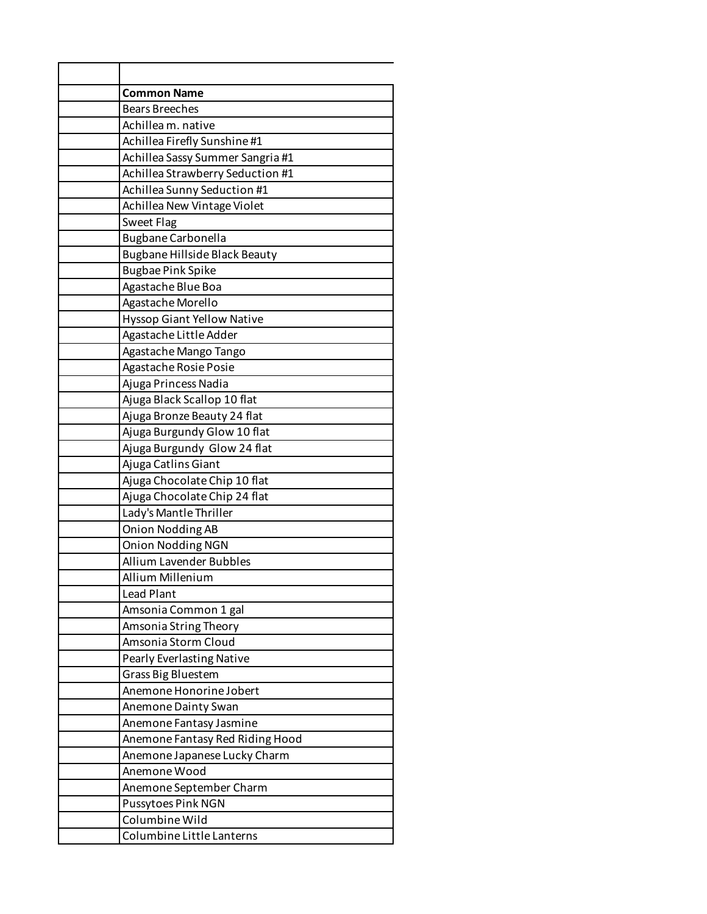| <b>Common Name</b>                |
|-----------------------------------|
| <b>Bears Breeches</b>             |
| Achillea m. native                |
| Achillea Firefly Sunshine #1      |
| Achillea Sassy Summer Sangria #1  |
| Achillea Strawberry Seduction #1  |
| Achillea Sunny Seduction #1       |
| Achillea New Vintage Violet       |
| <b>Sweet Flag</b>                 |
| <b>Bugbane Carbonella</b>         |
| Bugbane Hillside Black Beauty     |
| <b>Bugbae Pink Spike</b>          |
| Agastache Blue Boa                |
| Agastache Morello                 |
| <b>Hyssop Giant Yellow Native</b> |
| Agastache Little Adder            |
| Agastache Mango Tango             |
| Agastache Rosie Posie             |
| Ajuga Princess Nadia              |
| Ajuga Black Scallop 10 flat       |
| Ajuga Bronze Beauty 24 flat       |
| Ajuga Burgundy Glow 10 flat       |
| Ajuga Burgundy Glow 24 flat       |
| Ajuga Catlins Giant               |
| Ajuga Chocolate Chip 10 flat      |
| Ajuga Chocolate Chip 24 flat      |
| Lady's Mantle Thriller            |
| <b>Onion Nodding AB</b>           |
| <b>Onion Nodding NGN</b>          |
| Allium Lavender Bubbles           |
| Allium Millenium                  |
| <b>Lead Plant</b>                 |
| Amsonia Common 1 gal              |
| Amsonia String Theory             |
| Amsonia Storm Cloud               |
| Pearly Everlasting Native         |
| Grass Big Bluestem                |
| Anemone Honorine Jobert           |
| Anemone Dainty Swan               |
| Anemone Fantasy Jasmine           |
| Anemone Fantasy Red Riding Hood   |
| Anemone Japanese Lucky Charm      |
| Anemone Wood                      |
| Anemone September Charm           |
| Pussytoes Pink NGN                |
| Columbine Wild                    |
| Columbine Little Lanterns         |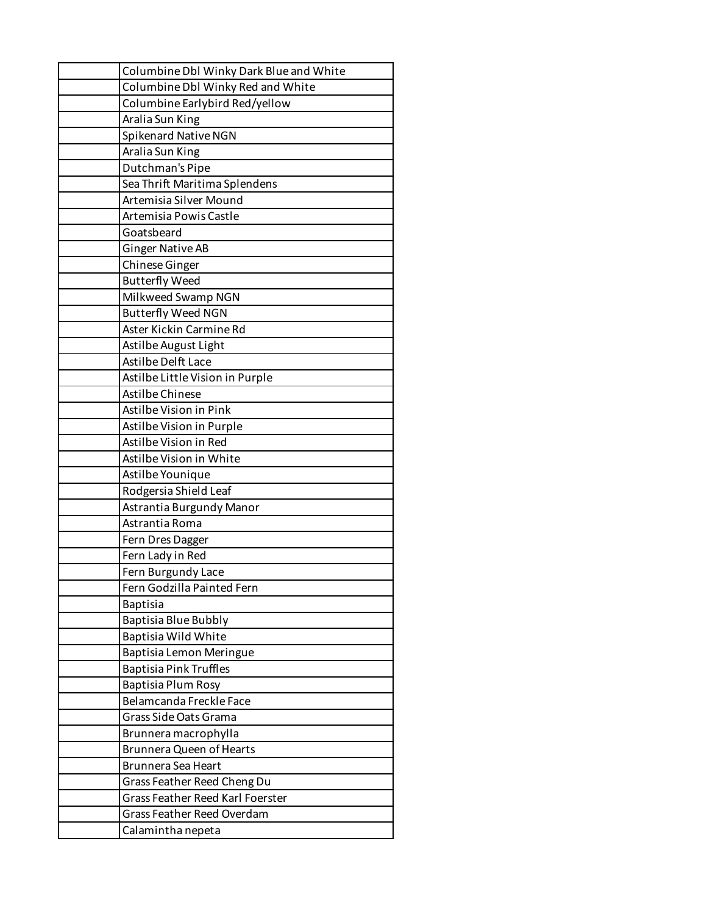| Columbine Dbl Winky Dark Blue and White |  |  |
|-----------------------------------------|--|--|
| Columbine Dbl Winky Red and White       |  |  |
| Columbine Earlybird Red/yellow          |  |  |
| Aralia Sun King                         |  |  |
| Spikenard Native NGN                    |  |  |
| Aralia Sun King                         |  |  |
| Dutchman's Pipe                         |  |  |
| Sea Thrift Maritima Splendens           |  |  |
| Artemisia Silver Mound                  |  |  |
| Artemisia Powis Castle                  |  |  |
| Goatsbeard                              |  |  |
| <b>Ginger Native AB</b>                 |  |  |
| Chinese Ginger                          |  |  |
| <b>Butterfly Weed</b>                   |  |  |
| Milkweed Swamp NGN                      |  |  |
| <b>Butterfly Weed NGN</b>               |  |  |
| Aster Kickin Carmine Rd                 |  |  |
| Astilbe August Light                    |  |  |
| Astilbe Delft Lace                      |  |  |
| Astilbe Little Vision in Purple         |  |  |
| Astilbe Chinese                         |  |  |
| Astilbe Vision in Pink                  |  |  |
| Astilbe Vision in Purple                |  |  |
| Astilbe Vision in Red                   |  |  |
| Astilbe Vision in White                 |  |  |
| Astilbe Younique                        |  |  |
| Rodgersia Shield Leaf                   |  |  |
| Astrantia Burgundy Manor                |  |  |
| Astrantia Roma                          |  |  |
| Fern Dres Dagger                        |  |  |
| Fern Lady in Red                        |  |  |
| Fern Burgundy Lace                      |  |  |
| Fern Godzilla Painted Fern              |  |  |
| <b>Baptisia</b>                         |  |  |
| Baptisia Blue Bubbly                    |  |  |
| Baptisia Wild White                     |  |  |
| Baptisia Lemon Meringue                 |  |  |
| <b>Baptisia Pink Truffles</b>           |  |  |
| Baptisia Plum Rosy                      |  |  |
| Belamcanda Freckle Face                 |  |  |
| Grass Side Oats Grama                   |  |  |
| Brunnera macrophylla                    |  |  |
| <b>Brunnera Queen of Hearts</b>         |  |  |
| Brunnera Sea Heart                      |  |  |
| Grass Feather Reed Cheng Du             |  |  |
| <b>Grass Feather Reed Karl Foerster</b> |  |  |
| <b>Grass Feather Reed Overdam</b>       |  |  |
| Calamintha nepeta                       |  |  |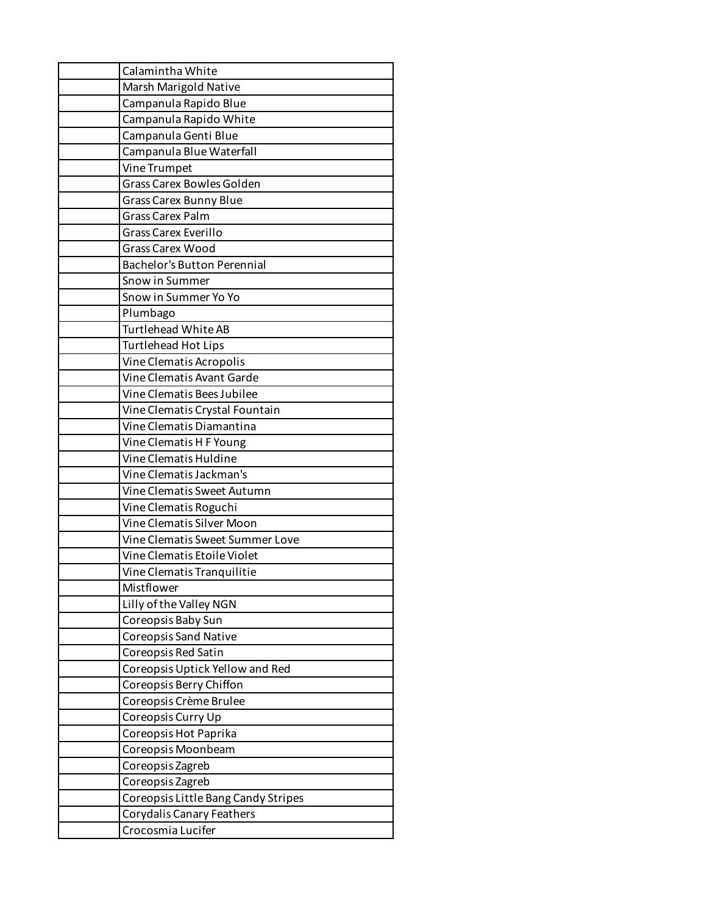| Calamintha White                    |
|-------------------------------------|
| Marsh Marigold Native               |
| Campanula Rapido Blue               |
| Campanula Rapido White              |
| Campanula Genti Blue                |
| Campanula Blue Waterfall            |
| Vine Trumpet                        |
| <b>Grass Carex Bowles Golden</b>    |
| <b>Grass Carex Bunny Blue</b>       |
| <b>Grass Carex Palm</b>             |
| Grass Carex Everillo                |
| <b>Grass Carex Wood</b>             |
| <b>Bachelor's Button Perennial</b>  |
| Snow in Summer                      |
| Snow in Summer Yo Yo                |
| Plumbago                            |
| <b>Turtlehead White AB</b>          |
| Turtlehead Hot Lips                 |
| Vine Clematis Acropolis             |
| Vine Clematis Avant Garde           |
| Vine Clematis Bees Jubilee          |
| Vine Clematis Crystal Fountain      |
| Vine Clematis Diamantina            |
| Vine Clematis H F Young             |
| Vine Clematis Huldine               |
| Vine Clematis Jackman's             |
| Vine Clematis Sweet Autumn          |
| Vine Clematis Roguchi               |
| Vine Clematis Silver Moon           |
| Vine Clematis Sweet Summer Love     |
| Vine Clematis Etoile Violet         |
| Vine Clematis Tranquilitie          |
| Mistflower                          |
| Lilly of the Valley NGN             |
| Coreopsis Baby Sun                  |
| <b>Coreopsis Sand Native</b>        |
| Coreopsis Red Satin                 |
| Coreopsis Uptick Yellow and Red     |
| Coreopsis Berry Chiffon             |
| Coreopsis Crème Brulee              |
| Coreopsis Curry Up                  |
| Coreopsis Hot Paprika               |
| Coreopsis Moonbeam                  |
| Coreopsis Zagreb                    |
| Coreopsis Zagreb                    |
| Coreopsis Little Bang Candy Stripes |
| Corydalis Canary Feathers           |
| Crocosmia Lucifer                   |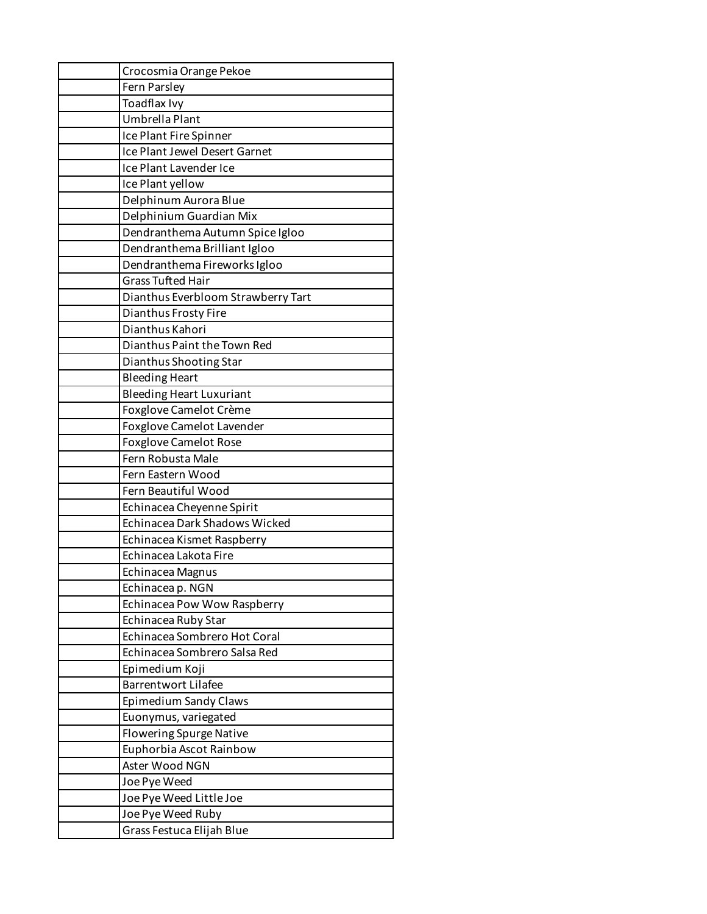| Crocosmia Orange Pekoe               |
|--------------------------------------|
| Fern Parsley                         |
| Toadflax Ivy                         |
| Umbrella Plant                       |
| Ice Plant Fire Spinner               |
| Ice Plant Jewel Desert Garnet        |
| Ice Plant Lavender Ice               |
| Ice Plant yellow                     |
| Delphinum Aurora Blue                |
| Delphinium Guardian Mix              |
| Dendranthema Autumn Spice Igloo      |
| Dendranthema Brilliant Igloo         |
| Dendranthema Fireworks Igloo         |
| <b>Grass Tufted Hair</b>             |
| Dianthus Everbloom Strawberry Tart   |
| Dianthus Frosty Fire                 |
| Dianthus Kahori                      |
| Dianthus Paint the Town Red          |
| Dianthus Shooting Star               |
| <b>Bleeding Heart</b>                |
| <b>Bleeding Heart Luxuriant</b>      |
| Foxglove Camelot Crème               |
| Foxglove Camelot Lavender            |
| <b>Foxglove Camelot Rose</b>         |
| Fern Robusta Male                    |
| Fern Eastern Wood                    |
| Fern Beautiful Wood                  |
| Echinacea Cheyenne Spirit            |
| <b>Echinacea Dark Shadows Wicked</b> |
| Echinacea Kismet Raspberry           |
| Echinacea Lakota Fire                |
| Echinacea Magnus                     |
| Echinacea p. NGN                     |
| Echinacea Pow Wow Raspberry          |
| Echinacea Ruby Star                  |
| Echinacea Sombrero Hot Coral         |
| Echinacea Sombrero Salsa Red         |
| Epimedium Koji                       |
| <b>Barrentwort Lilafee</b>           |
| <b>Epimedium Sandy Claws</b>         |
| Euonymus, variegated                 |
| <b>Flowering Spurge Native</b>       |
| Euphorbia Ascot Rainbow              |
| Aster Wood NGN                       |
| Joe Pye Weed                         |
| Joe Pye Weed Little Joe              |
| Joe Pye Weed Ruby                    |
| Grass Festuca Elijah Blue            |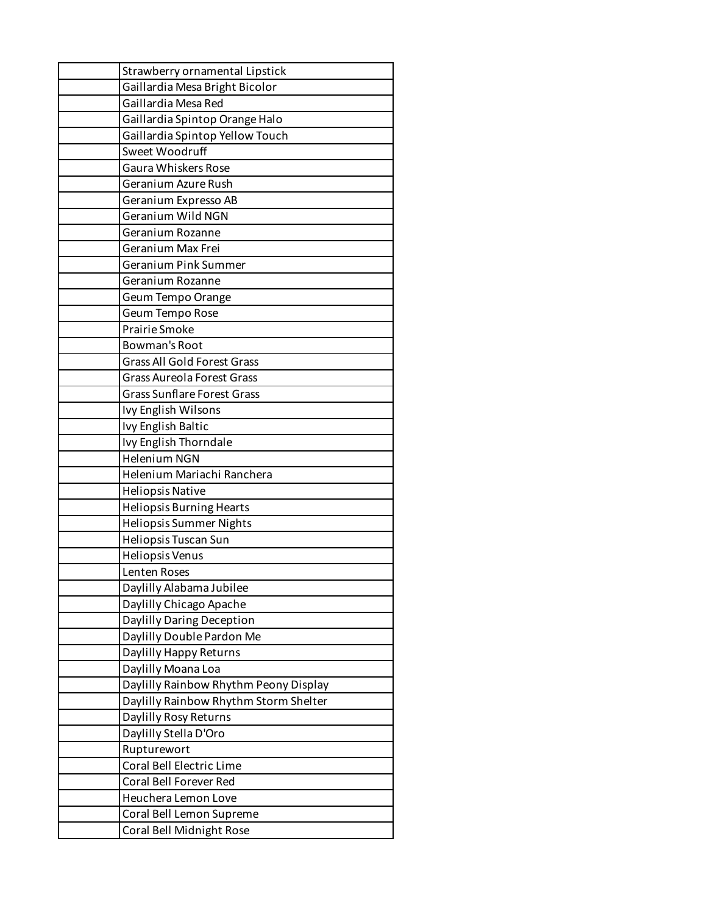| Strawberry ornamental Lipstick        |  |  |
|---------------------------------------|--|--|
| Gaillardia Mesa Bright Bicolor        |  |  |
| Gaillardia Mesa Red                   |  |  |
| Gaillardia Spintop Orange Halo        |  |  |
| Gaillardia Spintop Yellow Touch       |  |  |
| Sweet Woodruff                        |  |  |
| <b>Gaura Whiskers Rose</b>            |  |  |
| Geranium Azure Rush                   |  |  |
| Geranium Expresso AB                  |  |  |
| Geranium Wild NGN                     |  |  |
| Geranium Rozanne                      |  |  |
| Geranium Max Frei                     |  |  |
| Geranium Pink Summer                  |  |  |
| Geranium Rozanne                      |  |  |
| Geum Tempo Orange                     |  |  |
| Geum Tempo Rose                       |  |  |
| Prairie Smoke                         |  |  |
| <b>Bowman's Root</b>                  |  |  |
| <b>Grass All Gold Forest Grass</b>    |  |  |
| <b>Grass Aureola Forest Grass</b>     |  |  |
| <b>Grass Sunflare Forest Grass</b>    |  |  |
| Ivy English Wilsons                   |  |  |
| Ivy English Baltic                    |  |  |
| Ivy English Thorndale                 |  |  |
| <b>Helenium NGN</b>                   |  |  |
| Helenium Mariachi Ranchera            |  |  |
| <b>Heliopsis Native</b>               |  |  |
| Heliopsis Burning Hearts              |  |  |
| Heliopsis Summer Nights               |  |  |
| Heliopsis Tuscan Sun                  |  |  |
| Heliopsis Venus                       |  |  |
| Lenten Roses                          |  |  |
| Daylilly Alabama Jubilee              |  |  |
| Daylilly Chicago Apache               |  |  |
| Daylilly Daring Deception             |  |  |
| Daylilly Double Pardon Me             |  |  |
| Daylilly Happy Returns                |  |  |
| Daylilly Moana Loa                    |  |  |
| Daylilly Rainbow Rhythm Peony Display |  |  |
| Daylilly Rainbow Rhythm Storm Shelter |  |  |
| Daylilly Rosy Returns                 |  |  |
| Daylilly Stella D'Oro                 |  |  |
| Rupturewort                           |  |  |
| Coral Bell Electric Lime              |  |  |
| Coral Bell Forever Red                |  |  |
| Heuchera Lemon Love                   |  |  |
| Coral Bell Lemon Supreme              |  |  |
| Coral Bell Midnight Rose              |  |  |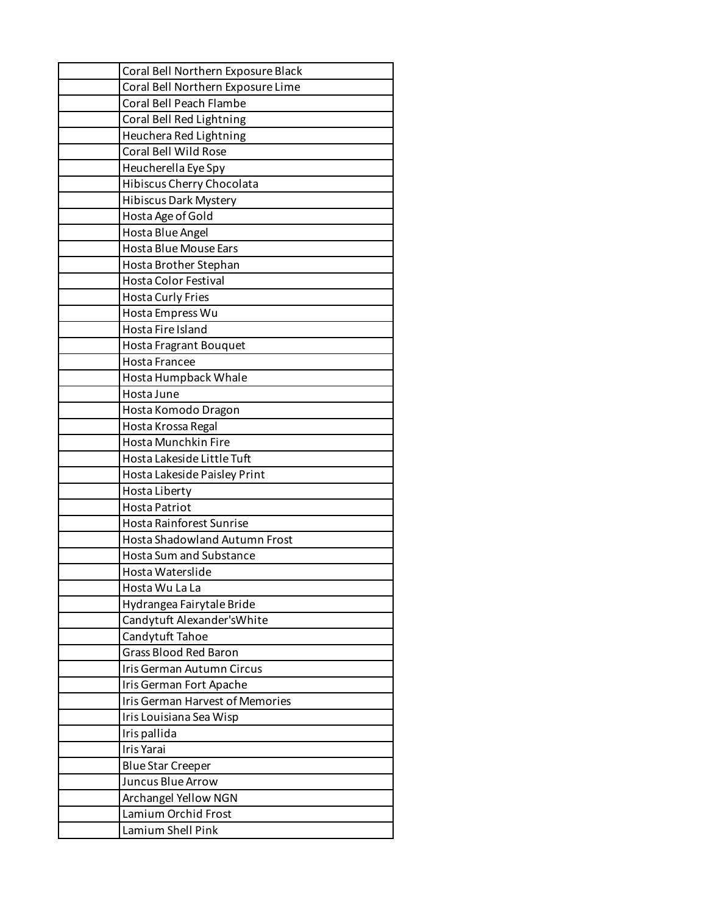| Coral Bell Northern Exposure Black     |
|----------------------------------------|
| Coral Bell Northern Exposure Lime      |
| Coral Bell Peach Flambe                |
| Coral Bell Red Lightning               |
| Heuchera Red Lightning                 |
| Coral Bell Wild Rose                   |
| Heucherella Eye Spy                    |
| Hibiscus Cherry Chocolata              |
| <b>Hibiscus Dark Mystery</b>           |
| Hosta Age of Gold                      |
| Hosta Blue Angel                       |
| Hosta Blue Mouse Ears                  |
| Hosta Brother Stephan                  |
| <b>Hosta Color Festival</b>            |
| <b>Hosta Curly Fries</b>               |
| Hosta Empress Wu                       |
| Hosta Fire Island                      |
| <b>Hosta Fragrant Bouquet</b>          |
| <b>Hosta Francee</b>                   |
| Hosta Humpback Whale                   |
| Hosta June                             |
| Hosta Komodo Dragon                    |
| Hosta Krossa Regal                     |
| Hosta Munchkin Fire                    |
| Hosta Lakeside Little Tuft             |
| Hosta Lakeside Paisley Print           |
| Hosta Liberty                          |
| Hosta Patriot                          |
| <b>Hosta Rainforest Sunrise</b>        |
| <b>Hosta Shadowland Autumn Frost</b>   |
| Hosta Sum and Substance                |
| Hosta Waterslide                       |
| Hosta Wu La La                         |
| Hydrangea Fairytale Bride              |
| Candytuft Alexander's White            |
| Candytuft Tahoe                        |
| <b>Grass Blood Red Baron</b>           |
| Iris German Autumn Circus              |
| Iris German Fort Apache                |
| <b>Iris German Harvest of Memories</b> |
| Iris Louisiana Sea Wisp                |
| Iris pallida                           |
| Iris Yarai                             |
| <b>Blue Star Creeper</b>               |
| Juncus Blue Arrow                      |
| Archangel Yellow NGN                   |
| Lamium Orchid Frost                    |
| Lamium Shell Pink                      |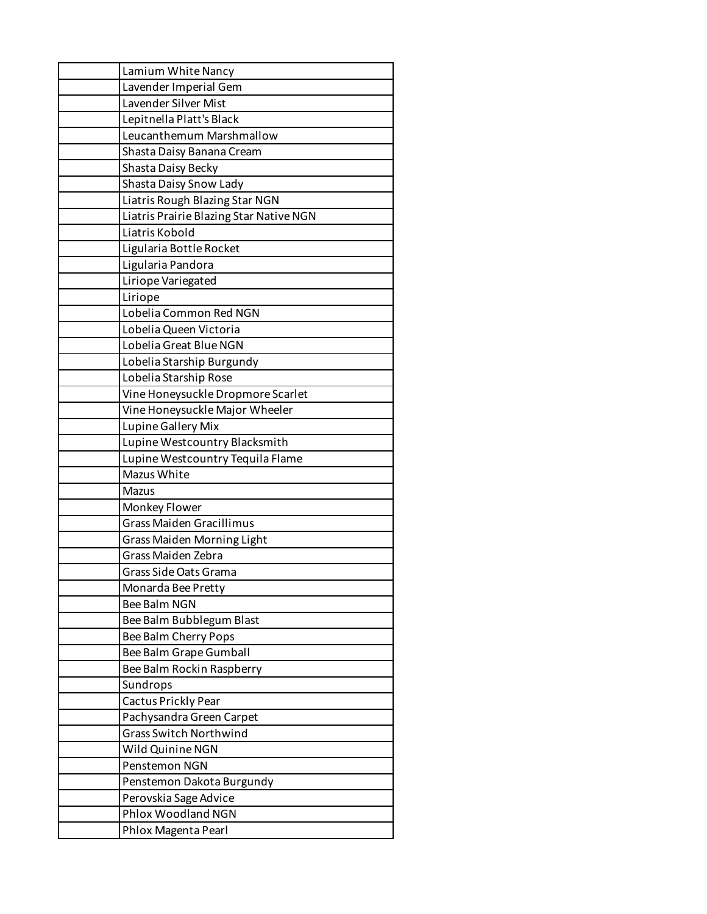| Lamium White Nancy                      |
|-----------------------------------------|
| Lavender Imperial Gem                   |
| Lavender Silver Mist                    |
| Lepitnella Platt's Black                |
| Leucanthemum Marshmallow                |
| Shasta Daisy Banana Cream               |
| Shasta Daisy Becky                      |
| Shasta Daisy Snow Lady                  |
| Liatris Rough Blazing Star NGN          |
| Liatris Prairie Blazing Star Native NGN |
| Liatris Kobold                          |
| Ligularia Bottle Rocket                 |
| Ligularia Pandora                       |
| Liriope Variegated                      |
| Liriope                                 |
| Lobelia Common Red NGN                  |
| Lobelia Queen Victoria                  |
| Lobelia Great Blue NGN                  |
| Lobelia Starship Burgundy               |
| Lobelia Starship Rose                   |
| Vine Honeysuckle Dropmore Scarlet       |
| Vine Honeysuckle Major Wheeler          |
| Lupine Gallery Mix                      |
| Lupine Westcountry Blacksmith           |
| Lupine Westcountry Tequila Flame        |
| Mazus White                             |
| Mazus                                   |
| Monkey Flower                           |
| <b>Grass Maiden Gracillimus</b>         |
| <b>Grass Maiden Morning Light</b>       |
| Grass Maiden Zebra                      |
| Grass Side Oats Grama                   |
| Monarda Bee Pretty                      |
| <b>Bee Balm NGN</b>                     |
| Bee Balm Bubblegum Blast                |
| Bee Balm Cherry Pops                    |
| Bee Balm Grape Gumball                  |
| Bee Balm Rockin Raspberry               |
| Sundrops                                |
| Cactus Prickly Pear                     |
| Pachysandra Green Carpet                |
| <b>Grass Switch Northwind</b>           |
| Wild Quinine NGN                        |
| Penstemon NGN                           |
| Penstemon Dakota Burgundy               |
| Perovskia Sage Advice                   |
| Phlox Woodland NGN                      |
| Phlox Magenta Pearl                     |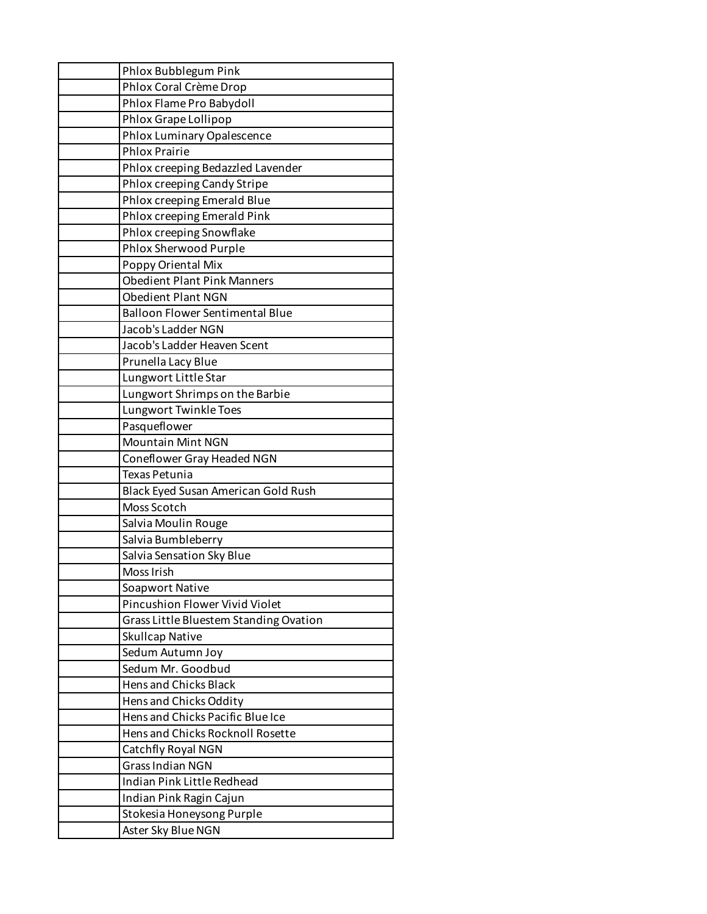| Phlox Bubblegum Pink                   |
|----------------------------------------|
| Phlox Coral Crème Drop                 |
| Phlox Flame Pro Babydoll               |
| Phlox Grape Lollipop                   |
| Phlox Luminary Opalescence             |
| <b>Phlox Prairie</b>                   |
| Phlox creeping Bedazzled Lavender      |
| Phlox creeping Candy Stripe            |
| Phlox creeping Emerald Blue            |
| Phlox creeping Emerald Pink            |
| Phlox creeping Snowflake               |
| Phlox Sherwood Purple                  |
| Poppy Oriental Mix                     |
| <b>Obedient Plant Pink Manners</b>     |
| <b>Obedient Plant NGN</b>              |
| <b>Balloon Flower Sentimental Blue</b> |
| Jacob's Ladder NGN                     |
| Jacob's Ladder Heaven Scent            |
| Prunella Lacy Blue                     |
| Lungwort Little Star                   |
| Lungwort Shrimps on the Barbie         |
| Lungwort Twinkle Toes                  |
| Pasqueflower                           |
| <b>Mountain Mint NGN</b>               |
| Coneflower Gray Headed NGN             |
| Texas Petunia                          |
| Black Eyed Susan American Gold Rush    |
| Moss Scotch                            |
| Salvia Moulin Rouge                    |
| Salvia Bumbleberry                     |
| Salvia Sensation Sky Blue              |
| Moss Irish                             |
| Soapwort Native                        |
| Pincushion Flower Vivid Violet         |
| Grass Little Bluestem Standing Ovation |
| <b>Skullcap Native</b>                 |
| Sedum Autumn Joy                       |
| Sedum Mr. Goodbud                      |
| <b>Hens and Chicks Black</b>           |
| Hens and Chicks Oddity                 |
| Hens and Chicks Pacific Blue Ice       |
| Hens and Chicks Rocknoll Rosette       |
| Catchfly Royal NGN                     |
| <b>Grass Indian NGN</b>                |
| Indian Pink Little Redhead             |
| Indian Pink Ragin Cajun                |
| Stokesia Honeysong Purple              |
| Aster Sky Blue NGN                     |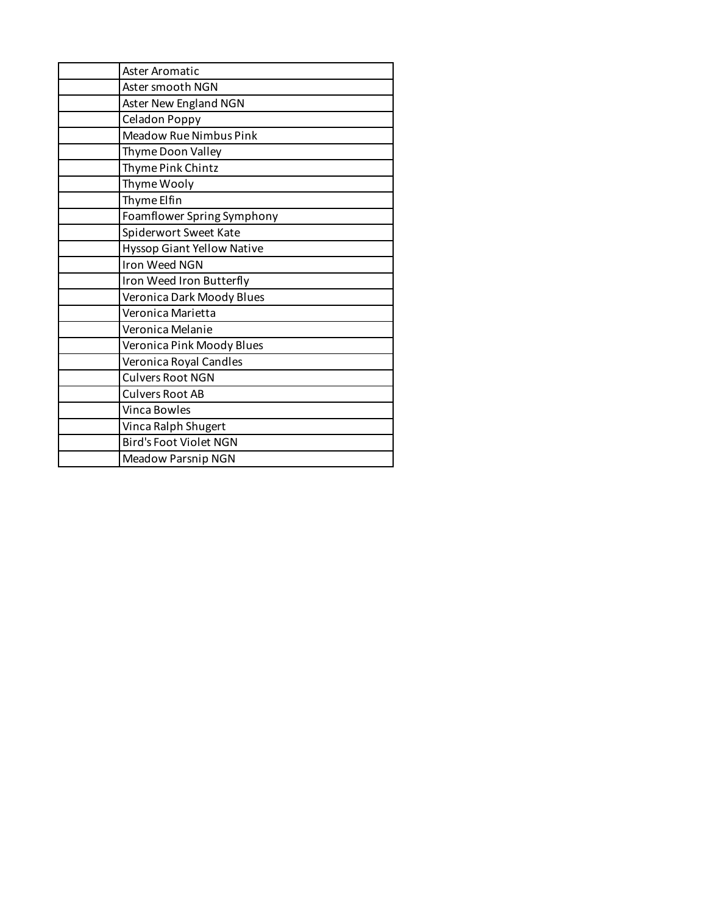| Aster Aromatic                    |
|-----------------------------------|
| Aster smooth NGN                  |
| Aster New England NGN             |
| Celadon Poppy                     |
| Meadow Rue Nimbus Pink            |
| Thyme Doon Valley                 |
| Thyme Pink Chintz                 |
| Thyme Wooly                       |
| Thyme Elfin                       |
| Foamflower Spring Symphony        |
| Spiderwort Sweet Kate             |
| <b>Hyssop Giant Yellow Native</b> |
| Iron Weed NGN                     |
| Iron Weed Iron Butterfly          |
| Veronica Dark Moody Blues         |
| Veronica Marietta                 |
| Veronica Melanie                  |
| Veronica Pink Moody Blues         |
| Veronica Royal Candles            |
| <b>Culvers Root NGN</b>           |
| <b>Culvers Root AB</b>            |
| Vinca Bowles                      |
| Vinca Ralph Shugert               |
| <b>Bird's Foot Violet NGN</b>     |
| Meadow Parsnip NGN                |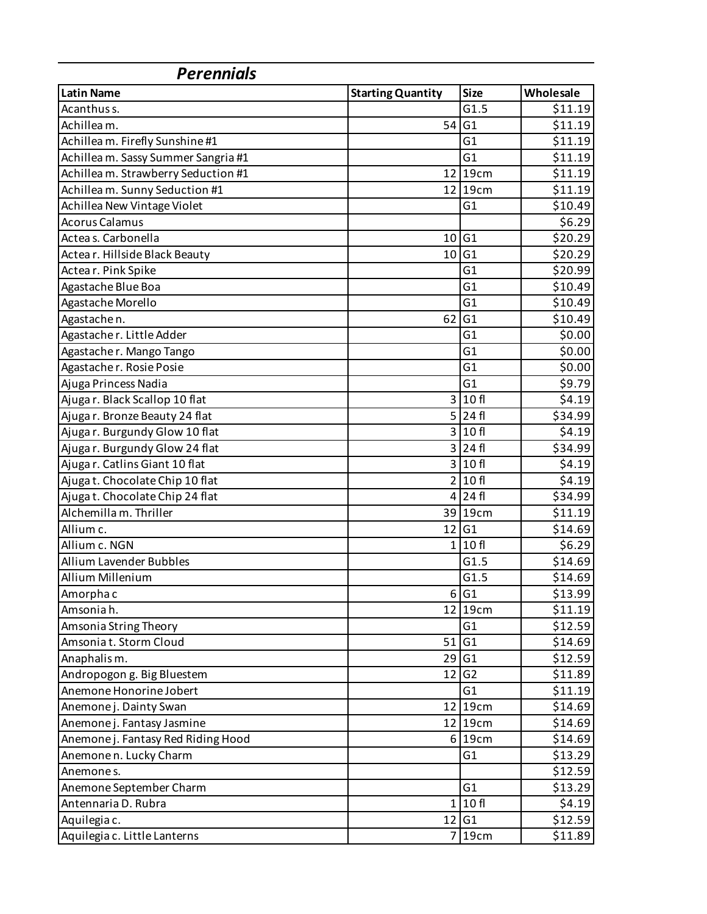| <b>Perennials</b>                   |                          |                |           |  |
|-------------------------------------|--------------------------|----------------|-----------|--|
| <b>Latin Name</b>                   | <b>Starting Quantity</b> | <b>Size</b>    | Wholesale |  |
| Acanthus s.                         |                          | G1.5           | \$11.19   |  |
| Achilleam.                          | 54                       | G1             | \$11.19   |  |
| Achillea m. Firefly Sunshine #1     |                          | G <sub>1</sub> | \$11.19   |  |
| Achillea m. Sassy Summer Sangria #1 |                          | G1             | \$11.19   |  |
| Achillea m. Strawberry Seduction #1 |                          | 12 19cm        | \$11.19   |  |
| Achilleam. Sunny Seduction #1       |                          | 12 19cm        | \$11.19   |  |
| Achillea New Vintage Violet         |                          | G1             | \$10.49   |  |
| <b>Acorus Calamus</b>               |                          |                | \$6.29    |  |
| Actea s. Carbonella                 | 10                       | G <sub>1</sub> | \$20.29   |  |
| Actear. Hillside Black Beauty       | 10                       | G1             | \$20.29   |  |
| Actear. Pink Spike                  |                          | G1             | \$20.99   |  |
| Agastache Blue Boa                  |                          | G <sub>1</sub> | \$10.49   |  |
| Agastache Morello                   |                          | G <sub>1</sub> | \$10.49   |  |
| Agastachen.                         | 62                       | G1             | \$10.49   |  |
| Agastacher. Little Adder            |                          | G1             | \$0.00    |  |
| Agastacher. Mango Tango             |                          | G <sub>1</sub> | \$0.00    |  |
| Agastacher. Rosie Posie             |                          | G1             | \$0.00    |  |
| Ajuga Princess Nadia                |                          | G1             | \$9.79    |  |
| Ajuga r. Black Scallop 10 flat      | $\overline{3}$           | 10 fl          | \$4.19    |  |
| Ajuga r. Bronze Beauty 24 flat      |                          | $5$   24 $fi$  | \$34.99   |  |
| Ajugar. Burgundy Glow 10 flat       |                          | 3 10f          | \$4.19    |  |
| Ajuga r. Burgundy Glow 24 flat      | $\overline{3}$           | 24 fl          | \$34.99   |  |
| Ajugar. Catlins Giant 10 flat       |                          | 3 10f          | \$4.19    |  |
| Ajugat. Chocolate Chip 10 flat      |                          | 2 10f          | \$4.19    |  |
| Ajugat. Chocolate Chip 24 flat      |                          | $4$   24 fl    | \$34.99   |  |
| Alchemilla m. Thriller              |                          | 39 19cm        | \$11.19   |  |
| Allium c.                           | 12                       | G1             | \$14.69   |  |
| Allium c. NGN                       |                          | 1 10f          | \$6.29    |  |
| <b>Allium Lavender Bubbles</b>      |                          | G1.5           | \$14.69   |  |
| Allium Millenium                    |                          | G1.5           | \$14.69   |  |
| Amorpha c                           | $6 \mid$                 | G <sub>1</sub> | \$13.99   |  |
| Amsoniah.                           |                          | 12 19cm        | \$11.19   |  |
| Amsonia String Theory               |                          | G <sub>1</sub> | \$12.59   |  |
| Amsoniat. Storm Cloud               | 51                       | G1             | \$14.69   |  |
| Anaphalism.                         |                          | $29$ G1        | \$12.59   |  |
| Andropogon g. Big Bluestem          | 12                       | G <sub>2</sub> | \$11.89   |  |
| Anemone Honorine Jobert             |                          | G1             | \$11.19   |  |
| Anemone j. Dainty Swan              |                          | 12 19cm        | \$14.69   |  |
| Anemone j. Fantasy Jasmine          |                          | 12 19cm        | \$14.69   |  |
| Anemone j. Fantasy Red Riding Hood  |                          | 6 19cm         | \$14.69   |  |
| Anemone n. Lucky Charm              |                          | G1             | \$13.29   |  |
| Anemones.                           |                          |                | \$12.59   |  |
| Anemone September Charm             |                          | G <sub>1</sub> | \$13.29   |  |
| Antennaria D. Rubra                 | $1\vert$                 | 10f            | \$4.19    |  |
| Aquilegia c.                        | 12                       | G <sub>1</sub> | \$12.59   |  |
| Aquilegia c. Little Lanterns        | $\overline{7}$           | 19cm           | \$11.89   |  |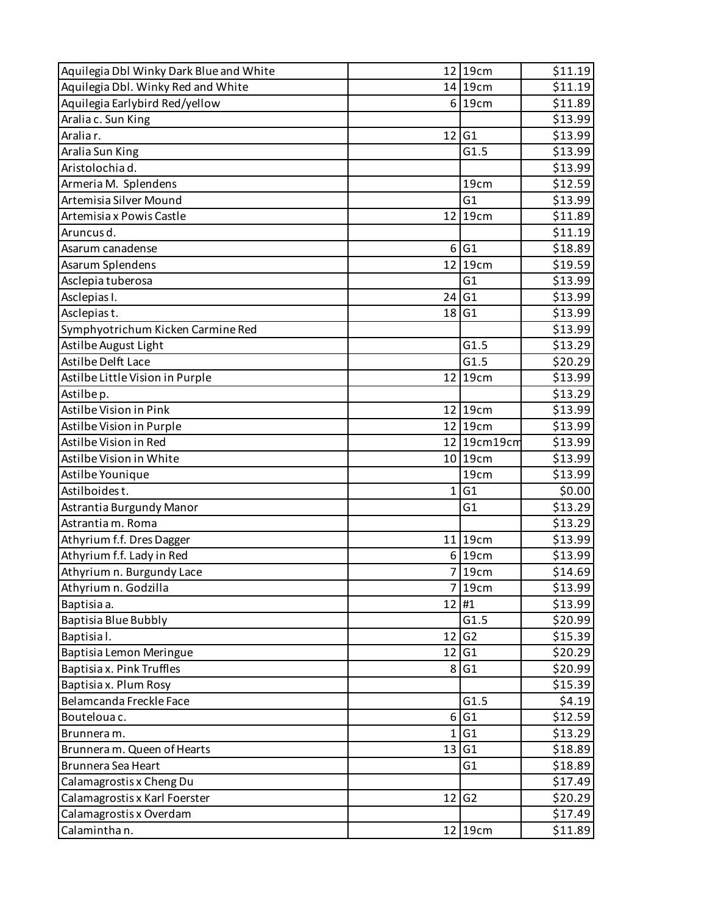| Aquilegia Dbl Winky Dark Blue and White |                  | 12 19cm            | \$11.19 |
|-----------------------------------------|------------------|--------------------|---------|
| Aquilegia Dbl. Winky Red and White      |                  | 14 19cm            | \$11.19 |
| Aquilegia Earlybird Red/yellow          |                  | 6 19cm             | \$11.89 |
| Aralia c. Sun King                      |                  |                    | \$13.99 |
| Aralia r.                               | 12               | G1                 | \$13.99 |
| Aralia Sun King                         |                  | G1.5               | \$13.99 |
| Aristolochiad.                          |                  |                    | \$13.99 |
| Armeria M. Splendens                    |                  | 19cm               | \$12.59 |
| Artemisia Silver Mound                  |                  | G1                 | \$13.99 |
| Artemisia x Powis Castle                | 12               | 19cm               | \$11.89 |
| Aruncus d.                              |                  |                    | \$11.19 |
| Asarum canadense                        | 6 <sup>1</sup>   | G1                 | \$18.89 |
| Asarum Splendens                        | 12               | 19cm               | \$19.59 |
| Asclepia tuberosa                       |                  | G1                 | \$13.99 |
| Asclepias I.                            | 24               | G1                 | \$13.99 |
| Asclepias t.                            | 18               | G1                 | \$13.99 |
| Symphyotrichum Kicken Carmine Red       |                  |                    | \$13.99 |
| Astilbe August Light                    |                  | G1.5               | \$13.29 |
| Astilbe Delft Lace                      |                  | G1.5               | \$20.29 |
| Astilbe Little Vision in Purple         |                  | 12 19cm            | \$13.99 |
| Astilbe p.                              |                  |                    | \$13.29 |
| Astilbe Vision in Pink                  |                  | 12 19cm            | \$13.99 |
| Astilbe Vision in Purple                |                  | 12 19cm            | \$13.99 |
| Astilbe Vision in Red                   |                  | 12 19cm19cm        | \$13.99 |
| Astilbe Vision in White                 |                  | 10 19cm            | \$13.99 |
| Astilbe Younique                        |                  | 19cm               | \$13.99 |
| Astilboides t.                          | $1\vert$         | G1                 | \$0.00  |
| Astrantia Burgundy Manor                |                  | G <sub>1</sub>     | \$13.29 |
| Astrantia m. Roma                       |                  |                    | \$13.29 |
| Athyrium f.f. Dres Dagger               |                  | 11 19cm            | \$13.99 |
| Athyrium f.f. Lady in Red               |                  | 6 19cm             | \$13.99 |
| Athyrium n. Burgundy Lace               |                  | 7 19cm             | \$14.69 |
| Athyrium n. Godzilla                    |                  | 7 19 <sub>cm</sub> | \$13.99 |
| Baptisia a.                             | 12 #1            |                    | \$13.99 |
| Baptisia Blue Bubbly                    |                  | G1.5               | \$20.99 |
| Baptisial.                              | 12               | G <sub>2</sub>     | \$15.39 |
| Baptisia Lemon Meringue                 | 12               | G1                 | 520.29  |
| Baptisia x. Pink Truffles               | 8                | G1                 | \$20.99 |
| Baptisia x. Plum Rosy                   |                  |                    | \$15.39 |
| Belamcanda Freckle Face                 |                  | G1.5               | \$4.19  |
| Boutelouac.                             | $6 \overline{6}$ | G1                 | \$12.59 |
| Brunneram.                              | $1\vert$         | G1                 | \$13.29 |
| Brunnera m. Queen of Hearts             | 13               | G1                 | \$18.89 |
| Brunnera Sea Heart                      |                  | G <sub>1</sub>     | \$18.89 |
| Calamagrostis x Cheng Du                |                  |                    | \$17.49 |
| Calamagrostis x Karl Foerster           | 12               | G <sub>2</sub>     | \$20.29 |
| Calamagrostis x Overdam                 |                  |                    | \$17.49 |
| Calaminthan.                            |                  | 12 19cm            | \$11.89 |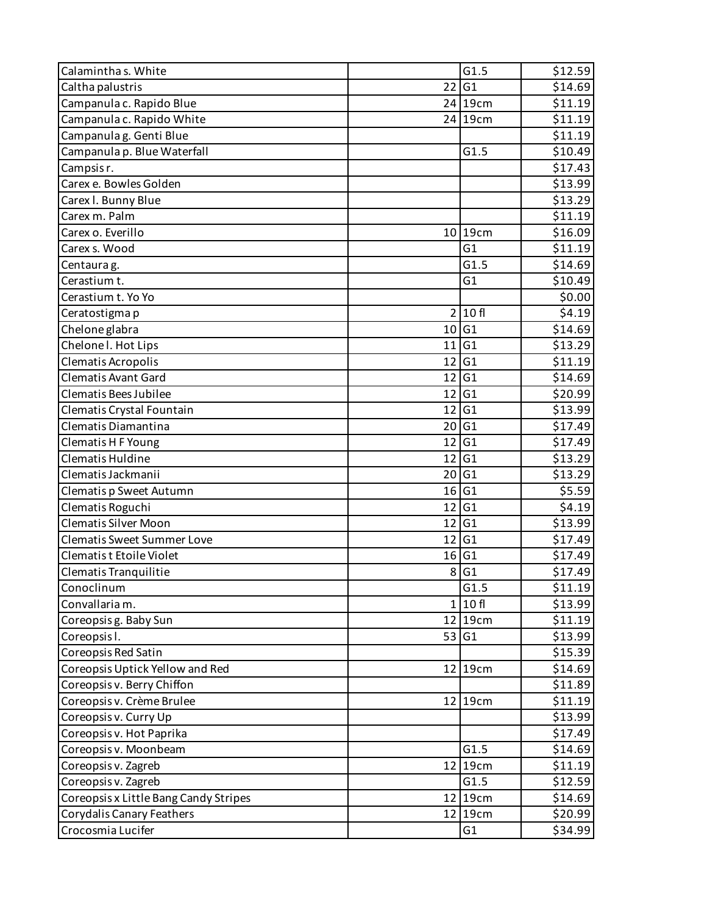| Calaminthas. White                    |                 | G1.5           | \$12.59 |
|---------------------------------------|-----------------|----------------|---------|
| Caltha palustris                      | 22              | G1             | \$14.69 |
| Campanula c. Rapido Blue              |                 | 24 19cm        | \$11.19 |
| Campanula c. Rapido White             |                 | 24 19cm        | \$11.19 |
| Campanula g. Genti Blue               |                 |                | \$11.19 |
| Campanula p. Blue Waterfall           |                 | G1.5           | \$10.49 |
| Campsis r.                            |                 |                | \$17.43 |
| Carex e. Bowles Golden                |                 |                | \$13.99 |
| Carex I. Bunny Blue                   |                 |                | \$13.29 |
| Carex m. Palm                         |                 |                | \$11.19 |
| Carex o. Everillo                     |                 | 10 19cm        | \$16.09 |
| Carex s. Wood                         |                 | G <sub>1</sub> | \$11.19 |
| Centaura g.                           |                 | G1.5           | \$14.69 |
| Cerastium t.                          |                 | G1             | \$10.49 |
| Cerastium t. Yo Yo                    |                 |                | \$0.00  |
| Ceratostigma p                        | $\overline{2}$  | 10 fl          | \$4.19  |
| Chelone glabra                        | 10              | G <sub>1</sub> | \$14.69 |
| Chelone I. Hot Lips                   | 11              | G1             | \$13.29 |
| Clematis Acropolis                    | 12              | G1             | \$11.19 |
| <b>Clematis Avant Gard</b>            | 12              | G <sub>1</sub> | \$14.69 |
| Clematis Bees Jubilee                 | 12              | G1             | \$20.99 |
| Clematis Crystal Fountain             | 12              | G1             | \$13.99 |
| Clematis Diamantina                   | 20 <sup>1</sup> | G1             | \$17.49 |
| Clematis H F Young                    | 12              | G1             | \$17.49 |
| Clematis Huldine                      | 12              | G1             | \$13.29 |
| Clematis Jackmanii                    | 20              | G <sub>1</sub> | \$13.29 |
| Clematis p Sweet Autumn               |                 | 16 G1          | \$5.59  |
| Clematis Roguchi                      | 12              | G1             | \$4.19  |
| <b>Clematis Silver Moon</b>           | 12              | G1             | \$13.99 |
| <b>Clematis Sweet Summer Love</b>     | 12              | G1             | \$17.49 |
| Clematis t Etoile Violet              | 16              | G1             | \$17.49 |
| Clematis Tranquilitie                 | 8               | G1             | \$17.49 |
| Conoclinum                            |                 | G1.5           | \$11.19 |
| Convallaria m.                        |                 | 1 10f          | \$13.99 |
| Coreopsis g. Baby Sun                 |                 | 12 19cm        | \$11.19 |
| Coreopsis I.                          | 53              | G1             | \$13.99 |
| Coreopsis Red Satin                   |                 |                | \$15.39 |
| Coreopsis Uptick Yellow and Red       |                 | 12 19cm        | \$14.69 |
| Coreopsis v. Berry Chiffon            |                 |                | \$11.89 |
| Coreopsis v. Crème Brulee             |                 | 12 19cm        | \$11.19 |
| Coreopsis v. Curry Up                 |                 |                | \$13.99 |
| Coreopsis v. Hot Paprika              |                 |                | \$17.49 |
| Coreopsis v. Moonbeam                 |                 | G1.5           | \$14.69 |
| Coreopsis v. Zagreb                   |                 | 12 19cm        | \$11.19 |
| Coreopsis v. Zagreb                   |                 | G1.5           | \$12.59 |
| Coreopsis x Little Bang Candy Stripes |                 | 12 19cm        | \$14.69 |
| <b>Corydalis Canary Feathers</b>      |                 | 12 19cm        | \$20.99 |
| Crocosmia Lucifer                     |                 | G1             | \$34.99 |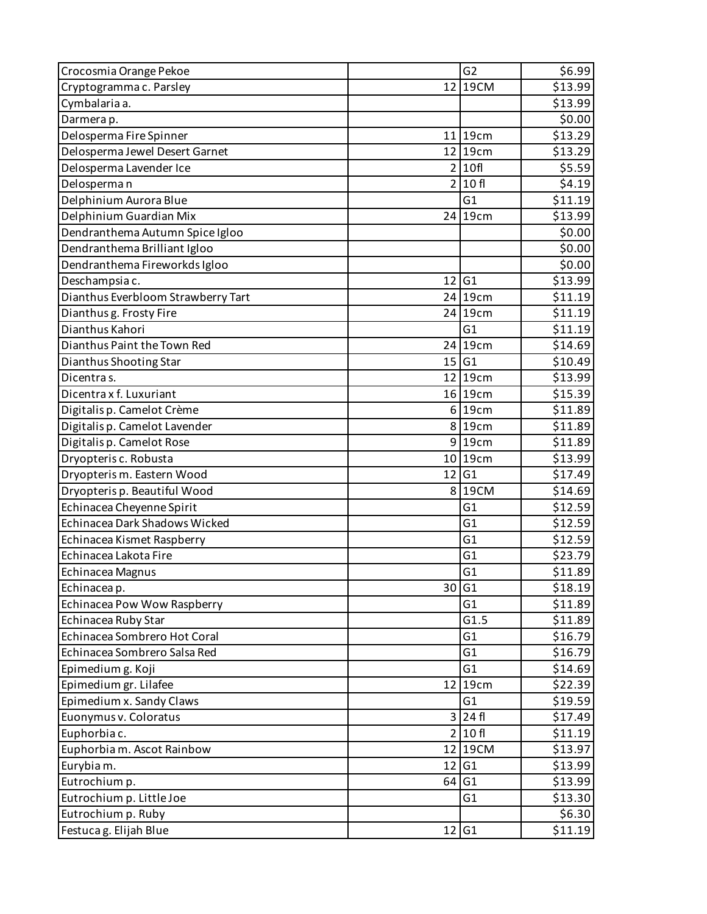| Crocosmia Orange Pekoe               |                         | G <sub>2</sub> | \$6.99  |
|--------------------------------------|-------------------------|----------------|---------|
| Cryptogramma c. Parsley              |                         | 12 19 CM       | \$13.99 |
| Cymbalaria a.                        |                         |                | \$13.99 |
| Darmera p.                           |                         |                | \$0.00  |
| Delosperma Fire Spinner              |                         | 11 19cm        | \$13.29 |
| Delosperma Jewel Desert Garnet       |                         | 12 19cm        | \$13.29 |
| Delosperma Lavender Ice              | $\overline{2}$          | 10f            | \$5.59  |
| Delosperman                          |                         | 2 10f          | \$4.19  |
| Delphinium Aurora Blue               |                         | G1             | \$11.19 |
| Delphinium Guardian Mix              | 24                      | 19cm           | \$13.99 |
| Dendranthema Autumn Spice Igloo      |                         |                | \$0.00  |
| Dendranthema Brilliant Igloo         |                         |                | \$0.00  |
| Dendranthema Fireworkds Igloo        |                         |                | \$0.00  |
| Deschampsia c.                       | 12                      | G <sub>1</sub> | \$13.99 |
| Dianthus Everbloom Strawberry Tart   |                         | $24$ 19cm      | \$11.19 |
| Dianthus g. Frosty Fire              | 24                      | 19cm           | \$11.19 |
| Dianthus Kahori                      |                         | G1             | \$11.19 |
| Dianthus Paint the Town Red          |                         | $24$ 19cm      | \$14.69 |
| Dianthus Shooting Star               | 15                      | G1             | \$10.49 |
| Dicentras.                           |                         | 12 19cm        | \$13.99 |
| Dicentra x f. Luxuriant              |                         | 16 19cm        | \$15.39 |
| Digitalis p. Camelot Crème           | $6 \mid$                | 19cm           | \$11.89 |
| Digitalis p. Camelot Lavender        |                         | 8 19cm         | \$11.89 |
| Digitalis p. Camelot Rose            |                         | 9 19cm         | \$11.89 |
| Dryopteris c. Robusta                |                         | 10 19cm        | \$13.99 |
| Dryopteris m. Eastern Wood           | 12                      | G <sub>1</sub> | \$17.49 |
| Dryopteris p. Beautiful Wood         | 8 <sup>1</sup>          | 19CM           | \$14.69 |
| Echinacea Cheyenne Spirit            |                         | G1             | \$12.59 |
| <b>Echinacea Dark Shadows Wicked</b> |                         | G1             | \$12.59 |
| Echinacea Kismet Raspberry           |                         | G1             | \$12.59 |
| Echinacea Lakota Fire                |                         | G1             | \$23.79 |
| Echinacea Magnus                     |                         | G1             | \$11.89 |
| Echinacea p.                         |                         | 30 G1          | \$18.19 |
| Echinacea Pow Wow Raspberry          |                         | G <sub>1</sub> | \$11.89 |
| Echinacea Ruby Star                  |                         | G1.5           | \$11.89 |
| Echinacea Sombrero Hot Coral         |                         | G <sub>1</sub> | \$16.79 |
| Echinacea Sombrero Salsa Red         |                         | G <sub>1</sub> | \$16.79 |
| Epimedium g. Koji                    |                         | G <sub>1</sub> | \$14.69 |
| Epimedium gr. Lilafee                | 12                      | 19cm           | \$22.39 |
| Epimedium x. Sandy Claws             |                         | G <sub>1</sub> | \$19.59 |
| Euonymus v. Coloratus                | $\overline{\mathsf{3}}$ | 24 fl          | \$17.49 |
| Euphorbia c.                         | 2 <sup>1</sup>          | 10f            | \$11.19 |
| Euphorbia m. Ascot Rainbow           | 12                      | 19CM           | \$13.97 |
| Eurybia m.                           | 12                      | G1             | \$13.99 |
| Eutrochium p.                        |                         | $64$ G1        | \$13.99 |
| Eutrochium p. Little Joe             |                         | G <sub>1</sub> | \$13.30 |
| Eutrochium p. Ruby                   |                         |                | \$6.30  |
| Festuca g. Elijah Blue               |                         | 12 G1          | \$11.19 |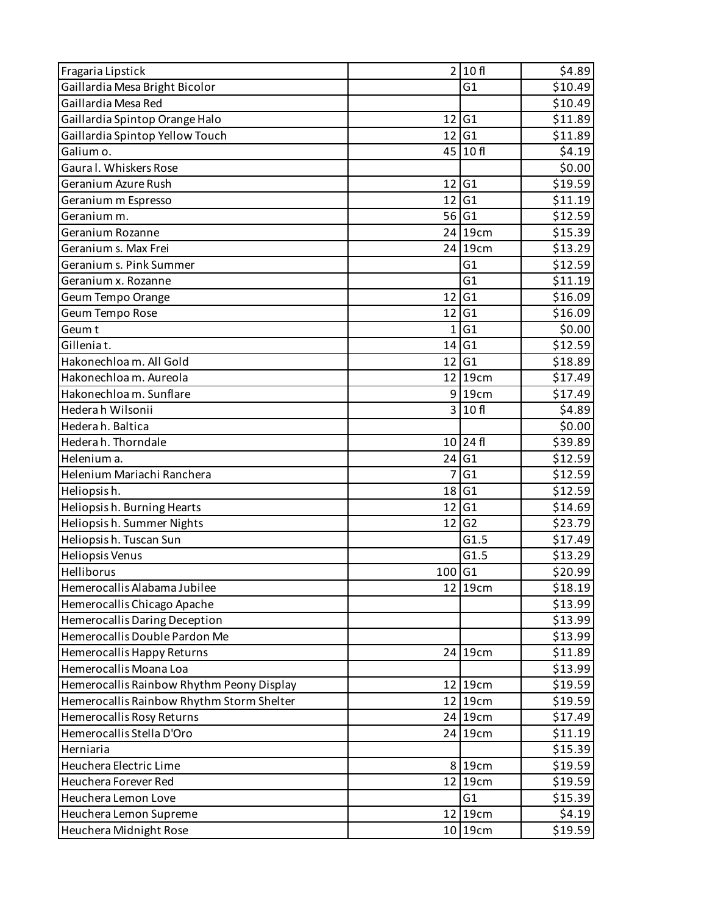| Fragaria Lipstick                         |                 | 2 10f          | \$4.89  |
|-------------------------------------------|-----------------|----------------|---------|
| Gaillardia Mesa Bright Bicolor            |                 | G1             | \$10.49 |
| Gaillardia Mesa Red                       |                 |                | \$10.49 |
| Gaillardia Spintop Orange Halo            | 12              | G1             | \$11.89 |
| Gaillardia Spintop Yellow Touch           |                 | 12 G1          | \$11.89 |
| Galium o.                                 |                 | 45 10f         | \$4.19  |
| Gaura I. Whiskers Rose                    |                 |                | \$0.00  |
| Geranium Azure Rush                       | 12              | G <sub>1</sub> | \$19.59 |
| Geranium m Espresso                       | 12              | G1             | \$11.19 |
| Geranium m.                               |                 | 56 G1          | \$12.59 |
| Geranium Rozanne                          |                 | 24 19cm        | \$15.39 |
| Geranium s. Max Frei                      |                 | 24 19cm        | \$13.29 |
| Geranium s. Pink Summer                   |                 | G <sub>1</sub> | \$12.59 |
| Geranium x. Rozanne                       |                 | G1             | \$11.19 |
| Geum Tempo Orange                         | 12              | G1             | \$16.09 |
| Geum Tempo Rose                           | 12              | G1             | \$16.09 |
| Geum t                                    | $1\vert$        | G1             | \$0.00  |
| Gilleniat.                                | 14              | G1             | \$12.59 |
| Hakonechloa m. All Gold                   | 12 <sub>1</sub> | G <sub>1</sub> | \$18.89 |
| Hakonechloa m. Aureola                    |                 | $12$   19cm    | \$17.49 |
| Hakonechloa m. Sunflare                   |                 | 9 19cm         | \$17.49 |
| Hederah Wilsonii                          | $\overline{3}$  | 10 fl          | \$4.89  |
| Hederah. Baltica                          |                 |                | \$0.00  |
| Hederah. Thorndale                        | 10              | 24 fl          | \$39.89 |
| Helenium a.                               | 24              | G1             | \$12.59 |
| Helenium Mariachi Ranchera                | $\overline{7}$  | G1             | \$12.59 |
| Heliopsish.                               | 18              | G1             | \$12.59 |
| Heliopsish. Burning Hearts                | 12              | G1             | \$14.69 |
| Heliopsish. Summer Nights                 | 12              | G <sub>2</sub> | \$23.79 |
| Heliopsish. Tuscan Sun                    |                 | G1.5           | \$17.49 |
| Heliopsis Venus                           |                 | G1.5           | \$13.29 |
| Helliborus                                | 100 G1          |                | \$20.99 |
| Hemerocallis Alabama Jubilee              |                 | 12 19cm        | \$18.19 |
| Hemerocallis Chicago Apache               |                 |                | \$13.99 |
| Hemerocallis Daring Deception             |                 |                | \$13.99 |
| Hemerocallis Double Pardon Me             |                 |                | \$13.99 |
| Hemerocallis Happy Returns                |                 | 24 19cm        | \$11.89 |
| Hemerocallis Moana Loa                    |                 |                | \$13.99 |
| Hemerocallis Rainbow Rhythm Peony Display |                 | 12 19cm        | \$19.59 |
| Hemerocallis Rainbow Rhythm Storm Shelter |                 | 12 19cm        | \$19.59 |
| Hemerocallis Rosy Returns                 |                 | 24 19cm        | \$17.49 |
| Hemerocallis Stella D'Oro                 |                 | 24 19cm        | \$11.19 |
| Herniaria                                 |                 |                | \$15.39 |
| Heuchera Electric Lime                    |                 | 8 19cm         | \$19.59 |
| Heuchera Forever Red                      |                 | 12 19cm        | \$19.59 |
| Heuchera Lemon Love                       |                 | G1             | \$15.39 |
| Heuchera Lemon Supreme                    |                 | 12 19cm        | \$4.19  |
| Heuchera Midnight Rose                    |                 | 10 19cm        | \$19.59 |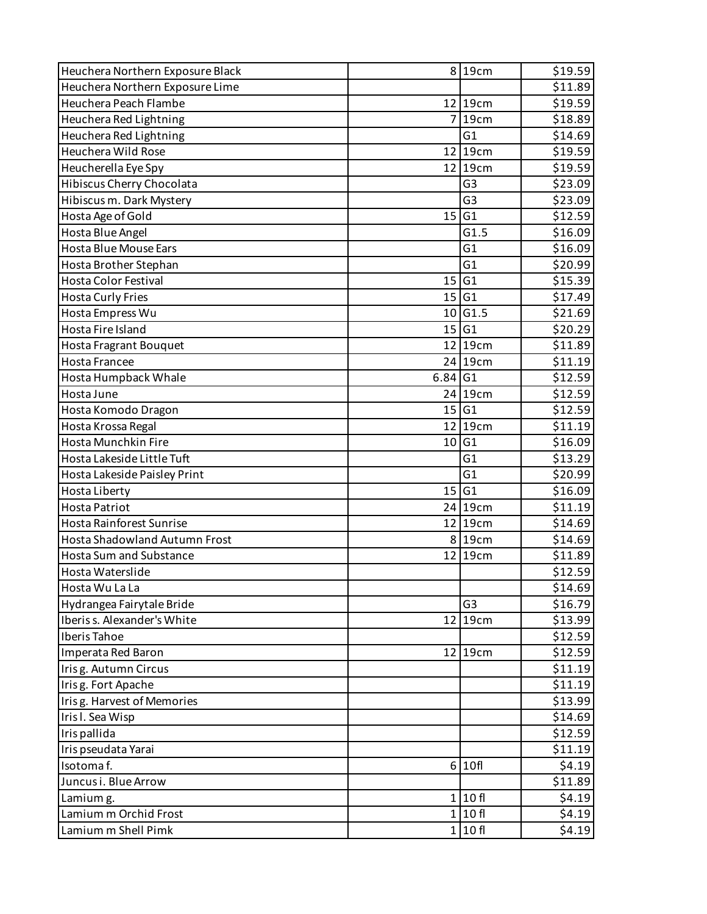| Heuchera Northern Exposure Black     |                 | 8 19cm         | \$19.59 |
|--------------------------------------|-----------------|----------------|---------|
| Heuchera Northern Exposure Lime      |                 |                | \$11.89 |
| Heuchera Peach Flambe                |                 | $12$  19cm     | \$19.59 |
| Heuchera Red Lightning               | 7               | 19cm           | \$18.89 |
| Heuchera Red Lightning               |                 | G1             | \$14.69 |
| Heuchera Wild Rose                   |                 | 12 19cm        | \$19.59 |
| Heucherella Eye Spy                  |                 | 12 19cm        | \$19.59 |
| Hibiscus Cherry Chocolata            |                 | G <sub>3</sub> | \$23.09 |
| Hibiscus m. Dark Mystery             |                 | G <sub>3</sub> | \$23.09 |
| Hosta Age of Gold                    | 15              | G1             | \$12.59 |
| Hosta Blue Angel                     |                 | G1.5           | \$16.09 |
| Hosta Blue Mouse Ears                |                 | G1             | \$16.09 |
| Hosta Brother Stephan                |                 | G1             | \$20.99 |
| <b>Hosta Color Festival</b>          | 15 <sup>1</sup> | G1             | \$15.39 |
| <b>Hosta Curly Fries</b>             | 15              | G1             | \$17.49 |
| Hosta Empress Wu                     | 10              | G1.5           | \$21.69 |
| Hosta Fire Island                    |                 | 15 G1          | \$20.29 |
| Hosta Fragrant Bouquet               |                 | $12$   19cm    | \$11.89 |
| <b>Hosta Francee</b>                 |                 | 24 19cm        | \$11.19 |
| Hosta Humpback Whale                 | $6.84$ G1       |                | \$12.59 |
| Hosta June                           |                 | 24 19cm        | \$12.59 |
| Hosta Komodo Dragon                  |                 | 15 G1          | \$12.59 |
| Hosta Krossa Regal                   |                 | 12 19cm        | \$11.19 |
| Hosta Munchkin Fire                  | 10 <sub>1</sub> | G1             | \$16.09 |
| Hosta Lakeside Little Tuft           |                 | G <sub>1</sub> | \$13.29 |
| Hosta Lakeside Paisley Print         |                 | G1             | \$20.99 |
| Hosta Liberty                        | 15              | G1             | \$16.09 |
| <b>Hosta Patriot</b>                 |                 | 24 19cm        | \$11.19 |
| Hosta Rainforest Sunrise             |                 | 12 19cm        | \$14.69 |
| <b>Hosta Shadowland Autumn Frost</b> |                 | 8 19cm         | \$14.69 |
| <b>Hosta Sum and Substance</b>       |                 | 12 19cm        | \$11.89 |
| Hosta Waterslide                     |                 |                | \$12.59 |
| Hosta Wu La La                       |                 |                | \$14.69 |
| Hydrangea Fairytale Bride            |                 | G <sub>3</sub> | \$16.79 |
| Iberis s. Alexander's White          |                 | 12 19cm        | \$13.99 |
| Iberis Tahoe                         |                 |                | \$12.59 |
| Imperata Red Baron                   |                 | 12 19cm        | \$12.59 |
| Irisg. Autumn Circus                 |                 |                | \$11.19 |
| Irisg. Fort Apache                   |                 |                | \$11.19 |
| Irisg. Harvest of Memories           |                 |                | \$13.99 |
| Iris I. Sea Wisp                     |                 |                | \$14.69 |
| Iris pallida                         |                 |                | \$12.59 |
| Iris pseudata Yarai                  |                 |                | \$11.19 |
| Isotomaf.                            |                 | 6 10f          | \$4.19  |
| Juncus i. Blue Arrow                 |                 |                | \$11.89 |
| Lamium g.                            |                 | 1 10f          | \$4.19  |
| Lamium m Orchid Frost                |                 | 1 10f          | \$4.19  |
| Lamium m Shell Pimk                  |                 | 1 10f          | \$4.19  |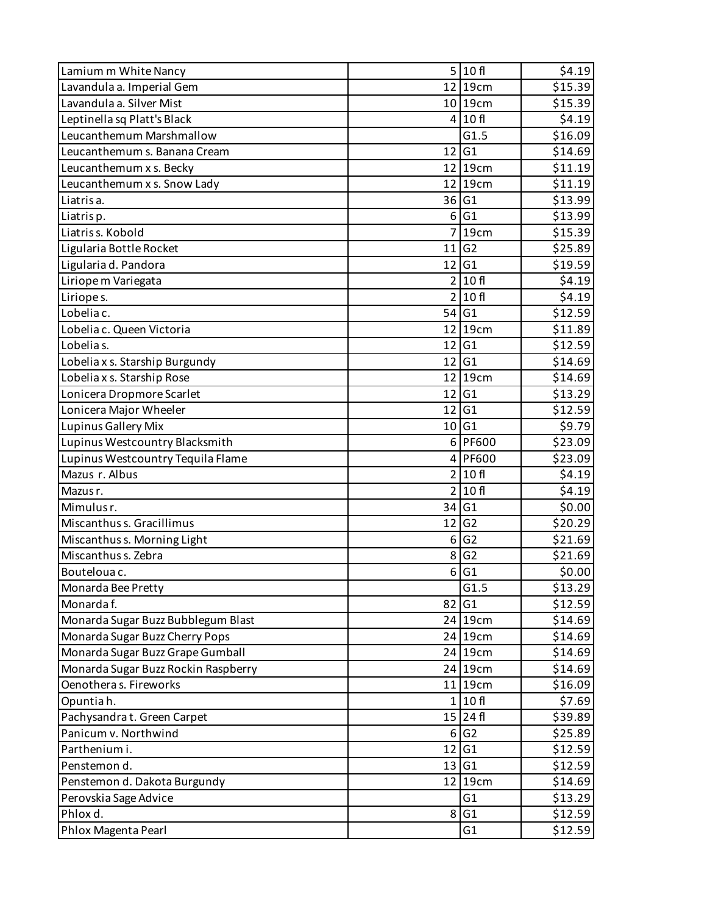| Lamium m White Nancy                |                | 5 10f                | \$4.19  |
|-------------------------------------|----------------|----------------------|---------|
| Lavandula a. Imperial Gem           |                | 12 19cm              | \$15.39 |
| Lavandula a. Silver Mist            |                | 10 19cm              | \$15.39 |
| Leptinella sq Platt's Black         |                | 4 10f                | \$4.19  |
| Leucanthemum Marshmallow            |                | G1.5                 | \$16.09 |
| Leucanthemum s. Banana Cream        | 12             | G1                   | \$14.69 |
| Leucanthemum x s. Becky             | 12             | 19cm                 | \$11.19 |
| Leucanthemum x s. Snow Lady         |                | 12 19cm              | \$11.19 |
| Liatris a.                          | 36             | G1                   | \$13.99 |
| Liatrisp.                           | 6              | G1                   | \$13.99 |
| Liatriss. Kobold                    | 7              | 19cm                 | \$15.39 |
| Ligularia Bottle Rocket             | 11             | G <sub>2</sub>       | \$25.89 |
| Ligularia d. Pandora                | 12             | G <sub>1</sub>       | \$19.59 |
| Liriope m Variegata                 | 2 <sup>1</sup> | 10 fl                | \$4.19  |
| Liriopes.                           |                | 2 10f                | \$4.19  |
| Lobelia c.                          | 54             | G <sub>1</sub>       | \$12.59 |
| Lobelia c. Queen Victoria           |                | 12 19cm              | \$11.89 |
| Lobelias.                           | 12             | G1                   | \$12.59 |
| Lobelia x s. Starship Burgundy      | 12             | G <sub>1</sub>       | \$14.69 |
| Lobelia x s. Starship Rose          |                | 12 19cm              | \$14.69 |
| Lonicera Dropmore Scarlet           | 12             | G <sub>1</sub>       | \$13.29 |
| Lonicera Major Wheeler              | 12             | G1                   | \$12.59 |
| Lupinus Gallery Mix                 |                | 10 G1                | \$9.79  |
| Lupinus Westcountry Blacksmith      |                | 6 PF600              | \$23.09 |
| Lupinus Westcountry Tequila Flame   |                | 4 PF600              | \$23.09 |
| Mazus r. Albus                      | 2 <sup>1</sup> | 10 fl                | \$4.19  |
| Mazus r.                            |                | $\overline{2}$ 10 fl | \$4.19  |
| Mimulus r.                          | 34             | G <sub>1</sub>       | \$0.00  |
| Miscanthus s. Gracillimus           | 12             | G <sub>2</sub>       | \$20.29 |
| Miscanthus s. Morning Light         | 6              | G <sub>2</sub>       | \$21.69 |
| Miscanthus s. Zebra                 | 8              | G <sub>2</sub>       | \$21.69 |
| Boutelouac.                         | 6              | G1                   | \$0.00  |
| Monarda Bee Pretty                  |                | G1.5                 | \$13.29 |
| Monarda f.                          | 82             | G1                   | \$12.59 |
| Monarda Sugar Buzz Bubblegum Blast  |                | 24 19cm              | \$14.69 |
| Monarda Sugar Buzz Cherry Pops      |                | 24 19cm              | \$14.69 |
| Monarda Sugar Buzz Grape Gumball    |                | 24 19cm              | \$14.69 |
| Monarda Sugar Buzz Rockin Raspberry |                | 24 19cm              | \$14.69 |
| Oenothera s. Fireworks              |                | 11 19cm              | \$16.09 |
| Opuntiah.                           | 1 <sup>1</sup> | 10f                  | \$7.69  |
| Pachysandra t. Green Carpet         |                | $15$ 24 fl           | \$39.89 |
| Panicum v. Northwind                | $6 \mid$       | G2                   | \$25.89 |
| Parthenium i.                       | 12             | G1                   | \$12.59 |
| Penstemon d.                        |                | 13 G1                | \$12.59 |
| Penstemon d. Dakota Burgundy        |                | 12 19cm              | \$14.69 |
| Perovskia Sage Advice               |                | G1                   | \$13.29 |
| Phlox d.                            | 8              | G1                   | \$12.59 |
| Phlox Magenta Pearl                 |                | G <sub>1</sub>       | \$12.59 |
|                                     |                |                      |         |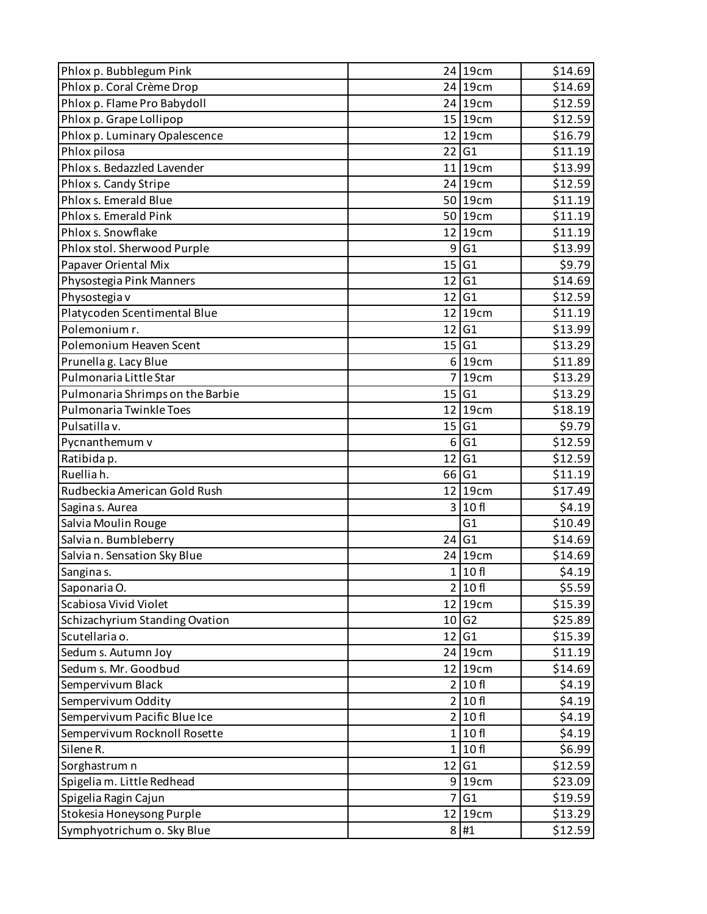| Phlox p. Bubblegum Pink          |          | 24 19cm             | \$14.69 |
|----------------------------------|----------|---------------------|---------|
| Phlox p. Coral Crème Drop        |          | 24 19cm             | \$14.69 |
| Phlox p. Flame Pro Babydoll      |          | 24 19cm             | \$12.59 |
| Phlox p. Grape Lollipop          |          | $15$   19cm         | \$12.59 |
| Phlox p. Luminary Opalescence    |          | 12 19cm             | \$16.79 |
| Phlox pilosa                     |          | $22$ G <sub>1</sub> | \$11.19 |
| Phlox s. Bedazzled Lavender      |          | $11$   19cm         | \$13.99 |
| Phlox s. Candy Stripe            |          | 24 19cm             | \$12.59 |
| Phlox s. Emerald Blue            |          | 50 19cm             | \$11.19 |
| Phlox s. Emerald Pink            |          | 50 19cm             | \$11.19 |
| Phlox s. Snowflake               |          | 12 19cm             | \$11.19 |
| Phlox stol. Sherwood Purple      |          | 9 G1                | \$13.99 |
| Papaver Oriental Mix             |          | 15 G1               | \$9.79  |
| Physostegia Pink Manners         |          | 12 G1               | \$14.69 |
| Physostegia v                    |          | 12 G1               | \$12.59 |
| Platycoden Scentimental Blue     |          | $12$   19cm         | \$11.19 |
| Polemonium r.                    | 12       | G <sub>1</sub>      | \$13.99 |
| Polemonium Heaven Scent          |          | 15 G1               | \$13.29 |
| Prunellag. Lacy Blue             | $6 \mid$ | 19cm                | \$11.89 |
| Pulmonaria Little Star           |          | 7 19cm              | \$13.29 |
| Pulmonaria Shrimps on the Barbie |          | 15 G1               | \$13.29 |
| Pulmonaria Twinkle Toes          | 12       | 19cm                | \$18.19 |
| Pulsatilla v.                    | 15       | G <sub>1</sub>      | \$9.79  |
| Pycnanthemum v                   | $6 \mid$ | G1                  | \$12.59 |
| Ratibida p.                      | 12       | G1                  | \$12.59 |
| Ruelliah.                        | 66 G1    |                     | \$11.19 |
| Rudbeckia American Gold Rush     |          | 12 19cm             | \$17.49 |
| Sagina s. Aurea                  |          | 3 10f               | \$4.19  |
| Salvia Moulin Rouge              |          | G1                  | \$10.49 |
| Salvian. Bumbleberry             |          | 24 G1               | \$14.69 |
| Salvian. Sensation Sky Blue      |          | 24 19cm             | \$14.69 |
| Sanginas.                        |          | 1 10f               | \$4.19  |
| Saponaria O.                     |          | 2 10f               | \$5.59  |
| Scabiosa Vivid Violet            |          | 12 19cm             | \$15.39 |
| Schizachyrium Standing Ovation   |          | 10 G2               | \$25.89 |
| Scutellaria o.                   |          | 12 G1               | \$15.39 |
| Sedum s. Autumn Joy              |          | 24 19cm             | \$11.19 |
| Sedum s. Mr. Goodbud             |          | 12 19cm             | \$14.69 |
| Sempervivum Black                |          | 2 10f               | \$4.19  |
| Sempervivum Oddity               |          | 2 10f               | \$4.19  |
| Sempervivum Pacific Blue Ice     |          | 2 10f               | \$4.19  |
| Sempervivum Rocknoll Rosette     |          | 1 10f               | \$4.19  |
| Silene R.                        |          | 1 10f               | \$6.99  |
| Sorghastrum n                    |          | 12 G1               | \$12.59 |
| Spigelia m. Little Redhead       |          | 9 19cm              | \$23.09 |
| Spigelia Ragin Cajun             |          | 7 G1                | \$19.59 |
| Stokesia Honeysong Purple        |          | 12 19cm             | \$13.29 |
| Symphyotrichum o. Sky Blue       |          | 8 #1                | \$12.59 |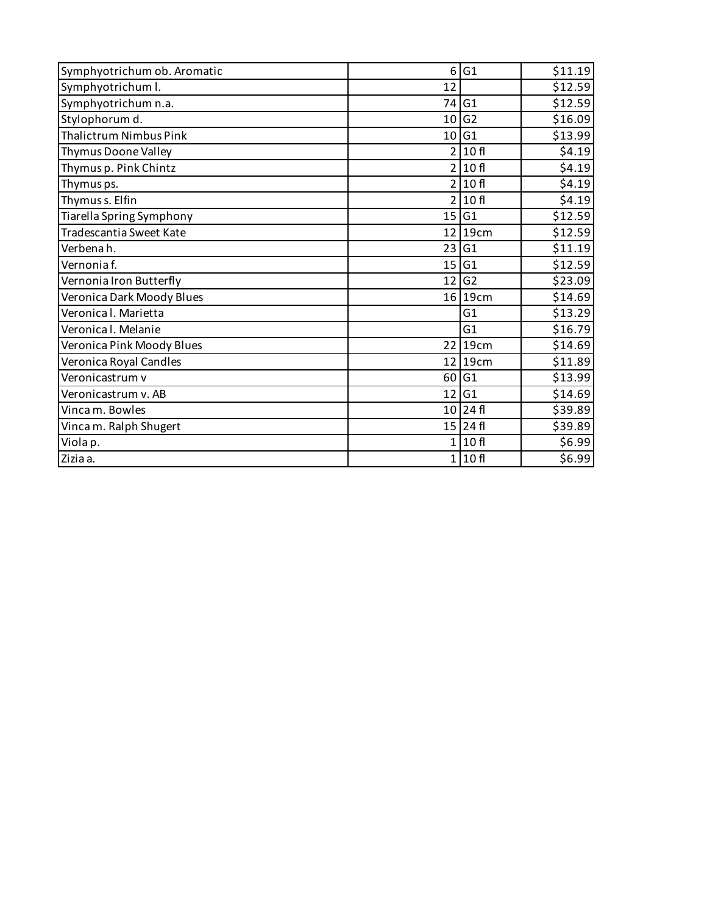| Symphyotrichum ob. Aromatic   | 6 <sup>1</sup>  | G1             | \$11.19 |
|-------------------------------|-----------------|----------------|---------|
| Symphyotrichum I.             | 12              |                | \$12.59 |
| Symphyotrichum n.a.           | 74              | G1             | \$12.59 |
| Stylophorum d.                | 10 <sup>1</sup> | G <sub>2</sub> | \$16.09 |
| <b>Thalictrum Nimbus Pink</b> | 10 <sup>1</sup> | G1             | \$13.99 |
| Thymus Doone Valley           | $\overline{2}$  | 10 fl          | \$4.19  |
| Thymus p. Pink Chintz         |                 | 2 10f          | \$4.19  |
| Thymus ps.                    | 2 <sup>1</sup>  | 10 fl          | \$4.19  |
| Thymus s. Elfin               |                 | 2 10f          | \$4.19  |
| Tiarella Spring Symphony      | 15              | G1             | \$12.59 |
| Tradescantia Sweet Kate       |                 | 12 19cm        | \$12.59 |
| Verbenah.                     | 23              | G1             | \$11.19 |
| Vernonia f.                   | 15 <sub>l</sub> | G1             | \$12.59 |
| Vernonia Iron Butterfly       | 12              | G <sub>2</sub> | \$23.09 |
| Veronica Dark Moody Blues     |                 | 16 19cm        | \$14.69 |
| Veronica I. Marietta          |                 | G1             | \$13.29 |
| Veronica I. Melanie           |                 | G1             | \$16.79 |
| Veronica Pink Moody Blues     | 22 <sub>1</sub> | 19cm           | \$14.69 |
| Veronica Royal Candles        |                 | $12$  19cm     | \$11.89 |
| Veronicastrum v               | 60 l            | G1             | \$13.99 |
| Veronicastrum v. AB           | 12 <sub>1</sub> | G1             | \$14.69 |
| Vinca m. Bowles               |                 | $10$ 24 fl     | \$39.89 |
| Vinca m. Ralph Shugert        |                 | 15 24 fl       | \$39.89 |
| Viola p.                      | 1 <sup>1</sup>  | 10 fl          | \$6.99  |
| Zizia a.                      |                 | 1 10f          | \$6.99  |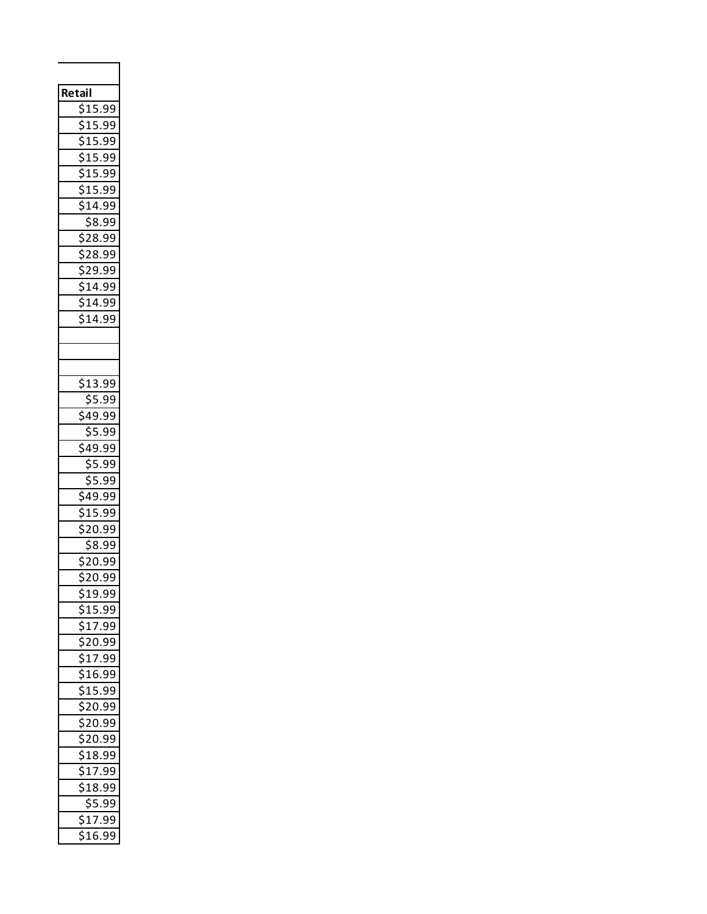| Retail<br>\$15.99<br>\$15.99<br>\$15.99<br>\$<br>15.99<br>.<br>\$15.99<br>\$15.99<br>י<br>ג<br>$\overline{514.99}$<br>$\bar{\$8.99}$<br>\$28.99<br>28.99<br>\$29.99<br>\$14.99<br>$\overline{\$14.99}$<br>14.99<br>∍ |
|----------------------------------------------------------------------------------------------------------------------------------------------------------------------------------------------------------------------|
| 13.99                                                                                                                                                                                                                |
| \$5.99                                                                                                                                                                                                               |
| 49.99ء                                                                                                                                                                                                               |
| \$5.99                                                                                                                                                                                                               |
| $\overline{5}$ 49.99                                                                                                                                                                                                 |
| \$<br>5.99                                                                                                                                                                                                           |
| \$5.99                                                                                                                                                                                                               |
| 49.99                                                                                                                                                                                                                |
| 15.99                                                                                                                                                                                                                |
| 20.99                                                                                                                                                                                                                |
| \$8.99<br>ċ                                                                                                                                                                                                          |
| 20.99<br>ነ20.99                                                                                                                                                                                                      |
| $\frac{519.99}{2}$                                                                                                                                                                                                   |
| ነ15.99                                                                                                                                                                                                               |
| 17.99                                                                                                                                                                                                                |
| 20.99                                                                                                                                                                                                                |
| $\overline{$}17.99$                                                                                                                                                                                                  |
| $\frac{1}{16.99}$                                                                                                                                                                                                    |
| 15.99                                                                                                                                                                                                                |
| $\overline{$}20.99$                                                                                                                                                                                                  |
| \$<br>20.99                                                                                                                                                                                                          |
| $\overline{\xi}$<br>20.99                                                                                                                                                                                            |
| $\overline{$18.99}$<br>\$<br>17.99                                                                                                                                                                                   |
| $\overline{\mathsf{s}}$<br>18.99                                                                                                                                                                                     |
| $\frac{1}{55.99}$                                                                                                                                                                                                    |
| \$<br>517.99                                                                                                                                                                                                         |
| $\overline{516.99}$                                                                                                                                                                                                  |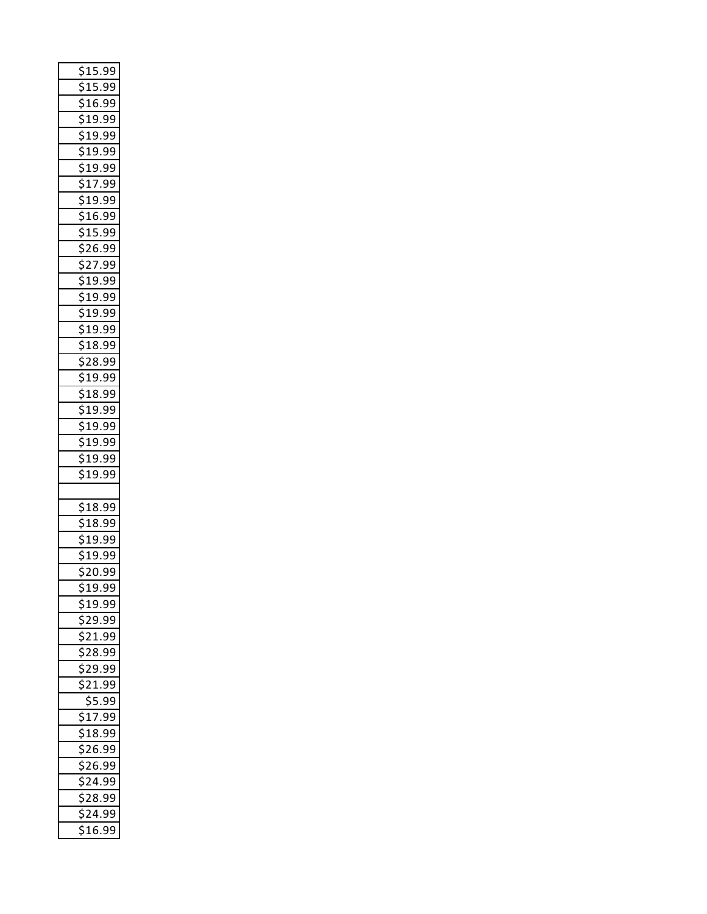| \$15.99                 |
|-------------------------|
| \$15.99                 |
| \$16.99                 |
| \$19.99                 |
| \$19.99                 |
| \$<br>19.99             |
| \$19.99                 |
| \$17.99                 |
| $\overline{\$19.99}$    |
| \$16.99                 |
| \$15.99                 |
| \$26.99                 |
| \$27.99                 |
| \$19.99                 |
| $\overline{$19.99}$     |
| \$19 <u>.99</u>         |
| \$19.99                 |
| $\overline{\$18.99}$    |
| \$28. <u>99</u>         |
| \$19.99                 |
| $\overline{$}18.99$     |
|                         |
| 19.99غ                  |
| \$19.99                 |
| 519.99<br>¢             |
| \$19.99                 |
| \$19.99                 |
|                         |
|                         |
| $\overline{$}18.99$     |
| \$18.99                 |
| \$<br>19.99             |
| \$1<br>9.99             |
| \$20.99                 |
| 519.99                  |
| 519.99                  |
| \$29.99                 |
| \$<br>21.99             |
| $\overline{$}28.99$     |
| \$29.99<br>¢            |
| $\frac{21.99}{ }$       |
| \$5.99                  |
| $\frac{1}{17.99}$<br>¢  |
| 518.99                  |
| \$26.99                 |
| \$26.99                 |
| 5<br>24.99<br>¢         |
| $\overline{$}28.99$     |
| \$24.99<br>_<br>\$16.99 |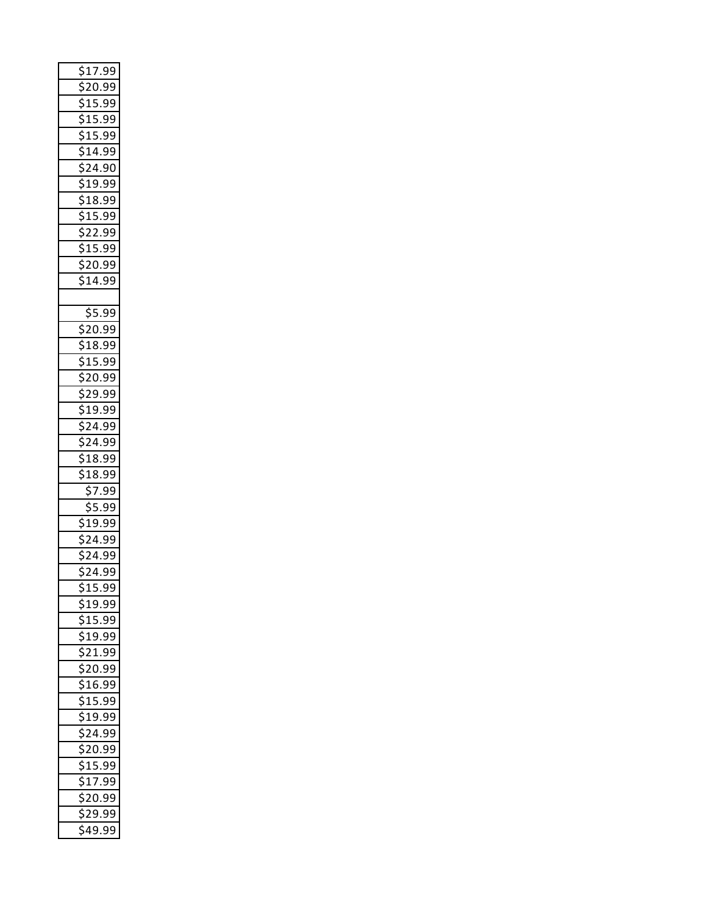| $\frac{1}{220.99}$<br>\$15.99<br>\$15.99 |
|------------------------------------------|
|                                          |
|                                          |
|                                          |
| .<br>S<br>15.99                          |
| \$14.99                                  |
| \$24.90                                  |
| $\frac{2}{519.99}$                       |
| 9<br>518.99                              |
| \$15.99                                  |
| $\sqrt{22.99}$                           |
| <u>\$15.99</u>                           |
| <u>\$20.99</u>                           |
| \$<br>14.99                              |
|                                          |
| \$5.99                                   |
| ś<br>20.99                               |
| <u>\$18.99</u>                           |
| \$15.99                                  |
| $\frac{1}{520.99}$                       |
| \$<br>29.99                              |
| <u>\$19.99</u>                           |
| $\overline{\mathsf{S}}$<br>24.99         |
| \$24.99                                  |
| $$18.\overline{99}$                      |
| .<br>S<br>18.99                          |
| \$7.99                                   |
|                                          |
| \$5.99                                   |
| 19.99                                    |
| \$<br>24.99                              |
| \$24.99                                  |
| \$24.99                                  |
| \$15.99                                  |
| ነ19.99                                   |
| \$<br><u>15.99</u>                       |
| ¢<br>19.99ۂ                              |
| \$21.99                                  |
| .<br>S<br>20.99                          |
| ¢<br>\$16.99                             |
| \$15.99                                  |
| \$19.99                                  |
| ¢<br>\$24.99                             |
| \$20.99                                  |
|                                          |
| \$15 <u>.99</u><br>Ś<br>\$17.99          |
| \$20.99                                  |
| ċ<br>ነ29.99                              |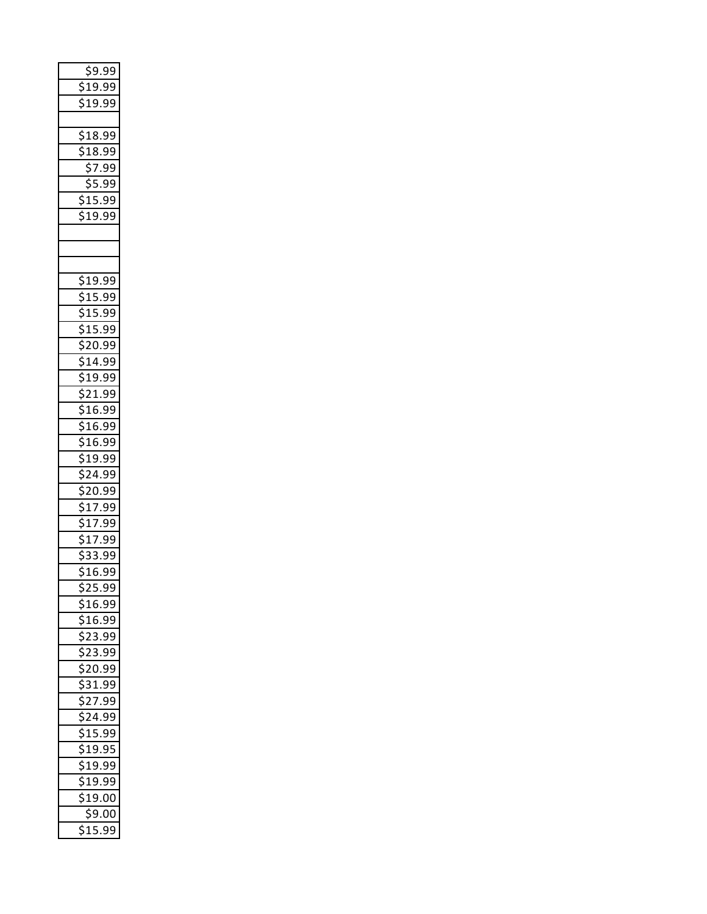| \$9.99<br>\$19.99<br>\$19.99                                                                            |
|---------------------------------------------------------------------------------------------------------|
| $\frac{1}{518.99}$<br><u>18.99</u><br>\$7.99<br>$rac{2}{55.99}$<br>15.99<br>19.99<br>\$                 |
| \$19.99<br><u>\$15.99</u>                                                                               |
| \$15.99<br>$\overline{\xi}$<br>15.99<br><u>\$20.99</u><br><u>\$14.99</u><br>$\frac{25}{519.99}$         |
| \$21.99<br><u>\$16.99</u><br>\$16.99<br><u>\$16.99</u>                                                  |
| <u>\$19.99</u><br>\$24.99<br><u>\$20.99</u><br>\$17.99<br>$\frac{17.99}{ }$<br>$\overline{\frac{1}{2}}$ |
| <u>\$17.99</u><br>\$33.99<br>$\overline{$16.99}$<br>\$25.99                                             |
| 16.99<br>16.99<br>י<br>\$23.99<br><u>\$23.99</u><br>ċ<br>$\frac{1}{2}0.99$                              |
| \$31.99<br>\$27.99<br>$\frac{2}{524.99}$<br>$\frac{1}{515.99}$                                          |
| <u>\$19.95</u><br>$\overline{\mathsf{s}}$<br>19.99<br>¢<br>\$19.99<br>\$<br>19.00<br>\$9.00             |
| 15<br>.99                                                                                               |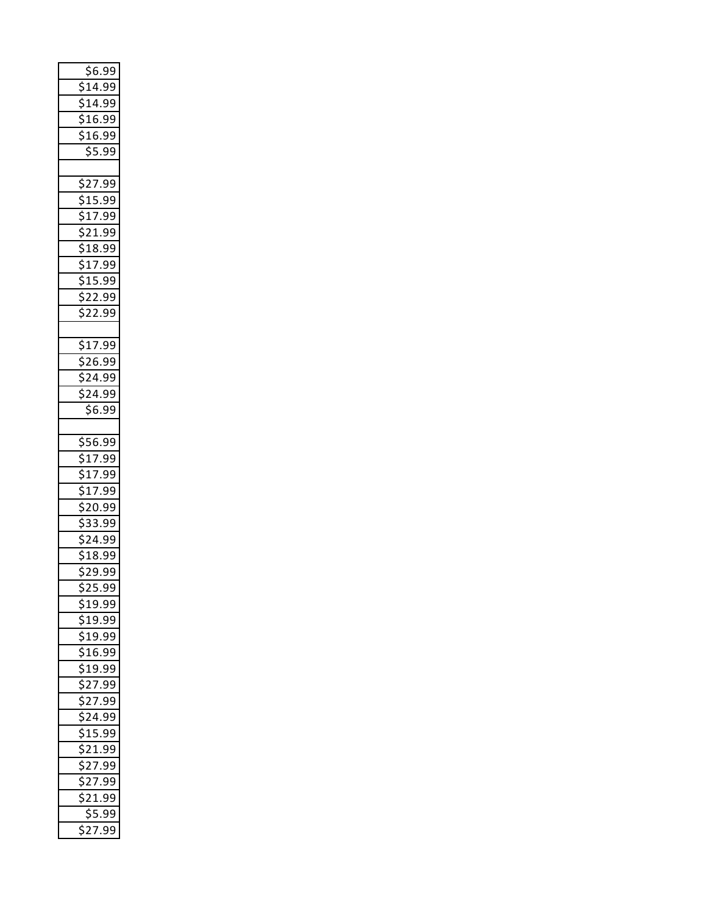|        |                |          | \$6.99              |  |
|--------|----------------|----------|---------------------|--|
|        |                |          | \$14.99             |  |
|        |                |          | \$14.99             |  |
|        |                |          | \$16.99             |  |
|        |                |          | \$16.99             |  |
|        |                |          | $\frac{1}{55.99}$   |  |
|        |                |          |                     |  |
|        |                |          | $\frac{1}{2}$ 27.99 |  |
|        |                |          | \$15.99             |  |
|        |                |          | \$17.99             |  |
|        |                |          | \$21.99             |  |
|        |                |          | $\bar$ \$18.99      |  |
|        |                |          | \$17.99             |  |
|        |                |          | $$15.\overline{99}$ |  |
|        |                |          |                     |  |
|        |                |          | \$22.99             |  |
|        |                |          | \$22.99             |  |
|        |                |          |                     |  |
|        |                |          | \$17.99             |  |
|        |                |          | \$26.99             |  |
|        |                |          | \$24.99             |  |
| ¢      |                |          | ኔ24.99              |  |
|        |                |          | \$6.99              |  |
|        |                |          |                     |  |
|        |                |          |                     |  |
|        |                |          | $\frac{1}{556.99}$  |  |
|        |                |          |                     |  |
| \$     |                |          | $\frac{1}{2}$ 17.99 |  |
|        |                |          | $\frac{1}{17.99}$   |  |
|        |                |          | \$17.99<br>\$20.99  |  |
| \$     |                |          | 33.99               |  |
|        |                |          |                     |  |
|        |                |          | \$24.99<br>\$18.99  |  |
|        |                |          | \$29.99             |  |
|        |                |          |                     |  |
|        |                |          | \$25.99             |  |
|        |                |          | 19.99               |  |
| ċ      |                |          | 19.99               |  |
| ¢      |                |          | 519.99              |  |
|        |                |          | 16.99ۂ              |  |
| \$     |                |          | 19.99               |  |
| ċ<br>ċ |                | 327.     | 99                  |  |
|        |                |          | 27.99               |  |
| \$     |                |          | 24.99               |  |
| ċ      |                |          | 515.99              |  |
| ć      |                |          | $\frac{1}{2}$ 21.99 |  |
|        |                | 27.      | 99                  |  |
| ċ      | $\overline{2}$ | 7.       | 99                  |  |
| ć      | $\overline{c}$ |          | 1.99                |  |
|        | $\overline{2}$ | \$5<br>7 | .99<br>99           |  |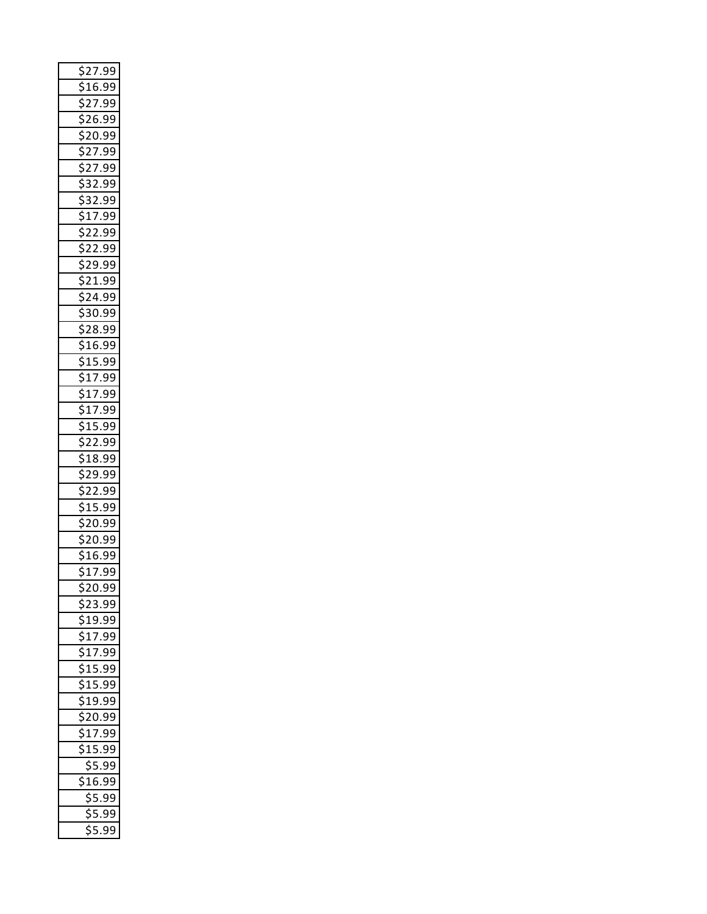| \$27.99                                      |
|----------------------------------------------|
| 16.99                                        |
| $\overline{c}$<br>.99<br>7<br>¢              |
| ¢<br>99<br>26.                               |
| 20.99                                        |
| $\overline{2}$<br>d<br>7<br>.99              |
| $\overline{27}$ .<br>99                      |
| 32.99<br>\$                                  |
| \$<br>32.99                                  |
| $\frac{1}{2}$<br>$\overline{7}$ .<br>99      |
| \$22.99                                      |
| $\overline{22}$<br>.99<br>\$                 |
| 29<br>.99                                    |
| 21.99<br>\$                                  |
| \$<br>24.99                                  |
| \$30.99                                      |
| 28.99<br>\$                                  |
| \$<br>16.99                                  |
| \$15.99                                      |
| \$17.99                                      |
| $\overline{17}$<br>\$<br>.99                 |
| \$17.99                                      |
| $$15.\overline{99}$                          |
| .99<br>$\overline{22}$<br>Ś                  |
| 18.<br>99                                    |
| 29.99                                        |
| ς<br>$\overline{c}$<br>.99<br>$\overline{c}$ |
| $\mathbf{1}$<br>5<br>99                      |
| 20.99<br>\$                                  |
| ς<br>20.99                                   |
| 16.9<br>99                                   |
| \$17.99                                      |
| ኔ20.99                                       |
| <u>523.99</u>                                |
| 19.99                                        |
| $\frac{17.99}{2}$<br>5<br>¢                  |
| \$1 <u>7.</u><br>99                          |
| \$15.99                                      |
| 5<br>15.99<br>¢                              |
| $\overline{$}19.99$                          |
| $$20.\overline{99}$                          |
| \$<br>$\frac{17.99}{ }$                      |
| $\overline{$}15.99$                          |
| \$5.99                                       |
| 316.99                                       |
| \$5.99                                       |
| $\frac{1}{55.99}$                            |
| \$5.99                                       |
|                                              |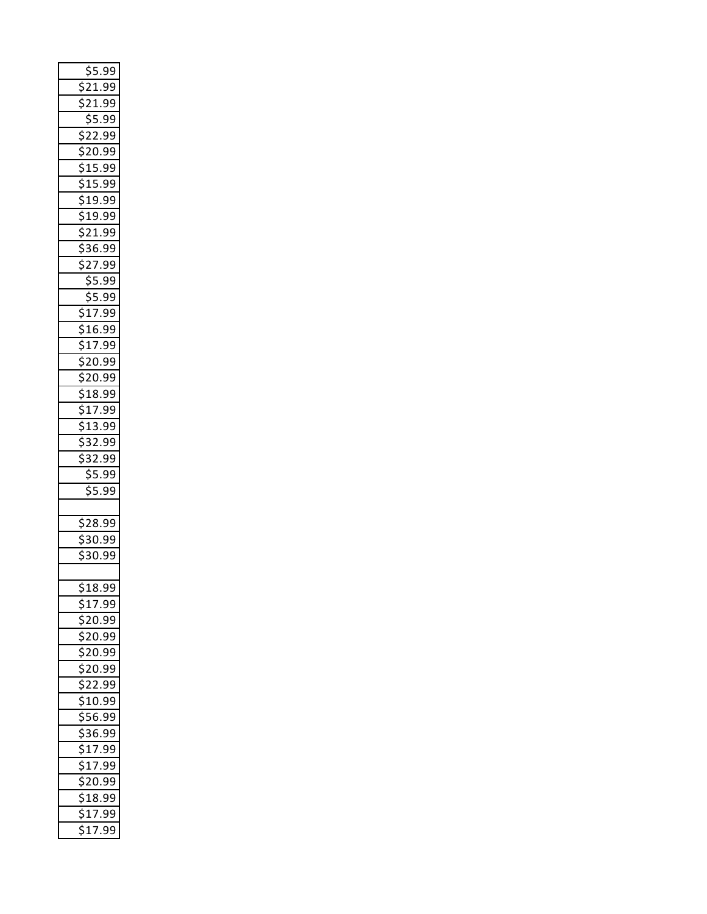| <u>\$5.99</u>                |
|------------------------------|
| $\overline{2}$ 1.99          |
| 21.99                        |
| \$5.99                       |
| $\tilde{\varsigma}$<br>22.99 |
| 20.99                        |
|                              |
| \$15.99                      |
| \$15.99                      |
| \$19.99                      |
| \$19.99                      |
| \$21.99                      |
| \$36.99                      |
| \$27.99                      |
| \$5.99                       |
| $\frac{1}{55.99}$            |
|                              |
| $\frac{1}{17.99}$            |
| \$16.99                      |
| \$17.99                      |
| $\overline{$}20.99$          |
| $$20.\overline{99}$          |
| \$18.99                      |
| $\sqrt{517.99}$              |
|                              |
| $$13.\overline{99}$          |
| \$32.99                      |
| $\frac{1}{532.99}$           |
|                              |
| \$5.99                       |
| \$5.99                       |
|                              |
| $$28.\overline{99}$          |
| 30.99                        |
| 9Ś<br>30.9<br>)              |
|                              |
| \$18.99                      |
|                              |
| 517.99                       |
| \$20.99<br>\$                |
| 20.99                        |
| \$20.99                      |
| \$20.99                      |
| \$<br>22.99                  |
| $\overline{$}10.99$          |
| \$56.99                      |
| \$36.99                      |
| $\sqrt{517.99}$              |
| \$17.99                      |
| \$<br>20.99<br>¢             |
| \$1 <u>8.99</u>              |
| \$17.99<br>$\frac{1}{2}$ .99 |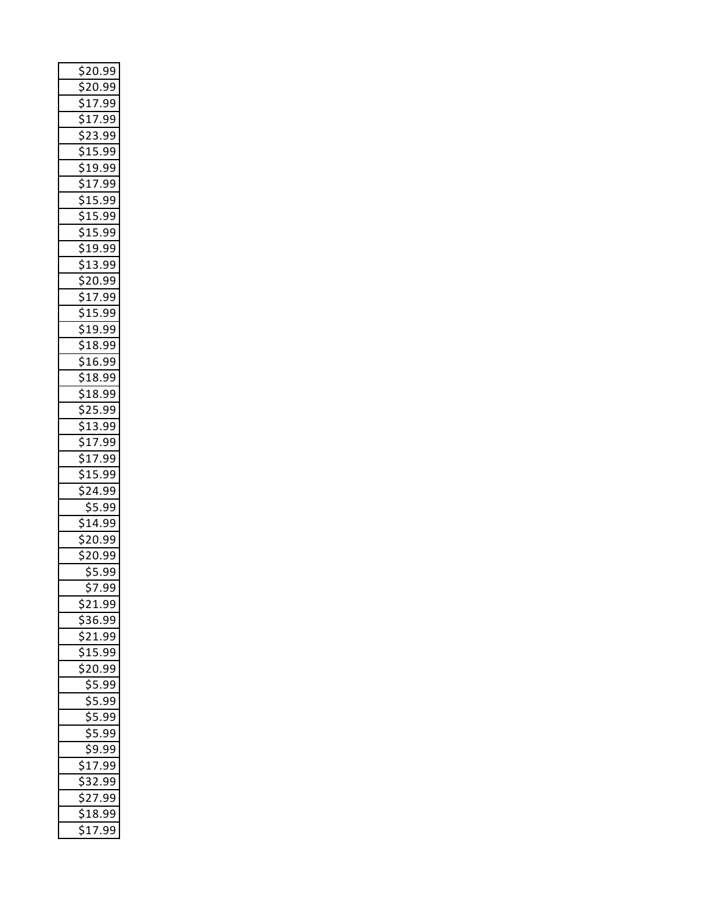| \$20.99                            |
|------------------------------------|
| \$20.99                            |
| 5<br>17.99                         |
| $\overline{\frac{1}{517}}$ .<br>99 |
| \$23.99                            |
| \$<br>$15.\overline{99}$           |
| \$19<br>.99                        |
| \$17.99                            |
| $\overline{15}$<br>\$<br>.99       |
| \$15.99                            |
| $$15.\overline{99}$                |
| 5<br>19.99<br>ś                    |
| \$13.<br>99                        |
| $$20.\overline{99}$                |
| \$<br>17.99                        |
| \$15.99                            |
| \$19.99                            |
| 5<br>$\epsilon$<br>18.99           |
| \$16.99                            |
| \$18.99                            |
| \$<br>18.99                        |
| 25.99                              |
| $$13.\overline{99}$                |
| 17.99<br>5<br>¢                    |
| $\frac{1}{517.99}$                 |
| 15.99<br>5                         |
| $24.\overline{99}$<br>$\epsilon$   |
| 5.99                               |
| \$<br>14.99                        |
| 20.99                              |
| 20.9<br>$\frac{1}{2}$<br>€         |
| \$5.99                             |
| \$7.99                             |
| ċ<br><u>1.99?</u>                  |
| 36.99                              |
| 21.99                              |
| <u>15.99</u>                       |
| 20.99                              |
| $\overline{5}$ .99                 |
| \$5.99                             |
| $\frac{55.99}{5}$                  |
| \$5.99                             |
| \$9.99                             |
| 17.99<br>\$                        |
| $\frac{1}{32.99}$                  |
| $\overline{27.99}$                 |
| 18.99                              |
| 17.99<br>Ś                         |
|                                    |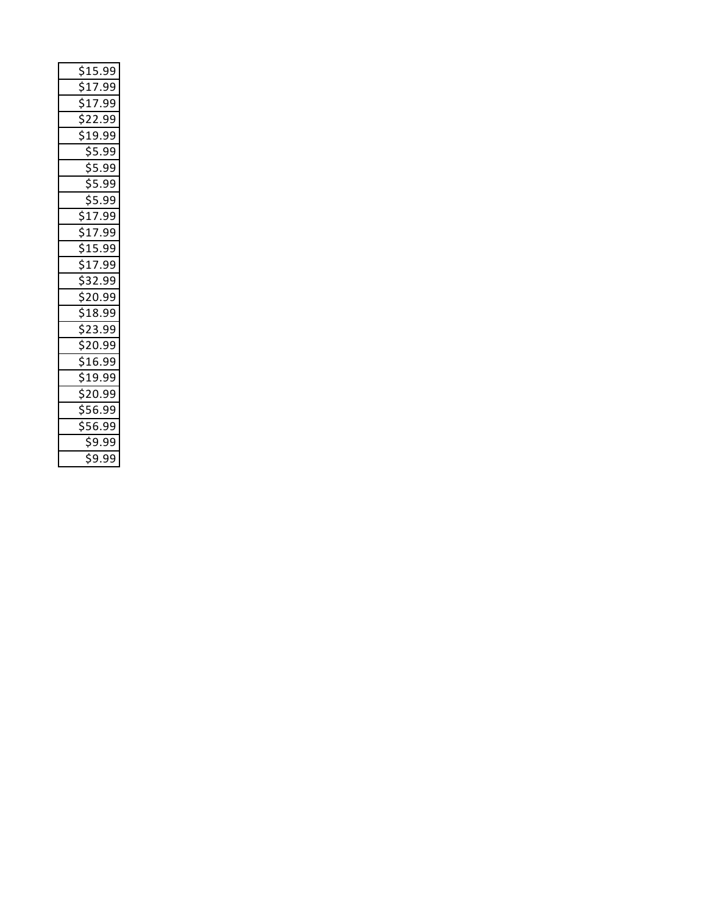| \$15.99                                                                                                                                                                                                                                                                                                                                                                                                                                                                                                                              |
|--------------------------------------------------------------------------------------------------------------------------------------------------------------------------------------------------------------------------------------------------------------------------------------------------------------------------------------------------------------------------------------------------------------------------------------------------------------------------------------------------------------------------------------|
|                                                                                                                                                                                                                                                                                                                                                                                                                                                                                                                                      |
|                                                                                                                                                                                                                                                                                                                                                                                                                                                                                                                                      |
|                                                                                                                                                                                                                                                                                                                                                                                                                                                                                                                                      |
|                                                                                                                                                                                                                                                                                                                                                                                                                                                                                                                                      |
|                                                                                                                                                                                                                                                                                                                                                                                                                                                                                                                                      |
|                                                                                                                                                                                                                                                                                                                                                                                                                                                                                                                                      |
|                                                                                                                                                                                                                                                                                                                                                                                                                                                                                                                                      |
|                                                                                                                                                                                                                                                                                                                                                                                                                                                                                                                                      |
|                                                                                                                                                                                                                                                                                                                                                                                                                                                                                                                                      |
|                                                                                                                                                                                                                                                                                                                                                                                                                                                                                                                                      |
|                                                                                                                                                                                                                                                                                                                                                                                                                                                                                                                                      |
|                                                                                                                                                                                                                                                                                                                                                                                                                                                                                                                                      |
|                                                                                                                                                                                                                                                                                                                                                                                                                                                                                                                                      |
|                                                                                                                                                                                                                                                                                                                                                                                                                                                                                                                                      |
|                                                                                                                                                                                                                                                                                                                                                                                                                                                                                                                                      |
|                                                                                                                                                                                                                                                                                                                                                                                                                                                                                                                                      |
|                                                                                                                                                                                                                                                                                                                                                                                                                                                                                                                                      |
|                                                                                                                                                                                                                                                                                                                                                                                                                                                                                                                                      |
|                                                                                                                                                                                                                                                                                                                                                                                                                                                                                                                                      |
| $\begin{array}{r} \textcolor{red}{\textbf{\textcolor{red}{\textbf{5}}}17.99} \textcolor{red}{\textcolor{red}{\textbf{5}}} \textcolor{red}{\textbf{\textcolor{red}{\textbf{5}}}17.99} \textcolor{red}{\textcolor{red}{\textbf{5}}} \textcolor{red}{\textbf{\textcolor{red}{\textbf{5}}}21.99} \textcolor{red}{\textcolor{red}{\textbf{5}}} \textcolor{red}{\textbf{\textcolor{red}{\textbf{5}}}22.99} \textcolor{red}{\textcolor{red}{\textbf{5}}} \textcolor{red}{\textbf{\textcolor{red}{\textbf{5}}}5}} \textcolor{red}{\textbf{\$ |
|                                                                                                                                                                                                                                                                                                                                                                                                                                                                                                                                      |
|                                                                                                                                                                                                                                                                                                                                                                                                                                                                                                                                      |
| \$9.99<br>\$9.99                                                                                                                                                                                                                                                                                                                                                                                                                                                                                                                     |
|                                                                                                                                                                                                                                                                                                                                                                                                                                                                                                                                      |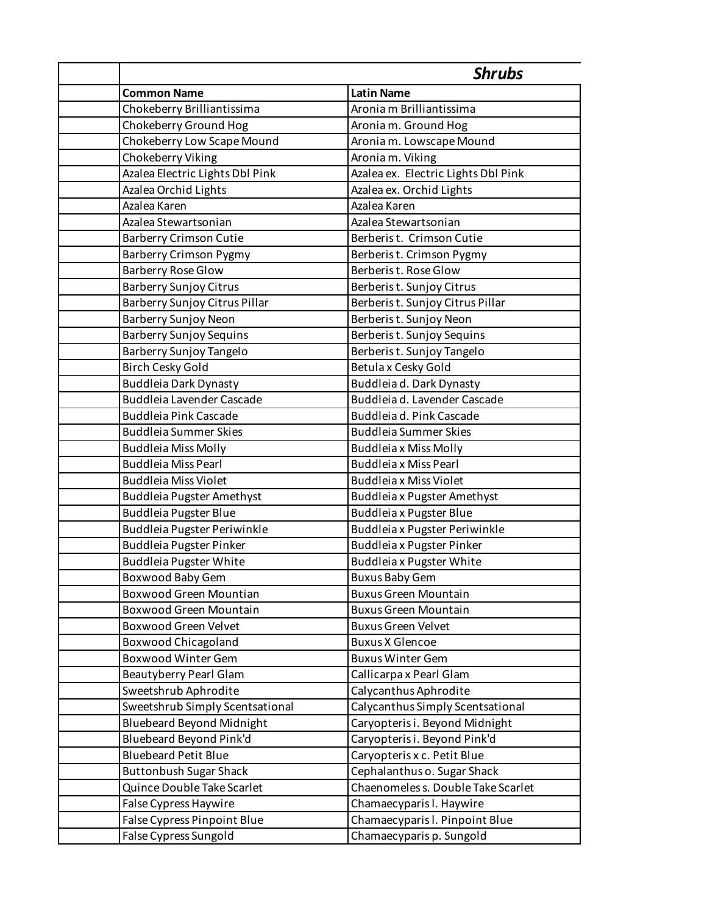|                                  | <b>Shrubs</b>                       |
|----------------------------------|-------------------------------------|
| <b>Common Name</b>               | <b>Latin Name</b>                   |
| Chokeberry Brilliantissima       | Aronia m Brilliantissima            |
| Chokeberry Ground Hog            | Aronia m. Ground Hog                |
| Chokeberry Low Scape Mound       | Aronia m. Lowscape Mound            |
| Chokeberry Viking                | Aronia m. Viking                    |
| Azalea Electric Lights Dbl Pink  | Azalea ex. Electric Lights Dbl Pink |
| Azalea Orchid Lights             | Azalea ex. Orchid Lights            |
| Azalea Karen                     | Azalea Karen                        |
| Azalea Stewartsonian             | Azalea Stewartsonian                |
| <b>Barberry Crimson Cutie</b>    | Berberist. Crimson Cutie            |
| <b>Barberry Crimson Pygmy</b>    | Berberist. Crimson Pygmy            |
| <b>Barberry Rose Glow</b>        | Berberist. Rose Glow                |
| <b>Barberry Sunjoy Citrus</b>    | Berberist. Sunjoy Citrus            |
| Barberry Sunjoy Citrus Pillar    | Berberist. Sunjoy Citrus Pillar     |
| Barberry Sunjoy Neon             | Berberist. Sunjoy Neon              |
| <b>Barberry Sunjoy Sequins</b>   | Berberist. Sunjoy Sequins           |
| Barberry Sunjoy Tangelo          | Berberist. Sunjoy Tangelo           |
| <b>Birch Cesky Gold</b>          | Betula x Cesky Gold                 |
| <b>Buddleia Dark Dynasty</b>     | Buddleia d. Dark Dynasty            |
| <b>Buddleia Lavender Cascade</b> | Buddleia d. Lavender Cascade        |
| <b>Buddleia Pink Cascade</b>     | Buddleia d. Pink Cascade            |
| <b>Buddleia Summer Skies</b>     | <b>Buddleia Summer Skies</b>        |
| <b>Buddleia Miss Molly</b>       | <b>Buddleia x Miss Molly</b>        |
| <b>Buddleia Miss Pearl</b>       | <b>Buddleia x Miss Pearl</b>        |
| <b>Buddleia Miss Violet</b>      | <b>Buddleia x Miss Violet</b>       |
| <b>Buddleia Pugster Amethyst</b> | <b>Buddleia x Pugster Amethyst</b>  |
| <b>Buddleia Pugster Blue</b>     | <b>Buddleia x Pugster Blue</b>      |
| Buddleia Pugster Periwinkle      | Buddleia x Pugster Periwinkle       |
| <b>Buddleia Pugster Pinker</b>   | Buddleia x Pugster Pinker           |
| <b>Buddleia Pugster White</b>    | <b>Buddleia x Pugster White</b>     |
| Boxwood Baby Gem                 | <b>Buxus Baby Gem</b>               |
| <b>Boxwood Green Mountian</b>    | <b>Buxus Green Mountain</b>         |
| <b>Boxwood Green Mountain</b>    | <b>Buxus Green Mountain</b>         |
| <b>Boxwood Green Velvet</b>      | <b>Buxus Green Velvet</b>           |
| <b>Boxwood Chicagoland</b>       | <b>Buxus X Glencoe</b>              |
| <b>Boxwood Winter Gem</b>        | <b>Buxus Winter Gem</b>             |
| <b>Beautyberry Pearl Glam</b>    | Callicarpa x Pearl Glam             |
| Sweetshrub Aphrodite             | Calycanthus Aphrodite               |
| Sweetshrub Simply Scentsational  | Calycanthus Simply Scentsational    |
| <b>Bluebeard Beyond Midnight</b> | Caryopteris i. Beyond Midnight      |
| <b>Bluebeard Beyond Pink'd</b>   | Caryopteris i. Beyond Pink'd        |
| <b>Bluebeard Petit Blue</b>      | Caryopteris x c. Petit Blue         |
| <b>Buttonbush Sugar Shack</b>    | Cephalanthus o. Sugar Shack         |
| Quince Double Take Scarlet       | Chaenomeles s. Double Take Scarlet  |
| False Cypress Haywire            | Chamaecyparis I. Haywire            |
| False Cypress Pinpoint Blue      | Chamaecyparis I. Pinpoint Blue      |
| False Cypress Sungold            | Chamaecyparis p. Sungold            |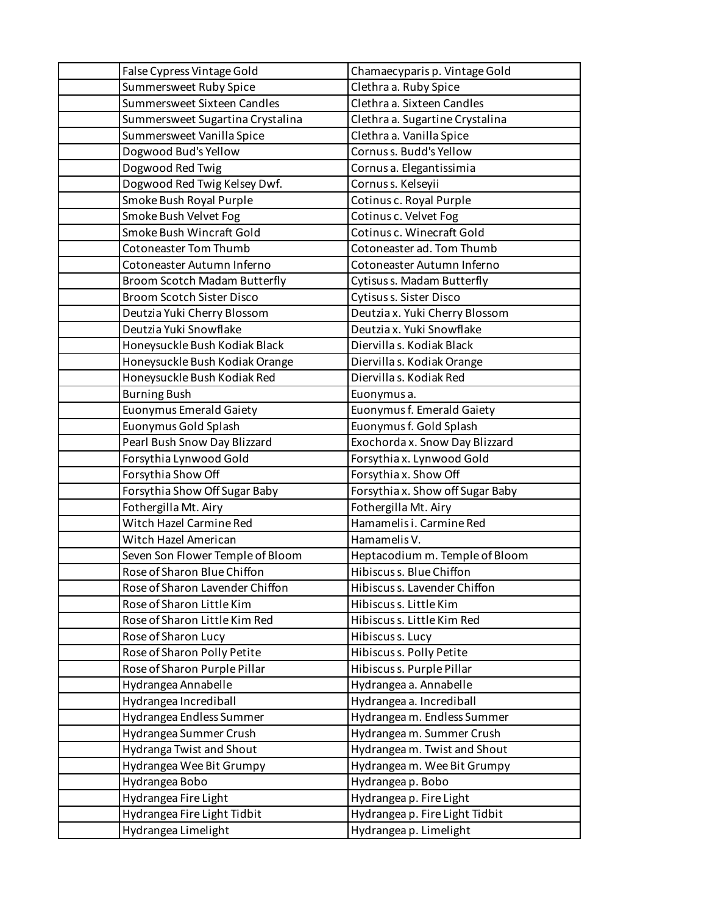| False Cypress Vintage Gold       | Chamaecyparis p. Vintage Gold    |
|----------------------------------|----------------------------------|
| Summersweet Ruby Spice           | Clethra a. Ruby Spice            |
| Summersweet Sixteen Candles      | Clethra a. Sixteen Candles       |
| Summersweet Sugartina Crystalina | Clethra a. Sugartine Crystalina  |
| Summersweet Vanilla Spice        | Clethra a. Vanilla Spice         |
| Dogwood Bud's Yellow             | Cornus s. Budd's Yellow          |
| Dogwood Red Twig                 | Cornus a. Elegantissimia         |
| Dogwood Red Twig Kelsey Dwf.     | Cornus s. Kelseyii               |
| Smoke Bush Royal Purple          | Cotinus c. Royal Purple          |
| Smoke Bush Velvet Fog            | Cotinus c. Velvet Fog            |
| Smoke Bush Wincraft Gold         | Cotinus c. Winecraft Gold        |
| <b>Cotoneaster Tom Thumb</b>     | Cotoneaster ad. Tom Thumb        |
| Cotoneaster Autumn Inferno       | Cotoneaster Autumn Inferno       |
| Broom Scotch Madam Butterfly     | Cytisus s. Madam Butterfly       |
| <b>Broom Scotch Sister Disco</b> | Cytisus s. Sister Disco          |
| Deutzia Yuki Cherry Blossom      | Deutzia x. Yuki Cherry Blossom   |
| Deutzia Yuki Snowflake           | Deutzia x. Yuki Snowflake        |
| Honeysuckle Bush Kodiak Black    | Diervilla s. Kodiak Black        |
| Honeysuckle Bush Kodiak Orange   | Diervilla s. Kodiak Orange       |
| Honeysuckle Bush Kodiak Red      | Diervilla s. Kodiak Red          |
| <b>Burning Bush</b>              | Euonymus a.                      |
| Euonymus Emerald Gaiety          | Euonymus f. Emerald Gaiety       |
| Euonymus Gold Splash             | Euonymus f. Gold Splash          |
| Pearl Bush Snow Day Blizzard     | Exochorda x. Snow Day Blizzard   |
| Forsythia Lynwood Gold           | Forsythia x. Lynwood Gold        |
| Forsythia Show Off               | Forsythia x. Show Off            |
| Forsythia Show Off Sugar Baby    | Forsythia x. Show off Sugar Baby |
| Fothergilla Mt. Airy             | Fothergilla Mt. Airy             |
| Witch Hazel Carmine Red          | Hamamelis i. Carmine Red         |
| Witch Hazel American             | Hamamelis V.                     |
| Seven Son Flower Temple of Bloom | Heptacodium m. Temple of Bloom   |
| Rose of Sharon Blue Chiffon      | Hibiscus s. Blue Chiffon         |
| Rose of Sharon Lavender Chiffon  | Hibiscus s. Lavender Chiffon     |
| Rose of Sharon Little Kim        | Hibiscus s. Little Kim           |
| Rose of Sharon Little Kim Red    | Hibiscus s. Little Kim Red       |
| Rose of Sharon Lucy              | Hibiscus s. Lucy                 |
| Rose of Sharon Polly Petite      | Hibiscus s. Polly Petite         |
| Rose of Sharon Purple Pillar     | Hibiscus s. Purple Pillar        |
| Hydrangea Annabelle              | Hydrangea a. Annabelle           |
| Hydrangea Incrediball            | Hydrangea a. Incrediball         |
| Hydrangea Endless Summer         | Hydrangea m. Endless Summer      |
| Hydrangea Summer Crush           | Hydrangea m. Summer Crush        |
| Hydranga Twist and Shout         | Hydrangea m. Twist and Shout     |
| Hydrangea Wee Bit Grumpy         | Hydrangeam. Wee Bit Grumpy       |
| Hydrangea Bobo                   | Hydrangea p. Bobo                |
| Hydrangea Fire Light             | Hydrangea p. Fire Light          |
| Hydrangea Fire Light Tidbit      | Hydrangeap. Fire Light Tidbit    |
| Hydrangea Limelight              | Hydrangea p. Limelight           |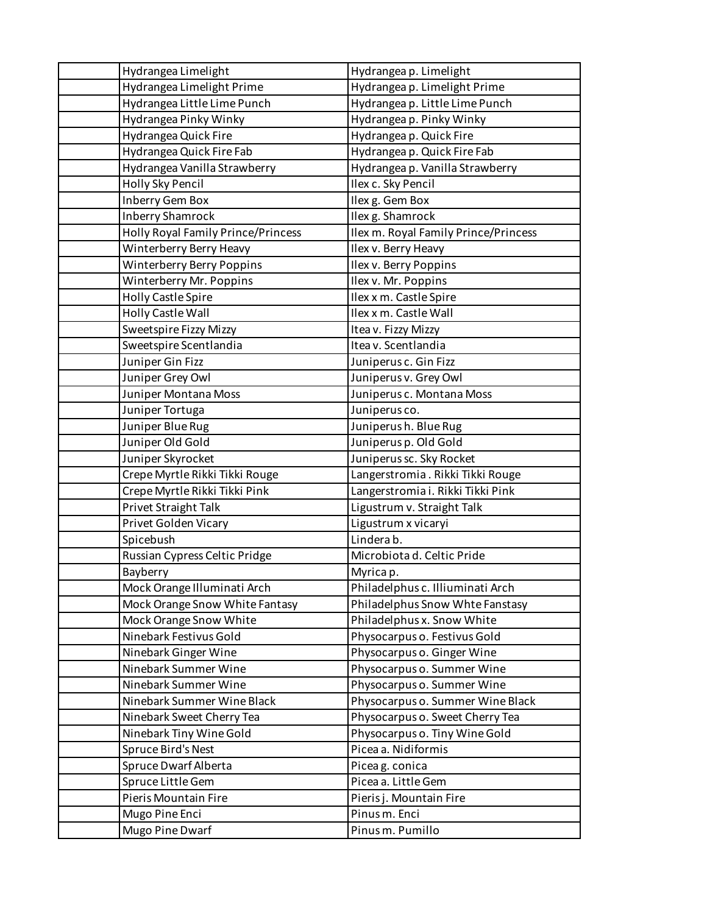| Hydrangea Limelight                       | Hydrangea p. Limelight               |
|-------------------------------------------|--------------------------------------|
| Hydrangea Limelight Prime                 | Hydrangea p. Limelight Prime         |
| Hydrangea Little Lime Punch               | Hydrangea p. Little Lime Punch       |
| Hydrangea Pinky Winky                     | Hydrangea p. Pinky Winky             |
| Hydrangea Quick Fire                      | Hydrangea p. Quick Fire              |
| Hydrangea Quick Fire Fab                  | Hydrangea p. Quick Fire Fab          |
| Hydrangea Vanilla Strawberry              | Hydrangea p. Vanilla Strawberry      |
| Holly Sky Pencil                          | Ilex c. Sky Pencil                   |
| Inberry Gem Box                           | Ilex g. Gem Box                      |
| <b>Inberry Shamrock</b>                   | Ilex g. Shamrock                     |
| <b>Holly Royal Family Prince/Princess</b> | Ilex m. Royal Family Prince/Princess |
| Winterberry Berry Heavy                   | Ilex v. Berry Heavy                  |
| <b>Winterberry Berry Poppins</b>          | Ilex v. Berry Poppins                |
| Winterberry Mr. Poppins                   | Ilex v. Mr. Poppins                  |
| Holly Castle Spire                        | Ilex x m. Castle Spire               |
| Holly Castle Wall                         | Ilex x m. Castle Wall                |
| Sweetspire Fizzy Mizzy                    | Itea v. Fizzy Mizzy                  |
| Sweetspire Scentlandia                    | Itea v. Scentlandia                  |
| Juniper Gin Fizz                          | Juniperus c. Gin Fizz                |
| Juniper Grey Owl                          | Juniperus v. Grey Owl                |
| Juniper Montana Moss                      | Juniperus c. Montana Moss            |
| Juniper Tortuga                           | Juniperus co.                        |
| Juniper Blue Rug                          | Juniperush. Blue Rug                 |
| Juniper Old Gold                          | Juniperus p. Old Gold                |
| Juniper Skyrocket                         | Juniperus sc. Sky Rocket             |
| Crepe Myrtle Rikki Tikki Rouge            | Langerstromia. Rikki Tikki Rouge     |
| Crepe Myrtle Rikki Tikki Pink             | Langerstromia i. Rikki Tikki Pink    |
| Privet Straight Talk                      | Ligustrum v. Straight Talk           |
| Privet Golden Vicary                      | Ligustrum x vicaryi                  |
| Spicebush                                 | Linderab.                            |
| Russian Cypress Celtic Pridge             | Microbiota d. Celtic Pride           |
| Bayberry                                  | Myrica p.                            |
| Mock Orange Illuminati Arch               | Philadelphus c. Illiuminati Arch     |
| Mock Orange Snow White Fantasy            | Philadelphus Snow Whte Fanstasy      |
| Mock Orange Snow White                    | Philadelphus x. Snow White           |
| Ninebark Festivus Gold                    | Physocarpus o. Festivus Gold         |
| Ninebark Ginger Wine                      | Physocarpus o. Ginger Wine           |
| Ninebark Summer Wine                      | Physocarpus o. Summer Wine           |
| Ninebark Summer Wine                      | Physocarpus o. Summer Wine           |
| Ninebark Summer Wine Black                | Physocarpus o. Summer Wine Black     |
| Ninebark Sweet Cherry Tea                 | Physocarpus o. Sweet Cherry Tea      |
| Ninebark Tiny Wine Gold                   | Physocarpus o. Tiny Wine Gold        |
| Spruce Bird's Nest                        | Picea a. Nidiformis                  |
| Spruce Dwarf Alberta                      | Piceag. conica                       |
| Spruce Little Gem                         | Picea a. Little Gem                  |
| Pieris Mountain Fire                      | Pieris j. Mountain Fire              |
| Mugo Pine Enci                            | Pinus m. Enci                        |
| Mugo Pine Dwarf                           | Pinus m. Pumillo                     |
|                                           |                                      |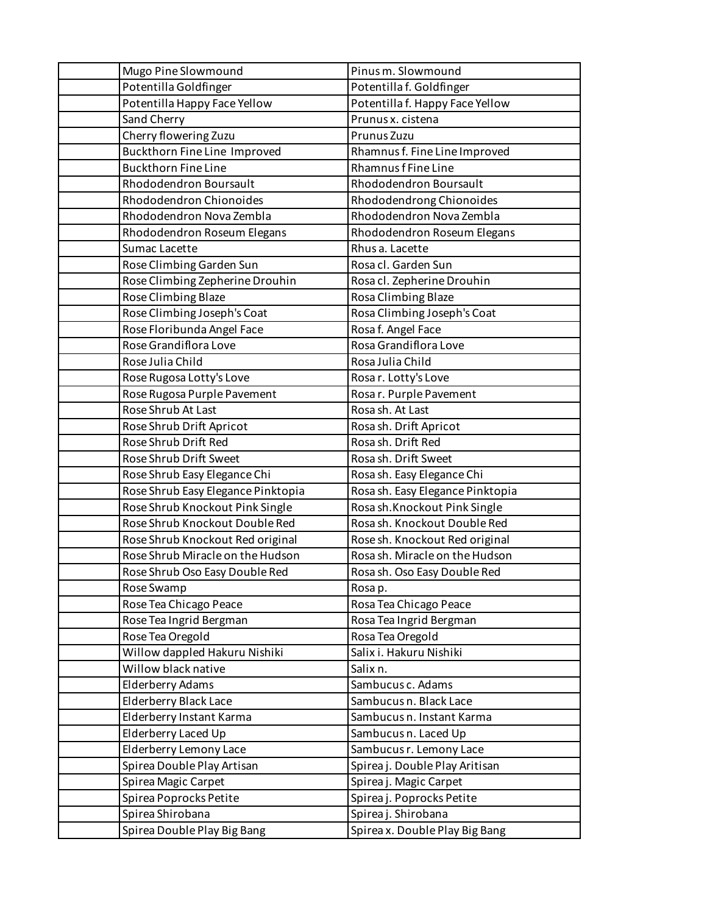| Mugo Pine Slowmound          |                                    | Pinus m. Slowmound               |
|------------------------------|------------------------------------|----------------------------------|
| Potentilla Goldfinger        |                                    | Potentilla f. Goldfinger         |
|                              | Potentilla Happy Face Yellow       | Potentilla f. Happy Face Yellow  |
| Sand Cherry                  |                                    | Prunus x. cistena                |
| Cherry flowering Zuzu        |                                    | Prunus Zuzu                      |
|                              | Buckthorn Fine Line Improved       | Rhamnus f. Fine Line Improved    |
| <b>Buckthorn Fine Line</b>   |                                    | Rhamnus f Fine Line              |
| Rhododendron Boursault       |                                    | Rhododendron Boursault           |
| Rhododendron Chionoides      |                                    | Rhododendrong Chionoides         |
|                              | Rhododendron Nova Zembla           | Rhododendron Nova Zembla         |
|                              | Rhododendron Roseum Elegans        | Rhododendron Roseum Elegans      |
| Sumac Lacette                |                                    | Rhus a. Lacette                  |
| Rose Climbing Garden Sun     |                                    | Rosa cl. Garden Sun              |
|                              | Rose Climbing Zepherine Drouhin    | Rosa cl. Zepherine Drouhin       |
| Rose Climbing Blaze          |                                    | Rosa Climbing Blaze              |
|                              | Rose Climbing Joseph's Coat        | Rosa Climbing Joseph's Coat      |
| Rose Floribunda Angel Face   |                                    | Rosa f. Angel Face               |
| Rose Grandiflora Love        |                                    | Rosa Grandiflora Love            |
| Rose Julia Child             |                                    | Rosa Julia Child                 |
| Rose Rugosa Lotty's Love     |                                    | Rosar. Lotty's Love              |
|                              | Rose Rugosa Purple Pavement        | Rosa r. Purple Pavement          |
| Rose Shrub At Last           |                                    | Rosa sh. At Last                 |
| Rose Shrub Drift Apricot     |                                    | Rosa sh. Drift Apricot           |
| Rose Shrub Drift Red         |                                    | Rosa sh. Drift Red               |
| Rose Shrub Drift Sweet       |                                    | Rosa sh. Drift Sweet             |
|                              | Rose Shrub Easy Elegance Chi       | Rosa sh. Easy Elegance Chi       |
|                              | Rose Shrub Easy Elegance Pinktopia | Rosa sh. Easy Elegance Pinktopia |
|                              | Rose Shrub Knockout Pink Single    | Rosa sh.Knockout Pink Single     |
|                              | Rose Shrub Knockout Double Red     | Rosa sh. Knockout Double Red     |
|                              | Rose Shrub Knockout Red original   | Rose sh. Knockout Red original   |
|                              | Rose Shrub Miracle on the Hudson   | Rosa sh. Miracle on the Hudson   |
|                              | Rose Shrub Oso Easy Double Red     | Rosa sh. Oso Easy Double Red     |
| Rose Swamp                   |                                    | Rosa p.                          |
| Rose Tea Chicago Peace       |                                    | Rosa Tea Chicago Peace           |
| Rose Tea Ingrid Bergman      |                                    | Rosa Tea Ingrid Bergman          |
| Rose Tea Oregold             |                                    | Rosa Tea Oregold                 |
|                              | Willow dappled Hakuru Nishiki      | Salix i. Hakuru Nishiki          |
| Willow black native          |                                    | Salix n.                         |
| <b>Elderberry Adams</b>      |                                    | Sambucus c. Adams                |
| <b>Elderberry Black Lace</b> |                                    | Sambucus n. Black Lace           |
| Elderberry Instant Karma     |                                    | Sambucus n. Instant Karma        |
| Elderberry Laced Up          |                                    | Sambucus n. Laced Up             |
| Elderberry Lemony Lace       |                                    | Sambucus r. Lemony Lace          |
| Spirea Double Play Artisan   |                                    | Spirea j. Double Play Aritisan   |
| Spirea Magic Carpet          |                                    | Spirea j. Magic Carpet           |
| Spirea Poprocks Petite       |                                    | Spirea j. Poprocks Petite        |
| Spirea Shirobana             |                                    | Spirea j. Shirobana              |
|                              | Spirea Double Play Big Bang        | Spirea x. Double Play Big Bang   |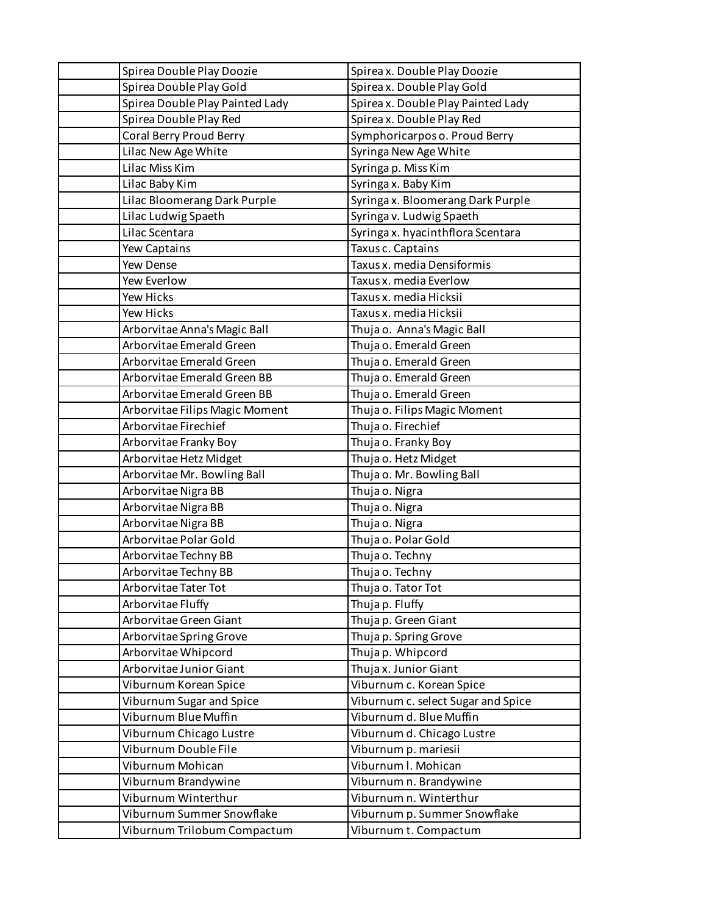| Spirea Double Play Doozie       | Spirea x. Double Play Doozie       |
|---------------------------------|------------------------------------|
| Spirea Double Play Gold         | Spirea x. Double Play Gold         |
| Spirea Double Play Painted Lady | Spirea x. Double Play Painted Lady |
| Spirea Double Play Red          | Spirea x. Double Play Red          |
| Coral Berry Proud Berry         | Symphoricarpos o. Proud Berry      |
| Lilac New Age White             | Syringa New Age White              |
| Lilac Miss Kim                  | Syringa p. Miss Kim                |
| Lilac Baby Kim                  | Syringa x. Baby Kim                |
| Lilac Bloomerang Dark Purple    | Syringa x. Bloomerang Dark Purple  |
| Lilac Ludwig Spaeth             | Syringa v. Ludwig Spaeth           |
| Lilac Scentara                  | Syringa x. hyacinthflora Scentara  |
| Yew Captains                    | Taxus c. Captains                  |
| Yew Dense                       | Taxus x. media Densiformis         |
| Yew Everlow                     | Taxus x. media Everlow             |
| Yew Hicks                       | Taxus x. media Hicksii             |
| Yew Hicks                       | Taxus x. media Hicksii             |
| Arborvitae Anna's Magic Ball    | Thuja o. Anna's Magic Ball         |
| Arborvitae Emerald Green        | Thuja o. Emerald Green             |
| Arborvitae Emerald Green        | Thuja o. Emerald Green             |
| Arborvitae Emerald Green BB     | Thuja o. Emerald Green             |
| Arborvitae Emerald Green BB     | Thuja o. Emerald Green             |
| Arborvitae Filips Magic Moment  | Thuja o. Filips Magic Moment       |
| Arborvitae Firechief            | Thuja o. Firechief                 |
| Arborvitae Franky Boy           | Thuja o. Franky Boy                |
| Arborvitae Hetz Midget          | Thuja o. Hetz Midget               |
| Arborvitae Mr. Bowling Ball     | Thuja o. Mr. Bowling Ball          |
| Arborvitae Nigra BB             | Thuja o. Nigra                     |
| Arborvitae Nigra BB             | Thuja o. Nigra                     |
| Arborvitae Nigra BB             | Thuja o. Nigra                     |
| Arborvitae Polar Gold           | Thuja o. Polar Gold                |
| Arborvitae Techny BB            | Thuja o. Techny                    |
| Arborvitae Techny BB            | Thuja o. Techny                    |
| Arborvitae Tater Tot            | Thuja o. Tator Tot                 |
| Arborvitae Fluffy               | Thuja p. Fluffy                    |
| Arborvitae Green Giant          | Thuja p. Green Giant               |
| Arborvitae Spring Grove         | Thuja p. Spring Grove              |
| Arborvitae Whipcord             | Thujap. Whipcord                   |
| Arborvitae Junior Giant         | Thuja x. Junior Giant              |
| Viburnum Korean Spice           | Viburnum c. Korean Spice           |
| Viburnum Sugar and Spice        | Viburnum c. select Sugar and Spice |
| Viburnum Blue Muffin            | Viburnum d. Blue Muffin            |
| Viburnum Chicago Lustre         | Viburnum d. Chicago Lustre         |
| Viburnum Double File            | Viburnum p. mariesii               |
| Viburnum Mohican                | Viburnum I. Mohican                |
| Viburnum Brandywine             | Viburnum n. Brandywine             |
| Viburnum Winterthur             | Viburnum n. Winterthur             |
| Viburnum Summer Snowflake       | Viburnum p. Summer Snowflake       |
| Viburnum Trilobum Compactum     | Viburnum t. Compactum              |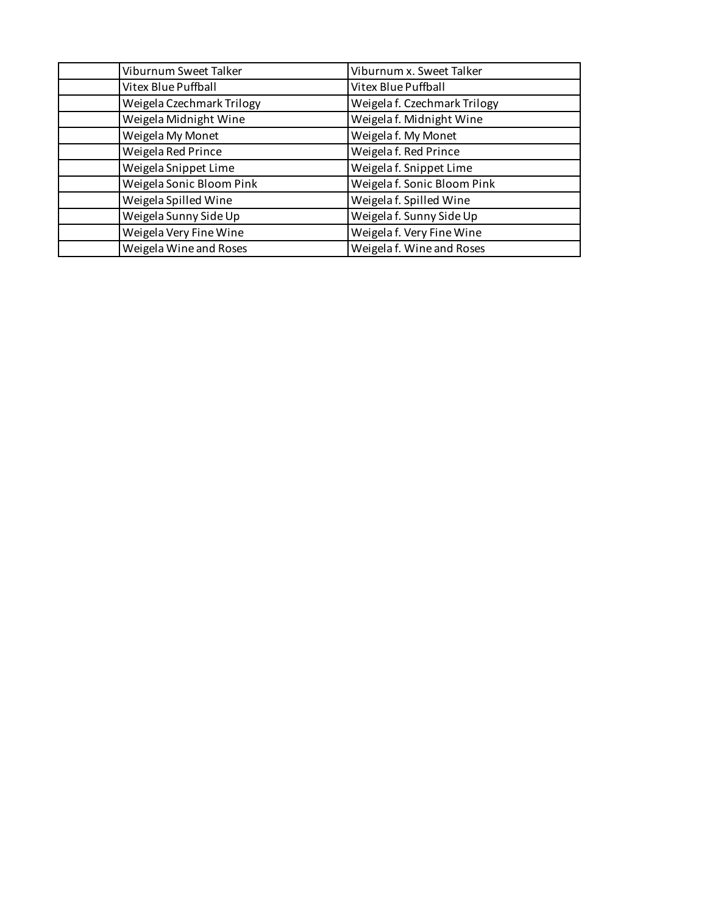| Viburnum Sweet Talker     | Viburnum x. Sweet Talker     |
|---------------------------|------------------------------|
| Vitex Blue Puffball       | Vitex Blue Puffball          |
| Weigela Czechmark Trilogy | Weigela f. Czechmark Trilogy |
| Weigela Midnight Wine     | Weigela f. Midnight Wine     |
| Weigela My Monet          | Weigela f. My Monet          |
| Weigela Red Prince        | Weigela f. Red Prince        |
| Weigela Snippet Lime      | Weigela f. Snippet Lime      |
| Weigela Sonic Bloom Pink  | Weigela f. Sonic Bloom Pink  |
| Weigela Spilled Wine      | Weigela f. Spilled Wine      |
| Weigela Sunny Side Up     | Weigela f. Sunny Side Up     |
| Weigela Very Fine Wine    | Weigela f. Very Fine Wine    |
| Weigela Wine and Roses    | Weigela f. Wine and Roses    |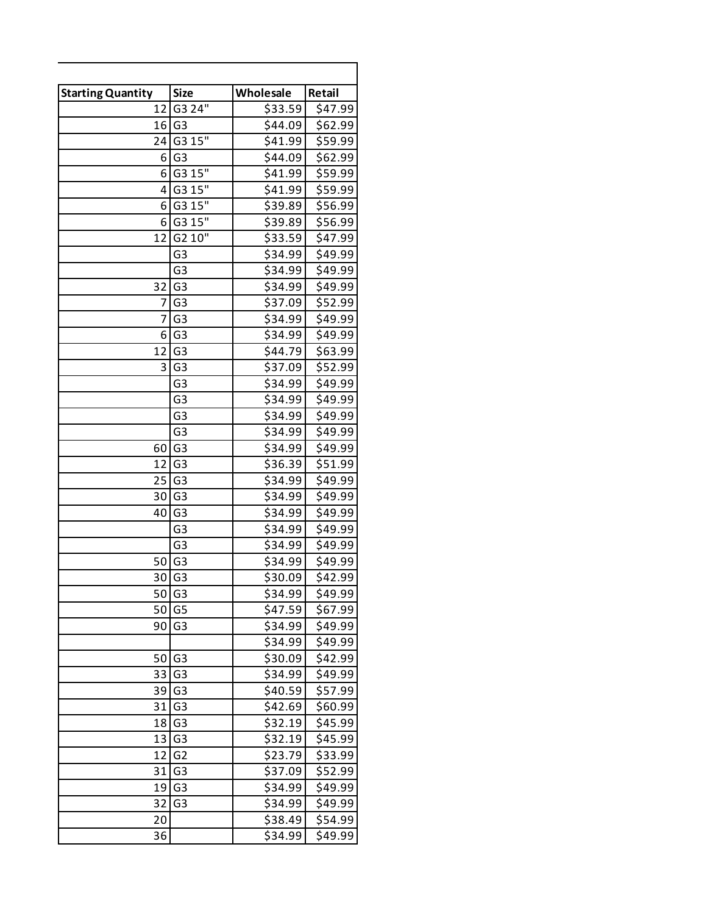| <b>Starting Quantity</b> | <b>Size</b>         | Wholesale | Retail  |
|--------------------------|---------------------|-----------|---------|
| 12                       | G3 24"              | \$33.59   | \$47.99 |
| 16                       | G <sub>3</sub>      | \$44.09   | \$62.99 |
| 24                       | G3 15"              | \$41.99   | \$59.99 |
| 6                        | G <sub>3</sub>      | \$44.09   | \$62.99 |
| 6                        | G3 15"              | \$41.99   | \$59.99 |
| 4                        | G3 15"              | \$41.99   | \$59.99 |
| 6                        | G3 15"              | \$39.89   | \$56.99 |
| 6                        | G3 15"              | \$39.89   | \$56.99 |
| 12                       | G2 10"              | \$33.59   | \$47.99 |
|                          | G <sub>3</sub>      | \$34.99   | \$49.99 |
|                          | G <sub>3</sub>      | \$34.99   | \$49.99 |
| 32                       | G <sub>3</sub>      | \$34.99   | \$49.99 |
| 7                        | G <sub>3</sub>      | \$37.09   | \$52.99 |
| 7                        | G <sub>3</sub>      | \$34.99   | \$49.99 |
| 6                        | G <sub>3</sub>      | \$34.99   | \$49.99 |
| 12                       | G <sub>3</sub>      | \$44.79   | \$63.99 |
| 3                        | G <sub>3</sub>      | \$37.09   | \$52.99 |
|                          | G3                  | \$34.99   | \$49.99 |
|                          | G <sub>3</sub>      | \$34.99   | \$49.99 |
|                          | G <sub>3</sub>      | \$34.99   | \$49.99 |
|                          | G <sub>3</sub>      | \$34.99   | \$49.99 |
| 60                       | G <sub>3</sub>      | \$34.99   | \$49.99 |
| 12                       | G <sub>3</sub>      | \$36.39   | \$51.99 |
| 25                       | G <sub>3</sub>      | \$34.99   | \$49.99 |
| 30                       | G <sub>3</sub>      | \$34.99   | \$49.99 |
| 40                       | G <sub>3</sub>      | \$34.99   | \$49.99 |
|                          | G <sub>3</sub>      | \$34.99   | \$49.99 |
|                          | G <sub>3</sub>      | \$34.99   | \$49.99 |
| 50                       | G <sub>3</sub>      | \$34.99   | \$49.99 |
| 30                       | G3                  | \$30.09   | \$42.99 |
|                          | $50$ G <sub>3</sub> | \$34.99   | \$49.99 |
| 50                       | G <sub>5</sub>      | \$47.59   | \$67.99 |
| 90                       | G3                  | \$34.99   | \$49.99 |
|                          |                     | \$34.99   | \$49.99 |
| 50                       | G3                  | \$30.09   | \$42.99 |
| 33                       | G3                  | \$34.99   | \$49.99 |
| 39                       | G <sub>3</sub>      | \$40.59   | \$57.99 |
| 31                       | G <sub>3</sub>      | \$42.69   | \$60.99 |
| 18                       | G3                  | \$32.19   | \$45.99 |
| 13                       | G3                  |           |         |
|                          |                     | \$32.19   | \$45.99 |
| 12                       | G <sub>2</sub>      | \$23.79   | \$33.99 |
| 31                       | G3                  | \$37.09   | \$52.99 |
| 19                       | G <sub>3</sub>      | \$34.99   | \$49.99 |
| 32                       | G3                  | \$34.99   | \$49.99 |
| 20                       |                     | \$38.49   | \$54.99 |
| 36                       |                     | \$34.99   | \$49.99 |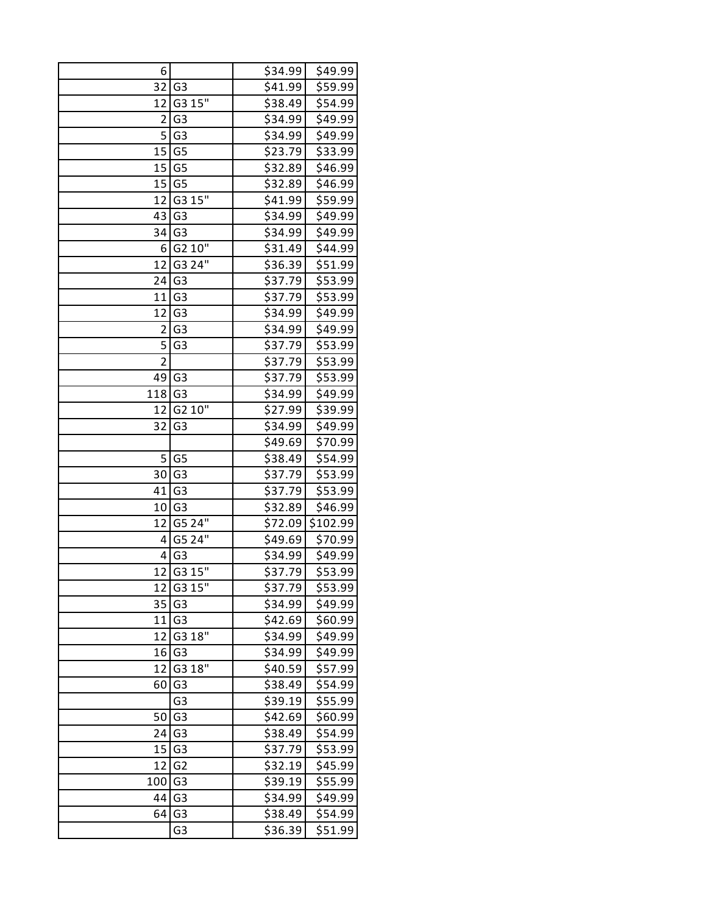| 6              |                | \$34.99 | \$49.99  |
|----------------|----------------|---------|----------|
| 32             | G <sub>3</sub> | \$41.99 | \$59.99  |
| 12             | G3 15"         | \$38.49 | \$54.99  |
| $\overline{2}$ | G <sub>3</sub> | \$34.99 | \$49.99  |
| 5              | G <sub>3</sub> | \$34.99 | \$49.99  |
| 15             | G <sub>5</sub> | \$23.79 | \$33.99  |
| 15             | G <sub>5</sub> | \$32.89 | \$46.99  |
| 15             | G <sub>5</sub> | \$32.89 | \$46.99  |
| 12             | G3 15"         | \$41.99 | \$59.99  |
| 43             | G <sub>3</sub> | \$34.99 | \$49.99  |
| 34             | G <sub>3</sub> | \$34.99 | \$49.99  |
| 6              | G2 10"         | \$31.49 | \$44.99  |
| 12             | G3 24"         | \$36.39 | \$51.99  |
| 24             | G <sub>3</sub> | \$37.79 | \$53.99  |
| 11             | G <sub>3</sub> | \$37.79 | \$53.99  |
| 12             | G <sub>3</sub> | \$34.99 | \$49.99  |
| 2              | G <sub>3</sub> | \$34.99 | \$49.99  |
| 5              | G <sub>3</sub> | \$37.79 | \$53.99  |
| $\overline{2}$ |                | \$37.79 | \$53.99  |
| 49             | G <sub>3</sub> | \$37.79 | \$53.99  |
| 118            | G <sub>3</sub> | \$34.99 | \$49.99  |
| 12             | G2 10"         | \$27.99 | \$39.99  |
| 32             | G <sub>3</sub> | \$34.99 | \$49.99  |
|                |                | \$49.69 | \$70.99  |
| 5              | G <sub>5</sub> | \$38.49 | \$54.99  |
| 30             | G <sub>3</sub> | \$37.79 | \$53.99  |
| 41             | G <sub>3</sub> | \$37.79 | \$53.99  |
| 10             | G <sub>3</sub> | \$32.89 | \$46.99  |
| 12             | G5 24"         | \$72.09 | \$102.99 |
| 4              | G5 24"         | \$49.69 | \$70.99  |
| 4              | G <sub>3</sub> | \$34.99 | \$49.99  |
| 12             | G3 15"         | \$37.79 | \$53.99  |
| 12             | G3 15"         | \$37.79 | \$53.99  |
| 35             | G <sub>3</sub> | \$34.99 | \$49.99  |
| 11             | G <sub>3</sub> | \$42.69 | \$60.99  |
| 12             | G3 18"         | \$34.99 | \$49.99  |
| 16             | G <sub>3</sub> | \$34.99 | \$49.99  |
| 12             | G3 18"         | \$40.59 | \$57.99  |
| 60             | G <sub>3</sub> | \$38.49 | \$54.99  |
|                | G <sub>3</sub> | \$39.19 | \$55.99  |
| 50             | G <sub>3</sub> | \$42.69 | \$60.99  |
| 24             | G <sub>3</sub> | \$38.49 | \$54.99  |
| 15             | G <sub>3</sub> | \$37.79 | \$53.99  |
| 12             | G <sub>2</sub> | \$32.19 | \$45.99  |
| 100            | G <sub>3</sub> | \$39.19 | \$55.99  |
| 44             | G <sub>3</sub> | \$34.99 | \$49.99  |
| 64             | G <sub>3</sub> | \$38.49 | \$54.99  |
|                | G3             | \$36.39 | \$51.99  |
|                |                |         |          |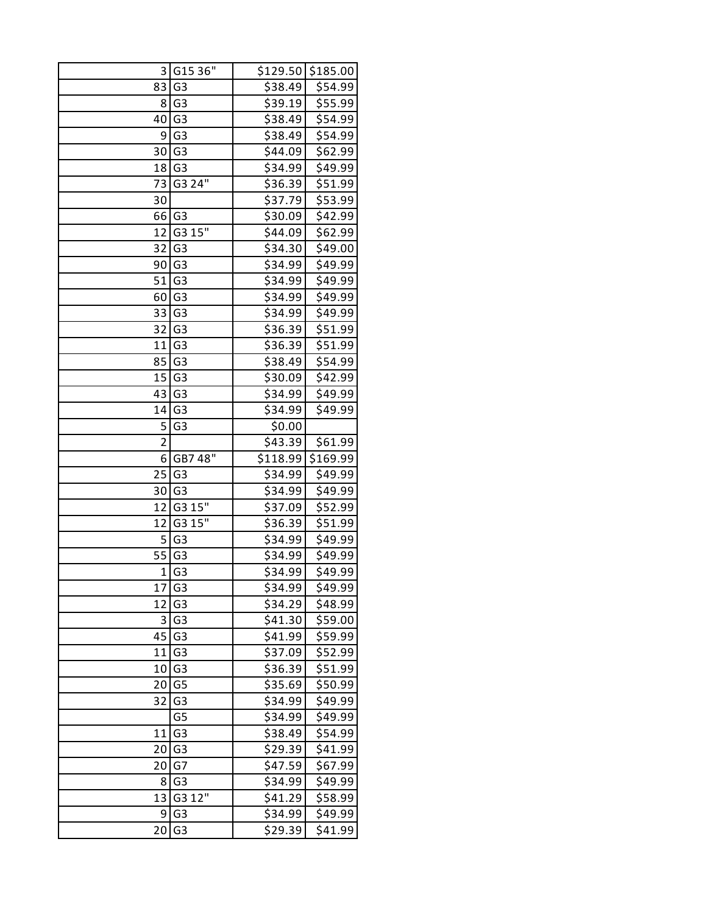| 3              | G15 36"             |          | \$129.50 \$185.00 |
|----------------|---------------------|----------|-------------------|
| 83             | G <sub>3</sub>      | \$38.49  | \$54.99           |
| 8              | G <sub>3</sub>      | \$39.19  | \$55.99           |
| 40             | G <sub>3</sub>      | \$38.49  | \$54.99           |
| 9              | G <sub>3</sub>      | \$38.49  | \$54.99           |
| 30             | G <sub>3</sub>      | \$44.09  | \$62.99           |
| 18             | G <sub>3</sub>      | \$34.99  | \$49.99           |
| 73             | G3 24"              | \$36.39  | \$51.99           |
| 30             |                     | \$37.79  | \$53.99           |
| 66             | G <sub>3</sub>      | \$30.09  | \$42.99           |
| 12             | G3 15"              | \$44.09  | \$62.99           |
| 32             | G <sub>3</sub>      | \$34.30  | \$49.00           |
| 90             | G <sub>3</sub>      | \$34.99  | \$49.99           |
| 51             | G <sub>3</sub>      | \$34.99  | \$49.99           |
| 60             | G <sub>3</sub>      | \$34.99  | \$49.99           |
| 33             | G <sub>3</sub>      | \$34.99  | \$49.99           |
| 32             | G <sub>3</sub>      | \$36.39  | \$51.99           |
| 11             | G <sub>3</sub>      | \$36.39  | \$51.99           |
| 85             | G <sub>3</sub>      | \$38.49  | \$54.99           |
| 15             | G <sub>3</sub>      | \$30.09  | \$42.99           |
| 43             | G <sub>3</sub>      | \$34.99  | \$49.99           |
| 14             | G <sub>3</sub>      | \$34.99  | \$49.99           |
| 5              | G <sub>3</sub>      | \$0.00   |                   |
| $\overline{2}$ |                     | \$43.39  | \$61.99           |
| 6              | GB7 48"             | \$118.99 | \$169.99          |
| 25             | G <sub>3</sub>      | \$34.99  | \$49.99           |
| 30             | G <sub>3</sub>      | \$34.99  | \$49.99           |
| 12             | G3 15"              | \$37.09  | \$52.99           |
| 12             | G3 15"              | \$36.39  | \$51.99           |
| 5              | G <sub>3</sub>      | \$34.99  | \$49.99           |
| 55             | G <sub>3</sub>      | \$34.99  | \$49.99           |
| 1              | G <sub>3</sub>      | \$34.99  | \$49.99           |
|                | $17$ G <sub>3</sub> | \$34.99  | \$49.99           |
| 12             | G3                  | \$34.29  | \$48.99           |
| 3              | G <sub>3</sub>      | \$41.30  | \$59.00           |
| 45             | G <sub>3</sub>      | \$41.99  | \$59.99           |
| 11             | G <sub>3</sub>      | \$37.09  | \$52.99           |
| 10             | G <sub>3</sub>      | \$36.39  | \$51.99           |
| 20             | G <sub>5</sub>      | \$35.69  | \$50.99           |
| 32             | G <sub>3</sub>      | \$34.99  | \$49.99           |
|                | G5                  | \$34.99  | \$49.99           |
| 11             | G <sub>3</sub>      | \$38.49  | \$54.99           |
| 20             | G <sub>3</sub>      | \$29.39  | \$41.99           |
| 20             | G7                  | \$47.59  | \$67.99           |
| 8              | G <sub>3</sub>      | \$34.99  | \$49.99           |
| 13             | G3 12"              | \$41.29  | \$58.99           |
| 9              | G <sub>3</sub>      | \$34.99  | \$49.99           |
| 20             | G <sub>3</sub>      | \$29.39  | \$41.99           |
|                |                     |          |                   |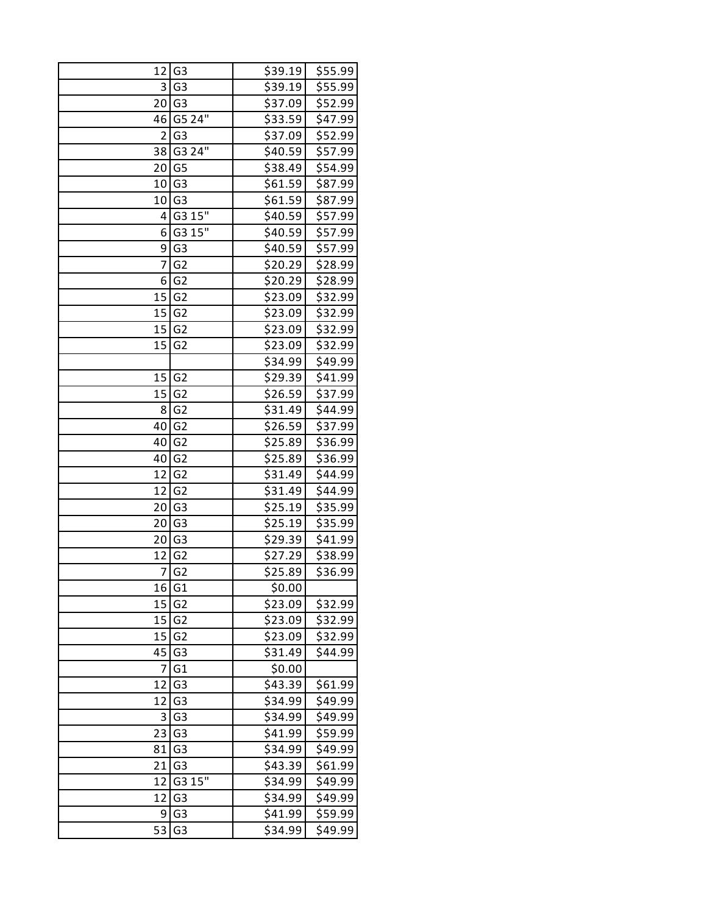| 12             | G <sub>3</sub> | \$39.19 | \$55.99 |
|----------------|----------------|---------|---------|
| $\vert$ 3      | G <sub>3</sub> | \$39.19 | \$55.99 |
|                | 20 G3          | \$37.09 | \$52.99 |
| 46             | G5 24"         | \$33.59 | \$47.99 |
| $\overline{2}$ | G <sub>3</sub> | \$37.09 | \$52.99 |
| 38             | G3 24"         | \$40.59 | \$57.99 |
| 20             | G <sub>5</sub> | \$38.49 | \$54.99 |
| 10             | G <sub>3</sub> | \$61.59 | \$87.99 |
| 10             | G <sub>3</sub> | \$61.59 | \$87.99 |
| 4              | G315''         | \$40.59 | \$57.99 |
| 6              | G3 15"         | \$40.59 | \$57.99 |
| 9              | G <sub>3</sub> | \$40.59 | \$57.99 |
| 7              | G <sub>2</sub> | \$20.29 | \$28.99 |
| 6              | G <sub>2</sub> | \$20.29 | \$28.99 |
| 15             | G <sub>2</sub> | \$23.09 | \$32.99 |
| 15             | G <sub>2</sub> | \$23.09 | \$32.99 |
| 15             | G <sub>2</sub> | \$23.09 | \$32.99 |
| 15             | G <sub>2</sub> | \$23.09 | \$32.99 |
|                |                | \$34.99 | \$49.99 |
|                | 15 G2          | \$29.39 | \$41.99 |
| 15             | G <sub>2</sub> | \$26.59 | \$37.99 |
| 8              | G <sub>2</sub> | \$31.49 | \$44.99 |
| 40             | G <sub>2</sub> | \$26.59 | \$37.99 |
| 40             | G <sub>2</sub> | \$25.89 | \$36.99 |
| 40             | G <sub>2</sub> | \$25.89 | \$36.99 |
| 12             | G <sub>2</sub> | \$31.49 | \$44.99 |
| 12             | G <sub>2</sub> | \$31.49 | \$44.99 |
| 20             | G <sub>3</sub> | \$25.19 | \$35.99 |
| 20             | G <sub>3</sub> | \$25.19 | \$35.99 |
| 20             | G <sub>3</sub> | \$29.39 | \$41.99 |
| 12             | G <sub>2</sub> | \$27.29 | \$38.99 |
| $\overline{7}$ | G <sub>2</sub> | \$25.89 | \$36.99 |
|                | 16 G1          | \$0.00  |         |
| 15             | G <sub>2</sub> | \$23.09 | \$32.99 |
| 15             | G <sub>2</sub> | \$23.09 | \$32.99 |
| 15             | G <sub>2</sub> | \$23.09 | \$32.99 |
| 45             | G <sub>3</sub> | \$31.49 | \$44.99 |
| 7              | G1             | \$0.00  |         |
| 12             | G <sub>3</sub> | \$43.39 | \$61.99 |
| 12             | G <sub>3</sub> | \$34.99 | \$49.99 |
| 3              | G <sub>3</sub> | \$34.99 | \$49.99 |
| 23             | G <sub>3</sub> | \$41.99 | \$59.99 |
| 81             | G <sub>3</sub> | \$34.99 | \$49.99 |
| 21             | G <sub>3</sub> | \$43.39 | \$61.99 |
| 12             | G3 15"         | \$34.99 | \$49.99 |
| 12             | G <sub>3</sub> | \$34.99 | \$49.99 |
| 9              | G <sub>3</sub> | \$41.99 | \$59.99 |
| 53             | G <sub>3</sub> | \$34.99 | \$49.99 |
|                |                |         |         |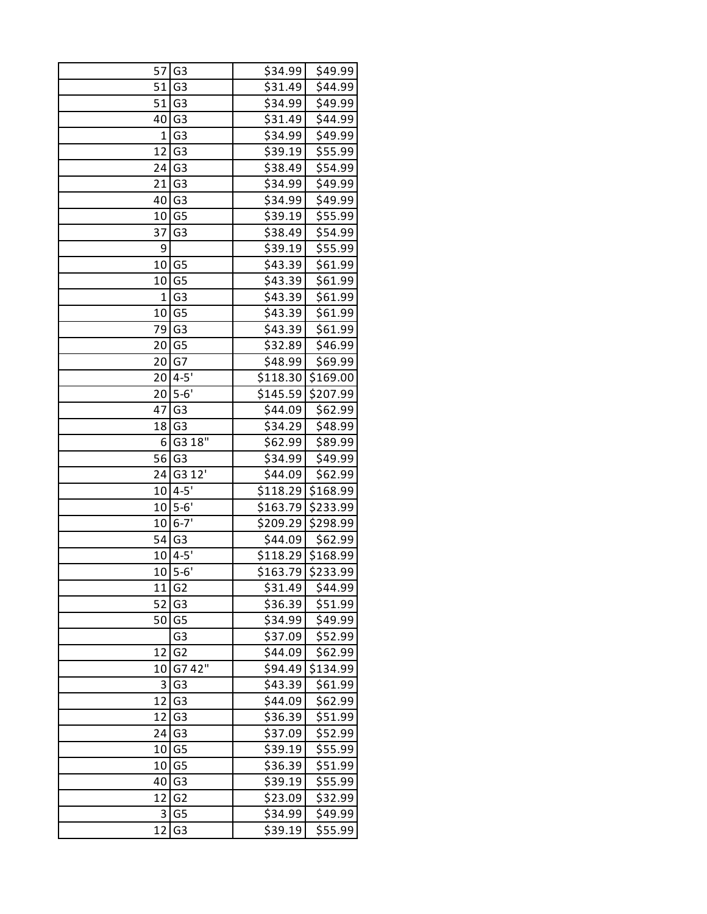| 57 | G <sub>3</sub> | \$34.99  | \$49.99  |
|----|----------------|----------|----------|
| 51 | G <sub>3</sub> | \$31.49  | \$44.99  |
| 51 | G <sub>3</sub> | \$34.99  | \$49.99  |
| 40 | G <sub>3</sub> | \$31.49  | \$44.99  |
| 1  | G <sub>3</sub> | \$34.99  | \$49.99  |
| 12 | G <sub>3</sub> | \$39.19  | \$55.99  |
| 24 | G <sub>3</sub> | \$38.49  | \$54.99  |
| 21 | G <sub>3</sub> | \$34.99  | \$49.99  |
| 40 | G <sub>3</sub> | \$34.99  | \$49.99  |
| 10 | G <sub>5</sub> | \$39.19  | \$55.99  |
| 37 | G <sub>3</sub> | \$38.49  | \$54.99  |
| 9  |                | \$39.19  | \$55.99  |
| 10 | G <sub>5</sub> | \$43.39  | \$61.99  |
| 10 | G <sub>5</sub> | \$43.39  | \$61.99  |
| 1  | G <sub>3</sub> | \$43.39  | \$61.99  |
| 10 | G <sub>5</sub> | \$43.39  | \$61.99  |
| 79 | G <sub>3</sub> | \$43.39  | \$61.99  |
| 20 | G <sub>5</sub> | \$32.89  | \$46.99  |
| 20 | G7             | \$48.99  | \$69.99  |
| 20 | $4 - 5'$       | \$118.30 | \$169.00 |
| 20 | $5-6'$         | \$145.59 | \$207.99 |
| 47 | G <sub>3</sub> | \$44.09  | \$62.99  |
| 18 | G <sub>3</sub> | \$34.29  | \$48.99  |
| 6  | G3 18"         | \$62.99  | \$89.99  |
| 56 | G <sub>3</sub> | \$34.99  | \$49.99  |
| 24 | G3 12'         | \$44.09  | \$62.99  |
| 10 | $4 - 5'$       | \$118.29 | \$168.99 |
| 10 | $5 - 6'$       | \$163.79 | \$233.99 |
| 10 | $6 - 7'$       | \$209.29 | \$298.99 |
| 54 | G <sub>3</sub> | \$44.09  | \$62.99  |
| 10 | $4 - 5'$       | \$118.29 | \$168.99 |
|    | $10 5-6'$      | \$163.79 | \$233.99 |
| 11 | G <sub>2</sub> | \$31.49  | \$44.99  |
| 52 | G <sub>3</sub> | \$36.39  | \$51.99  |
| 50 | G <sub>5</sub> | \$34.99  | \$49.99  |
|    | G3             | \$37.09  | \$52.99  |
| 12 | G <sub>2</sub> | \$44.09  | \$62.99  |
|    | G7 42"         | \$94.49  |          |
| 10 | G <sub>3</sub> | \$43.39  | \$134.99 |
| 3  |                |          | \$61.99  |
| 12 | G <sub>3</sub> | \$44.09  | \$62.99  |
| 12 | G <sub>3</sub> | \$36.39  | \$51.99  |
| 24 | G <sub>3</sub> | \$37.09  | \$52.99  |
| 10 | G <sub>5</sub> | \$39.19  | \$55.99  |
| 10 | G <sub>5</sub> | \$36.39  | \$51.99  |
| 40 | G <sub>3</sub> | \$39.19  | \$55.99  |
| 12 | G <sub>2</sub> | \$23.09  | \$32.99  |
| 3  | G <sub>5</sub> | \$34.99  | \$49.99  |
| 12 | G <sub>3</sub> | \$39.19  | \$55.99  |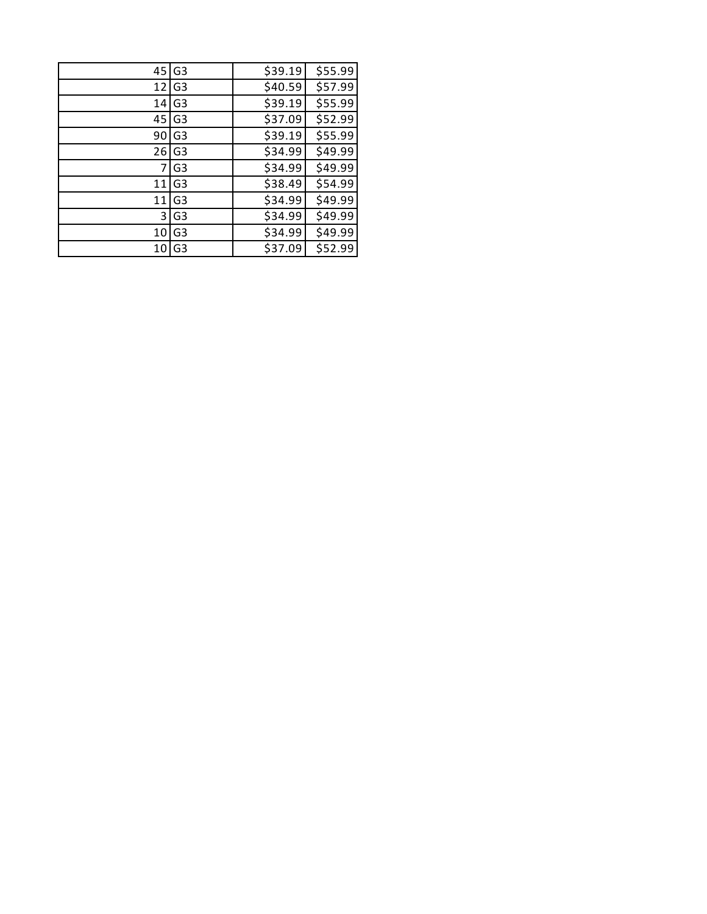| 45 | G <sub>3</sub> | \$39.19 | \$55.99 |
|----|----------------|---------|---------|
| 12 | G <sub>3</sub> | \$40.59 | \$57.99 |
| 14 | G <sub>3</sub> | \$39.19 | \$55.99 |
| 45 | G <sub>3</sub> | \$37.09 | \$52.99 |
| 90 | G <sub>3</sub> | \$39.19 | \$55.99 |
| 26 | G <sub>3</sub> | \$34.99 | \$49.99 |
| 7  | G <sub>3</sub> | \$34.99 | \$49.99 |
| 11 | G <sub>3</sub> | \$38.49 | \$54.99 |
| 11 | G <sub>3</sub> | \$34.99 | \$49.99 |
| 3  | G <sub>3</sub> | \$34.99 | \$49.99 |
| 10 | G <sub>3</sub> | \$34.99 | \$49.99 |
| 10 | G <sub>3</sub> | \$37.09 | \$52.99 |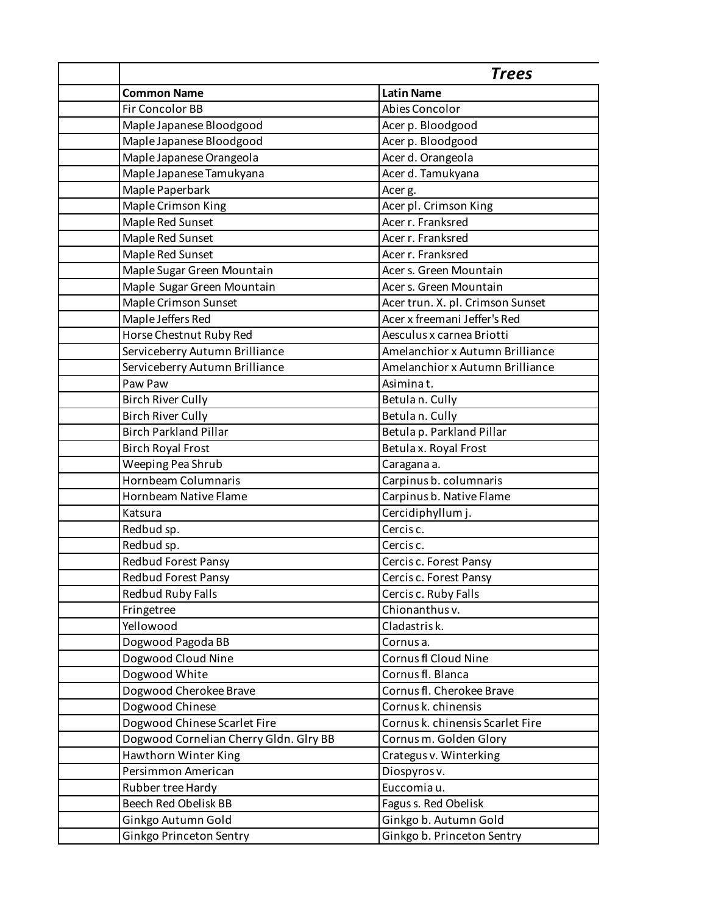|                                        | <b>Trees</b>                     |
|----------------------------------------|----------------------------------|
| <b>Common Name</b>                     | <b>Latin Name</b>                |
| Fir Concolor BB                        | Abies Concolor                   |
| Maple Japanese Bloodgood               | Acer p. Bloodgood                |
| Maple Japanese Bloodgood               | Acer p. Bloodgood                |
| Maple Japanese Orangeola               | Acer d. Orangeola                |
| Maple Japanese Tamukyana               | Acer d. Tamukyana                |
| Maple Paperbark                        | Acer g.                          |
| Maple Crimson King                     | Acer pl. Crimson King            |
| Maple Red Sunset                       | Acer r. Franksred                |
| Maple Red Sunset                       | Acer r. Franksred                |
| Maple Red Sunset                       | Acer r. Franksred                |
| Maple Sugar Green Mountain             | Acer s. Green Mountain           |
| Maple Sugar Green Mountain             | Acer s. Green Mountain           |
| Maple Crimson Sunset                   | Acer trun. X. pl. Crimson Sunset |
| Maple Jeffers Red                      | Acer x freemani Jeffer's Red     |
| Horse Chestnut Ruby Red                | Aesculus x carnea Briotti        |
| Serviceberry Autumn Brilliance         | Amelanchior x Autumn Brilliance  |
| Serviceberry Autumn Brilliance         | Amelanchior x Autumn Brilliance  |
| Paw Paw                                | Asiminat.                        |
| <b>Birch River Cully</b>               | Betulan. Cully                   |
| <b>Birch River Cully</b>               | Betulan. Cully                   |
| <b>Birch Parkland Pillar</b>           | Betula p. Parkland Pillar        |
| <b>Birch Royal Frost</b>               | Betula x. Royal Frost            |
| Weeping Pea Shrub                      | Caragana a.                      |
| Hornbeam Columnaris                    | Carpinus b. columnaris           |
| Hornbeam Native Flame                  | Carpinus b. Native Flame         |
| Katsura                                | Cercidiphyllum j.                |
| Redbud sp.                             | Cercis c.                        |
| Redbud sp.                             | Cercis <sub>c.</sub>             |
| <b>Redbud Forest Pansy</b>             | Cercis c. Forest Pansy           |
| Redbud Forest Pansy                    | Cercis c. Forest Pansy           |
| <b>Redbud Ruby Falls</b>               | Cercis c. Ruby Falls             |
| Fringetree                             | Chionanthus v.                   |
| Yellowood                              | Cladastris k.                    |
| Dogwood Pagoda BB                      | Cornusa.                         |
| Dogwood Cloud Nine                     | Cornus fl Cloud Nine             |
| Dogwood White                          | Cornus fl. Blanca                |
| Dogwood Cherokee Brave                 | Cornus fl. Cherokee Brave        |
| Dogwood Chinese                        | Cornus k. chinensis              |
| Dogwood Chinese Scarlet Fire           | Cornus k. chinensis Scarlet Fire |
| Dogwood Cornelian Cherry Gldn. Glry BB | Cornus m. Golden Glory           |
| Hawthorn Winter King                   | Crategus v. Winterking           |
| Persimmon American                     | Diospyros v.                     |
| Rubber tree Hardy                      | Euccomiau.                       |
| Beech Red Obelisk BB                   | Fagus s. Red Obelisk             |
| Ginkgo Autumn Gold                     | Ginkgo b. Autumn Gold            |
| Ginkgo Princeton Sentry                | Ginkgo b. Princeton Sentry       |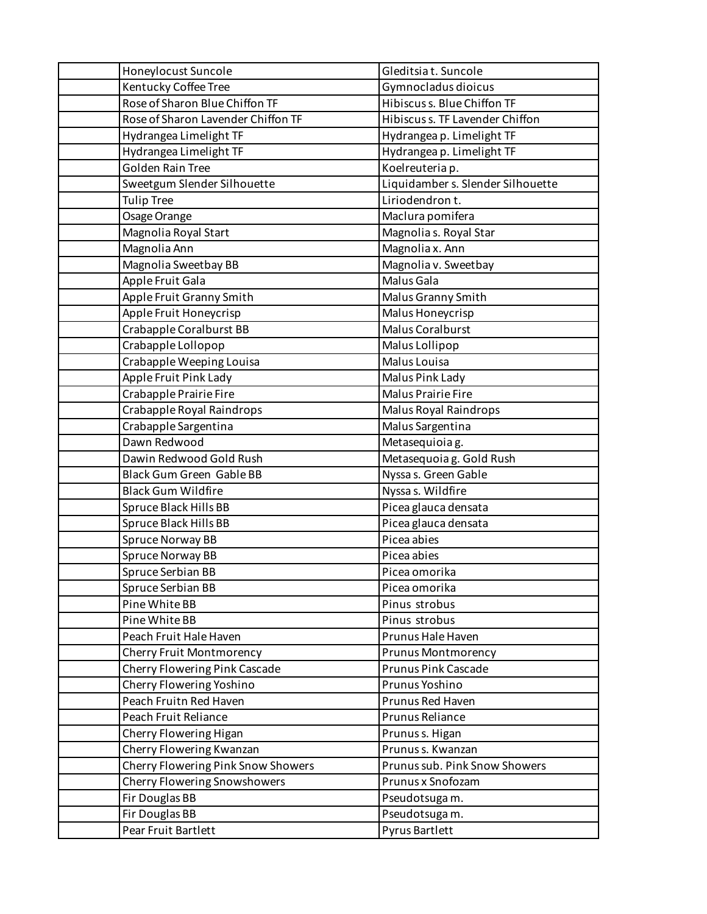| Honeylocust Suncole                | Gleditsiat. Suncole               |
|------------------------------------|-----------------------------------|
| Kentucky Coffee Tree               | Gymnocladus dioicus               |
| Rose of Sharon Blue Chiffon TF     | Hibiscus s. Blue Chiffon TF       |
| Rose of Sharon Lavender Chiffon TF | Hibiscus s. TF Lavender Chiffon   |
| Hydrangea Limelight TF             | Hydrangea p. Limelight TF         |
| Hydrangea Limelight TF             | Hydrangea p. Limelight TF         |
| <b>Golden Rain Tree</b>            | Koelreuteria p.                   |
| Sweetgum Slender Silhouette        | Liquidamber s. Slender Silhouette |
| <b>Tulip Tree</b>                  | Liriodendron t.                   |
| Osage Orange                       | Maclura pomifera                  |
| Magnolia Royal Start               | Magnolia s. Royal Star            |
| Magnolia Ann                       | Magnolia x. Ann                   |
| Magnolia Sweetbay BB               | Magnolia v. Sweetbay              |
| Apple Fruit Gala                   | Malus Gala                        |
| Apple Fruit Granny Smith           | Malus Granny Smith                |
| Apple Fruit Honeycrisp             | Malus Honeycrisp                  |
| Crabapple Coralburst BB            | Malus Coralburst                  |
| Crabapple Lollopop                 | Malus Lollipop                    |
| Crabapple Weeping Louisa           | Malus Louisa                      |
| Apple Fruit Pink Lady              | Malus Pink Lady                   |
| Crabapple Prairie Fire             | <b>Malus Prairie Fire</b>         |
| Crabapple Royal Raindrops          | Malus Royal Raindrops             |
| Crabapple Sargentina               | Malus Sargentina                  |
| Dawn Redwood                       | Metasequioia g.                   |
| Dawin Redwood Gold Rush            | Metasequoia g. Gold Rush          |
| Black Gum Green Gable BB           | Nyssa s. Green Gable              |
| <b>Black Gum Wildfire</b>          | Nyssa s. Wildfire                 |
| Spruce Black Hills BB              | Picea glauca densata              |
| Spruce Black Hills BB              | Picea glauca densata              |
| Spruce Norway BB                   | Picea abies                       |
| Spruce Norway BB                   | Picea abies                       |
| Spruce Serbian BB                  | Picea omorika                     |
| Spruce Serbian BB                  | Picea omorika                     |
| Pine White BB                      | Pinus strobus                     |
| Pine White BB                      | Pinus strobus                     |
| Peach Fruit Hale Haven             | Prunus Hale Haven                 |
| Cherry Fruit Montmorency           | Prunus Montmorency                |
| Cherry Flowering Pink Cascade      | Prunus Pink Cascade               |
| Cherry Flowering Yoshino           | Prunus Yoshino                    |
| Peach Fruitn Red Haven             | Prunus Red Haven                  |
| Peach Fruit Reliance               | Prunus Reliance                   |
| Cherry Flowering Higan             | Prunus s. Higan                   |
| Cherry Flowering Kwanzan           | Prunus s. Kwanzan                 |
| Cherry Flowering Pink Snow Showers | Prunus sub. Pink Snow Showers     |
| Cherry Flowering Snowshowers       | Prunus x Snofozam                 |
| Fir Douglas BB                     | Pseudotsuga m.                    |
| Fir Douglas BB                     | Pseudotsuga m.                    |
| Pear Fruit Bartlett                | Pyrus Bartlett                    |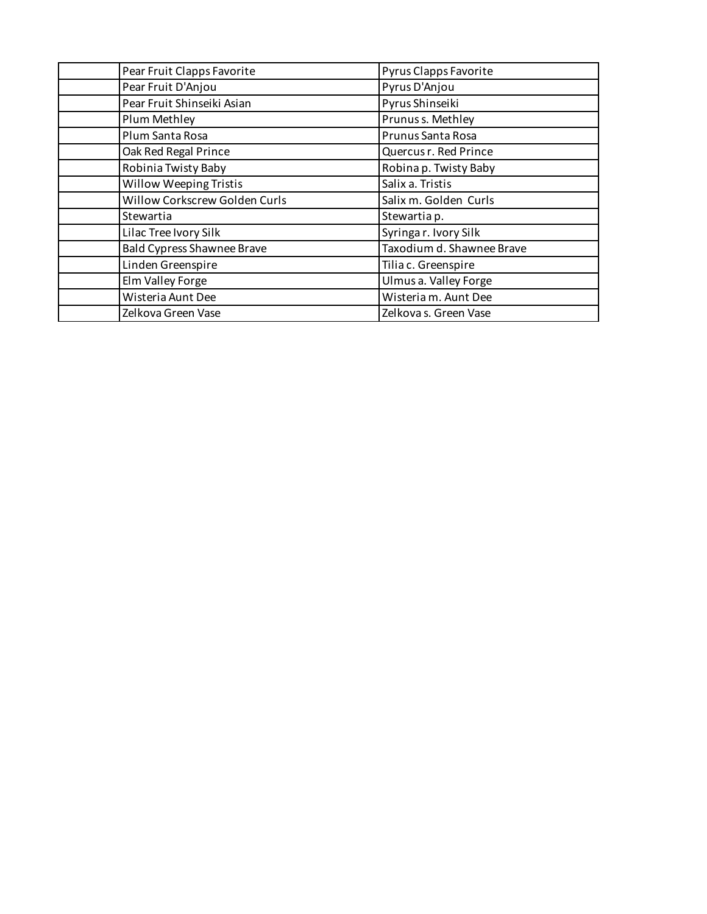| Pear Fruit Clapps Favorite        | Pyrus Clapps Favorite     |  |
|-----------------------------------|---------------------------|--|
| Pear Fruit D'Anjou                | Pyrus D'Anjou             |  |
| Pear Fruit Shinseiki Asian        | Pyrus Shinseiki           |  |
| Plum Methley                      | Prunus s. Methley         |  |
| Plum Santa Rosa                   | Prunus Santa Rosa         |  |
| Oak Red Regal Prince              | Quercus r. Red Prince     |  |
| Robinia Twisty Baby               | Robina p. Twisty Baby     |  |
| Willow Weeping Tristis            | Salix a. Tristis          |  |
| Willow Corkscrew Golden Curls     | Salix m. Golden Curls     |  |
| Stewartia                         | Stewartia p.              |  |
| Lilac Tree Ivory Silk             | Syringar. Ivory Silk      |  |
| <b>Bald Cypress Shawnee Brave</b> | Taxodium d. Shawnee Brave |  |
| Linden Greenspire                 | Tilia c. Greenspire       |  |
| Elm Valley Forge                  | Ulmus a. Valley Forge     |  |
| Wisteria Aunt Dee                 | Wisteria m. Aunt Dee      |  |
| Zelkova Green Vase                | Zelkova s. Green Vase     |  |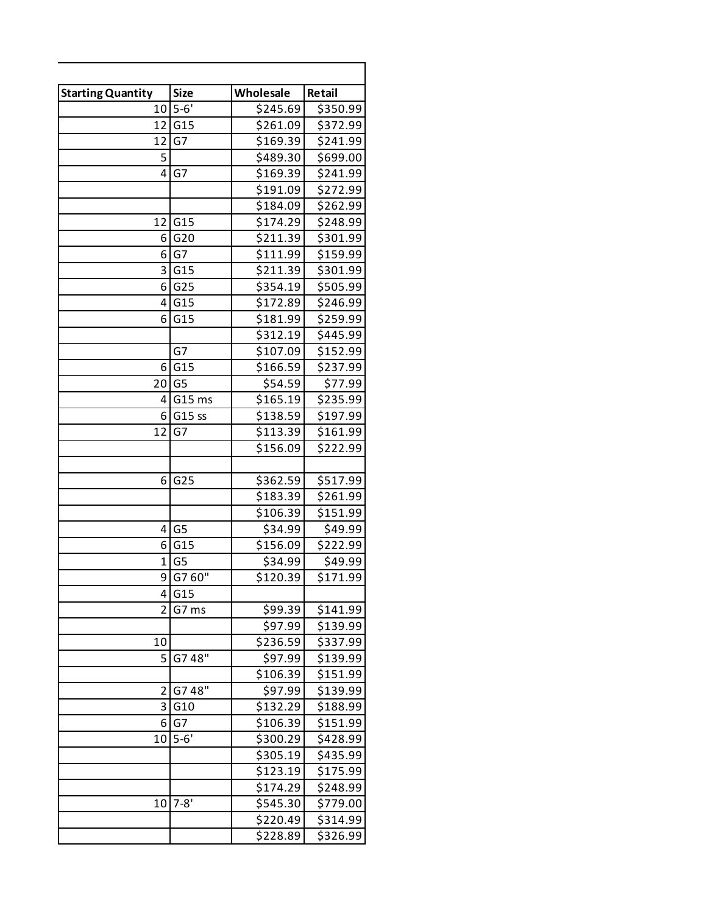| <b>Starting Quantity</b> | <b>Size</b>     | Wholesale | Retail   |
|--------------------------|-----------------|-----------|----------|
|                          | $10 5-6'$       | \$245.69  | \$350.99 |
|                          | 12 G15          | \$261.09  | \$372.99 |
| 12 <sub>1</sub>          | G7              | \$169.39  | \$241.99 |
| 5                        |                 | \$489.30  | \$699.00 |
| 4                        | G7              | \$169.39  | \$241.99 |
|                          |                 | \$191.09  | \$272.99 |
|                          |                 | \$184.09  | \$262.99 |
| 12                       | G15             | \$174.29  | \$248.99 |
| 6 I                      | G20             | \$211.39  | \$301.99 |
| 6 I                      | G7              | \$111.99  | \$159.99 |
| 3                        | G15             | \$211.39  | \$301.99 |
| 6 I                      | G <sub>25</sub> | \$354.19  | \$505.99 |
| 4 I                      | G15             | \$172.89  | \$246.99 |
| 6                        | G15             | \$181.99  | \$259.99 |
|                          |                 | \$312.19  | \$445.99 |
|                          | G7              | \$107.09  | \$152.99 |
| 6                        | G15             | \$166.59  | \$237.99 |
| 20 I                     | G <sub>5</sub>  | \$54.59   | \$77.99  |
|                          | $4 G15$ ms      | \$165.19  | \$235.99 |
| 6                        | G15 ss          | \$138.59  | \$197.99 |
| 12                       | G7              | \$113.39  | \$161.99 |
|                          |                 | \$156.09  | \$222.99 |
|                          |                 |           |          |
| 6                        | G25             | \$362.59  | \$517.99 |
|                          |                 | \$183.39  | \$261.99 |
|                          |                 | \$106.39  | \$151.99 |
| 4                        | G <sub>5</sub>  | \$34.99   | \$49.99  |
| 6 I                      | G15             | \$156.09  | \$222.99 |
| $\mathbf{1}$             | G <sub>5</sub>  | \$34.99   | \$49.99  |
| ا 9                      | G7 60"          | \$120.39  | \$171.99 |
|                          | 4 G15           |           |          |
| $\overline{2}$           | G7 ms           | \$99.39   | \$141.99 |
|                          |                 | \$97.99   | \$139.99 |
| 10                       |                 | \$236.59  | \$337.99 |
| 5                        | G748"           | \$97.99   | \$139.99 |
|                          |                 | \$106.39  | \$151.99 |
| $\overline{2}$           | G748            | \$97.99   | \$139.99 |
| 3                        | G10             | \$132.29  | \$188.99 |
| 61                       | G7              | \$106.39  | \$151.99 |
|                          | $10 5-6"$       | \$300.29  | \$428.99 |
|                          |                 | \$305.19  | \$435.99 |
|                          |                 | \$123.19  | \$175.99 |
|                          |                 | \$174.29  | \$248.99 |
| 10                       | $7 - 8'$        | \$545.30  | \$779.00 |
|                          |                 | \$220.49  | \$314.99 |
|                          |                 | \$228.89  | \$326.99 |
|                          |                 |           |          |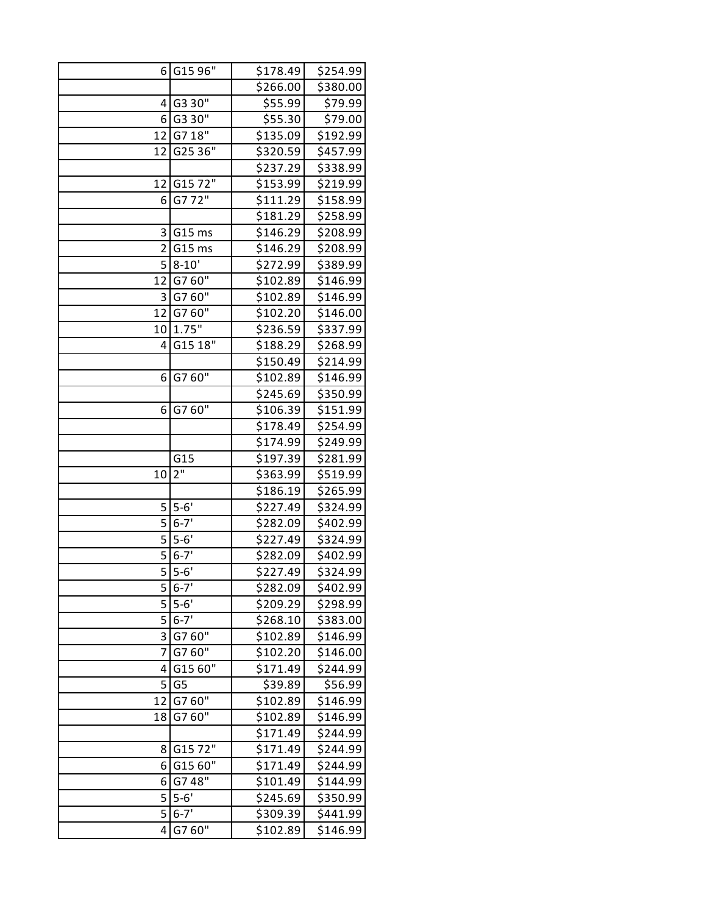| 61             | G15 96"        | \$178.49 | \$254.99 |
|----------------|----------------|----------|----------|
|                |                | \$266.00 | \$380.00 |
| 4              | G3 30"         | \$55.99  | \$79.99  |
| 6              | G3 30"         | \$55.30  | \$79.00  |
| 12             | G7 18"         | \$135.09 | \$192.99 |
| 12             | G25 36"        | \$320.59 | \$457.99 |
|                |                | \$237.29 | \$338.99 |
| 12             | G1572"         | \$153.99 | \$219.99 |
| 6              | G772"          | \$111.29 | \$158.99 |
|                |                | \$181.29 | \$258.99 |
| 3              | G15 ms         | \$146.29 | \$208.99 |
| $\overline{2}$ | G15 ms         | \$146.29 | \$208.99 |
| 5              | $8 - 10'$      | \$272.99 | \$389.99 |
| 12             | G760"          | \$102.89 | \$146.99 |
| 3              | G760"          | \$102.89 | \$146.99 |
| 12             | G7 60"         | \$102.20 | \$146.00 |
| 10             | 1.75"          | \$236.59 | \$337.99 |
| 4              | G15 18"        | \$188.29 | \$268.99 |
|                |                | \$150.49 | \$214.99 |
| 6              | G7 60"         | \$102.89 | \$146.99 |
|                |                | \$245.69 | \$350.99 |
| 6              | G760"          | \$106.39 | \$151.99 |
|                |                | \$178.49 | \$254.99 |
|                |                | \$174.99 | \$249.99 |
|                | G15            | \$197.39 | \$281.99 |
| 10             | 2"             | \$363.99 | \$519.99 |
|                |                | \$186.19 | \$265.99 |
| 5              | $5-6'$         | \$227.49 | \$324.99 |
| 5              | $6 - 7'$       | \$282.09 | \$402.99 |
| 5              | $5 - 6'$       | \$227.49 | \$324.99 |
| 5              | $6 - 7'$       | \$282.09 | \$402.99 |
| 5              | $5 - 6'$       | \$227.49 | \$324.99 |
| 5 <sub>l</sub> | $6 - 7'$       | \$282.09 | \$402.99 |
| 5              | $5 - 6'$       | \$209.29 | \$298.99 |
| 5              | $6 - 7'$       | \$268.10 | \$383.00 |
| 3              | G7 60"         | \$102.89 | \$146.99 |
| 7              | G760"          | \$102.20 | \$146.00 |
| 4              | G15 60"        | \$171.49 | \$244.99 |
| 5              | G <sub>5</sub> | \$39.89  | \$56.99  |
| 12             | G760"          | \$102.89 | \$146.99 |
| 18             | G760"          | \$102.89 | \$146.99 |
|                |                | \$171.49 | \$244.99 |
| 8              | G1572"         | \$171.49 | \$244.99 |
| 6              | G15 60"        | \$171.49 | \$244.99 |
| 6              | G748"          | \$101.49 | \$144.99 |
| 5              | $5 - 6'$       | \$245.69 | \$350.99 |
| 5              | $6 - 7'$       | \$309.39 | \$441.99 |
| 4              | G7 60"         | \$102.89 | \$146.99 |
|                |                |          |          |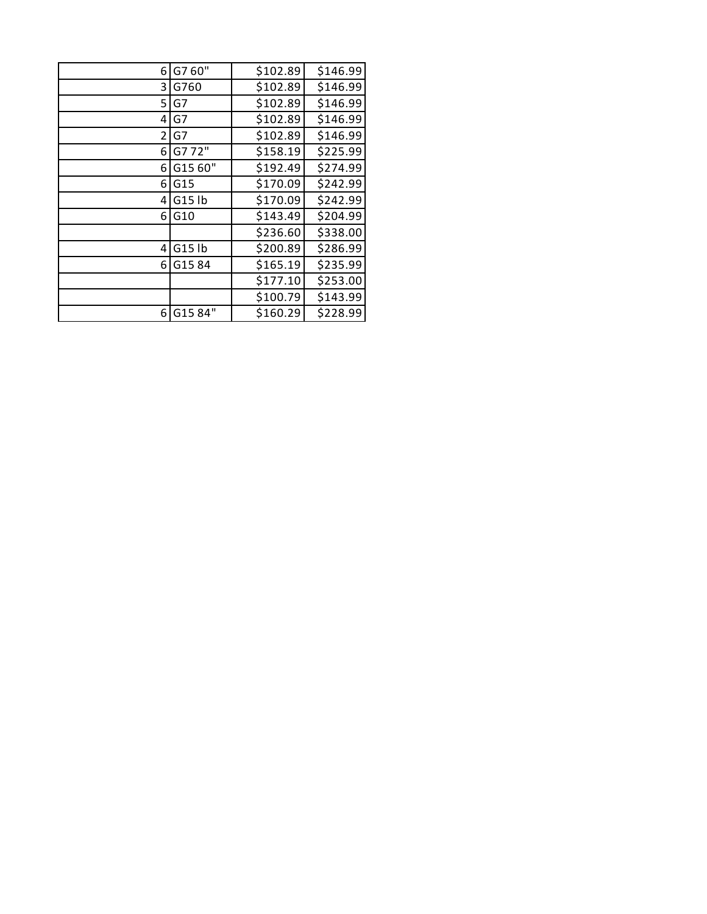| 6 | G7 60"  | \$102.89 | \$146.99 |
|---|---------|----------|----------|
| 3 | G760    | \$102.89 | \$146.99 |
| 5 | G7      | \$102.89 | \$146.99 |
| 4 | G7      | \$102.89 | \$146.99 |
| 2 | G7      | \$102.89 | \$146.99 |
| 6 | G772"   | \$158.19 | \$225.99 |
| 6 | G15 60" | \$192.49 | \$274.99 |
| 6 | G15     | \$170.09 | \$242.99 |
| 4 | G15 lb  | \$170.09 | \$242.99 |
| 6 | G10     | \$143.49 | \$204.99 |
|   |         | \$236.60 | \$338.00 |
| 4 | G15 lb  | \$200.89 | \$286.99 |
| 6 | G1584   | \$165.19 | \$235.99 |
|   |         | \$177.10 | \$253.00 |
|   |         | \$100.79 | \$143.99 |
| 6 | G1584"  | \$160.29 | \$228.99 |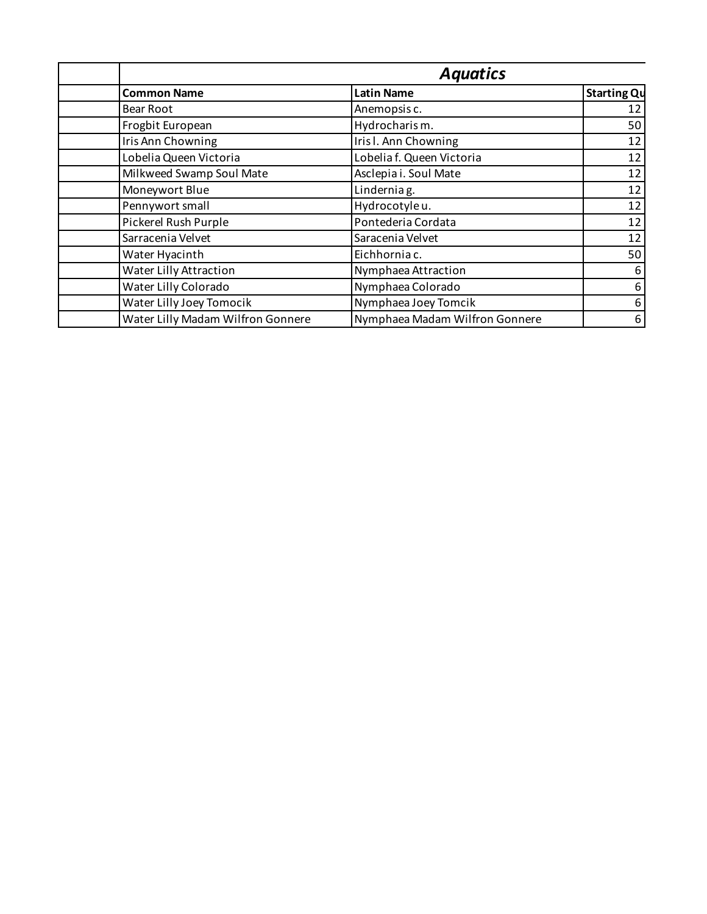|                                   | <b>Aquatics</b>                |                    |
|-----------------------------------|--------------------------------|--------------------|
| <b>Common Name</b>                | <b>Latin Name</b>              | <b>Starting Qu</b> |
| Bear Root                         | Anemopsis c.                   | 12                 |
| Frogbit European                  | Hydrocharism.                  | 50                 |
| Iris Ann Chowning                 | Iris I. Ann Chowning           | 12                 |
| Lobelia Queen Victoria            | Lobelia f. Queen Victoria      | 12                 |
| Milkweed Swamp Soul Mate          | Asclepia i. Soul Mate          | 12                 |
| Moneywort Blue                    | Lindernia g.                   | 12                 |
| Pennywort small                   | Hydrocotyle u.                 | 12                 |
| Pickerel Rush Purple              | Pontederia Cordata             | 12                 |
| Sarracenia Velvet                 | Saracenia Velvet               | 12                 |
| Water Hyacinth                    | Eichhornia c.                  | 50                 |
| Water Lilly Attraction            | Nymphaea Attraction            | 6                  |
| Water Lilly Colorado              | Nymphaea Colorado              | 6                  |
| Water Lilly Joey Tomocik          | Nymphaea Joey Tomcik           | 6                  |
| Water Lilly Madam Wilfron Gonnere | Nymphaea Madam Wilfron Gonnere | 6                  |